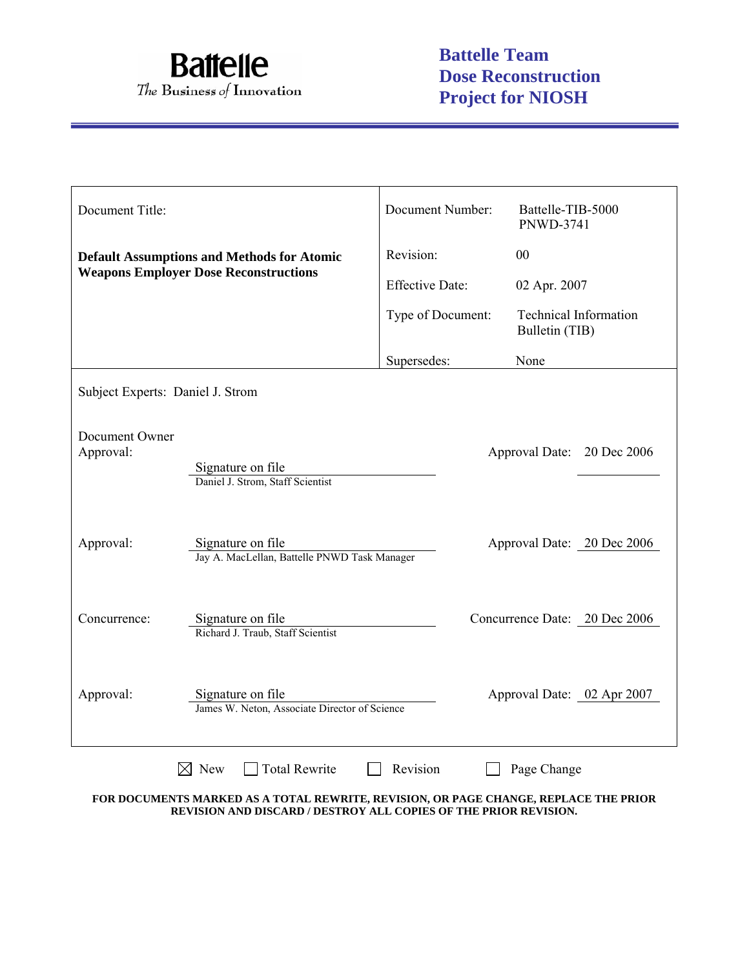

| Document Title:                  |                                                                    | Document Number:                       | Battelle-TIB-5000<br><b>PNWD-3741</b>          |
|----------------------------------|--------------------------------------------------------------------|----------------------------------------|------------------------------------------------|
|                                  | <b>Default Assumptions and Methods for Atomic</b>                  | Revision:                              | 00                                             |
|                                  | <b>Weapons Employer Dose Reconstructions</b>                       | <b>Effective Date:</b><br>02 Apr. 2007 |                                                |
|                                  |                                                                    | Type of Document:                      | <b>Technical Information</b><br>Bulletin (TIB) |
|                                  |                                                                    | Supersedes:                            | None                                           |
| Subject Experts: Daniel J. Strom |                                                                    |                                        |                                                |
| Document Owner<br>Approval:      | Signature on file<br>Daniel J. Strom, Staff Scientist              |                                        | Approval Date: 20 Dec 2006                     |
| Approval:                        | Signature on file<br>Jay A. MacLellan, Battelle PNWD Task Manager  |                                        | Approval Date: 20 Dec 2006                     |
| Concurrence:                     | Signature on file<br>Richard J. Traub, Staff Scientist             |                                        | Concurrence Date: 20 Dec 2006                  |
| Approval:                        | Signature on file<br>James W. Neton, Associate Director of Science |                                        | Approval Date: 02 Apr 2007                     |
|                                  | <b>Total Rewrite</b><br>New                                        | Revision                               | Page Change                                    |

**FOR DOCUMENTS MARKED AS A TOTAL REWRITE, REVISION, OR PAGE CHANGE, REPLACE THE PRIOR REVISION AND DISCARD / DESTROY ALL COPIES OF THE PRIOR REVISION.**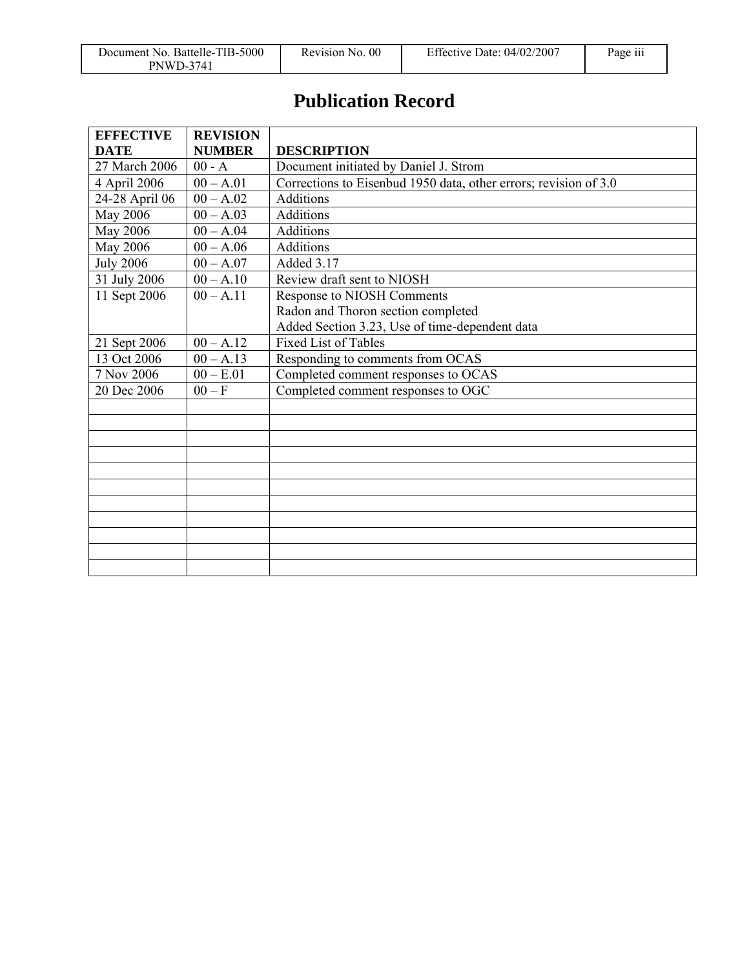| Document No. Battelle-TIB-5000 | Revision No. 00 | Effective Date: $04/02/2007$ | $\cdots$<br>Page iii |
|--------------------------------|-----------------|------------------------------|----------------------|
| <b>PNWD-3741</b>               |                 |                              |                      |

# **Publication Record**

| <b>EFFECTIVE</b>            | <b>REVISION</b>        |                                                                  |
|-----------------------------|------------------------|------------------------------------------------------------------|
| <b>DATE</b>                 | <b>NUMBER</b>          | <b>DESCRIPTION</b>                                               |
| 27 March 2006               | $00 - A$               | Document initiated by Daniel J. Strom                            |
| 4 April 2006                | $00 - A.01$            | Corrections to Eisenbud 1950 data, other errors; revision of 3.0 |
| 24-28 April $\overline{06}$ | $\overline{00 - A.02}$ | <b>Additions</b>                                                 |
| May 2006                    | $00 - A.03$            | Additions                                                        |
| May 2006                    | $00 - A.04$            | Additions                                                        |
| May 2006                    | $00 - A.06$            | <b>Additions</b>                                                 |
| <b>July 2006</b>            | $00 - A.07$            | Added 3.17                                                       |
| 31 July 2006                | $00 - A.10$            | Review draft sent to NIOSH                                       |
| 11 Sept 2006                | $00 - A.11$            | Response to NIOSH Comments                                       |
|                             |                        | Radon and Thoron section completed                               |
|                             |                        | Added Section 3.23, Use of time-dependent data                   |
| 21 Sept 2006                | $00 - A.12$            | <b>Fixed List of Tables</b>                                      |
| 13 Oct 2006                 | $00 - A.13$            | Responding to comments from OCAS                                 |
| 7 Nov 2006                  | $00 - E.01$            | Completed comment responses to OCAS                              |
| 20 Dec 2006                 | $00-F$                 | Completed comment responses to OGC                               |
|                             |                        |                                                                  |
|                             |                        |                                                                  |
|                             |                        |                                                                  |
|                             |                        |                                                                  |
|                             |                        |                                                                  |
|                             |                        |                                                                  |
|                             |                        |                                                                  |
|                             |                        |                                                                  |
|                             |                        |                                                                  |
|                             |                        |                                                                  |
|                             |                        |                                                                  |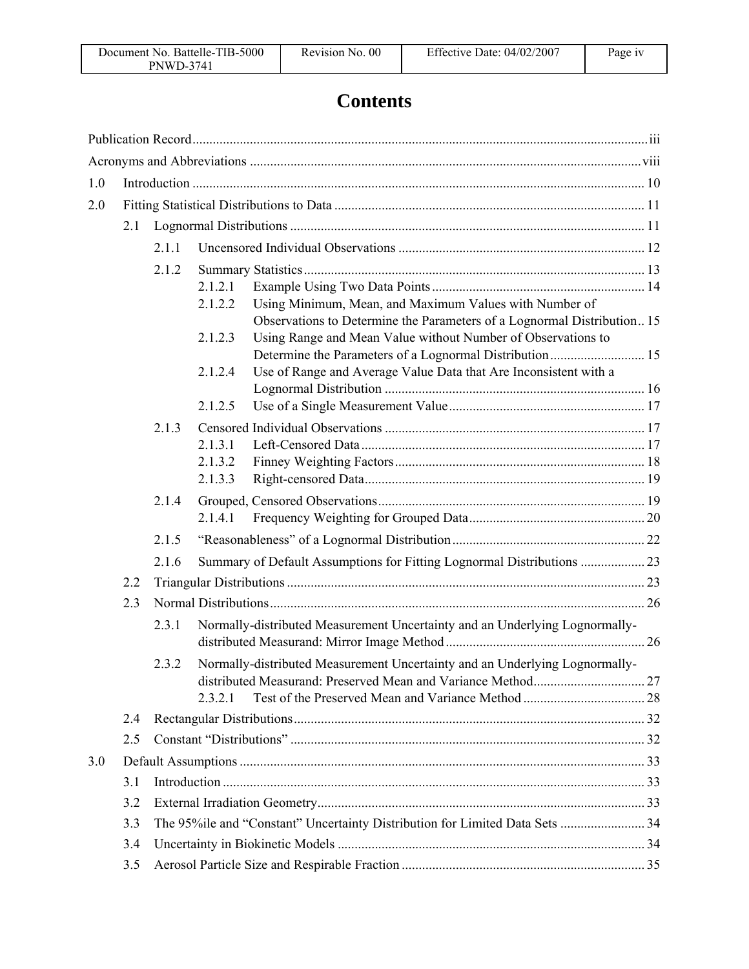# **Contents**

| 1.0 |     |       |                    |                                                                                                                                         |  |
|-----|-----|-------|--------------------|-----------------------------------------------------------------------------------------------------------------------------------------|--|
| 2.0 |     |       |                    |                                                                                                                                         |  |
|     | 2.1 |       |                    |                                                                                                                                         |  |
|     |     | 2.1.1 |                    |                                                                                                                                         |  |
|     |     | 2.1.2 |                    |                                                                                                                                         |  |
|     |     |       | 2.1.2.1            |                                                                                                                                         |  |
|     |     |       | 2.1.2.2            | Using Minimum, Mean, and Maximum Values with Number of                                                                                  |  |
|     |     |       | 2.1.2.3            | Observations to Determine the Parameters of a Lognormal Distribution 15<br>Using Range and Mean Value without Number of Observations to |  |
|     |     |       |                    |                                                                                                                                         |  |
|     |     |       | 2.1.2.4            | Use of Range and Average Value Data that Are Inconsistent with a                                                                        |  |
|     |     |       |                    |                                                                                                                                         |  |
|     |     |       | 2.1.2.5            |                                                                                                                                         |  |
|     |     | 2.1.3 |                    |                                                                                                                                         |  |
|     |     |       | 2.1.3.1<br>2.1.3.2 |                                                                                                                                         |  |
|     |     |       | 2.1.3.3            |                                                                                                                                         |  |
|     |     | 2.1.4 |                    |                                                                                                                                         |  |
|     |     |       | 2.1.4.1            |                                                                                                                                         |  |
|     |     | 2.1.5 |                    |                                                                                                                                         |  |
|     |     | 2.1.6 |                    | Summary of Default Assumptions for Fitting Lognormal Distributions  23                                                                  |  |
|     | 2.2 |       |                    |                                                                                                                                         |  |
|     | 2.3 |       |                    |                                                                                                                                         |  |
|     |     | 2.3.1 |                    | Normally-distributed Measurement Uncertainty and an Underlying Lognormally-                                                             |  |
|     |     |       |                    |                                                                                                                                         |  |
|     |     | 2.3.2 |                    | Normally-distributed Measurement Uncertainty and an Underlying Lognormally-                                                             |  |
|     |     |       |                    |                                                                                                                                         |  |
|     |     |       | 2.3.2.1            |                                                                                                                                         |  |
|     | 2.4 |       |                    |                                                                                                                                         |  |
|     | 2.5 |       |                    |                                                                                                                                         |  |
| 3.0 |     |       |                    |                                                                                                                                         |  |
|     | 3.1 |       |                    |                                                                                                                                         |  |
|     | 3.2 |       |                    |                                                                                                                                         |  |
|     | 3.3 |       |                    | The 95%ile and "Constant" Uncertainty Distribution for Limited Data Sets  34                                                            |  |
|     | 3.4 |       |                    |                                                                                                                                         |  |
|     | 3.5 |       |                    |                                                                                                                                         |  |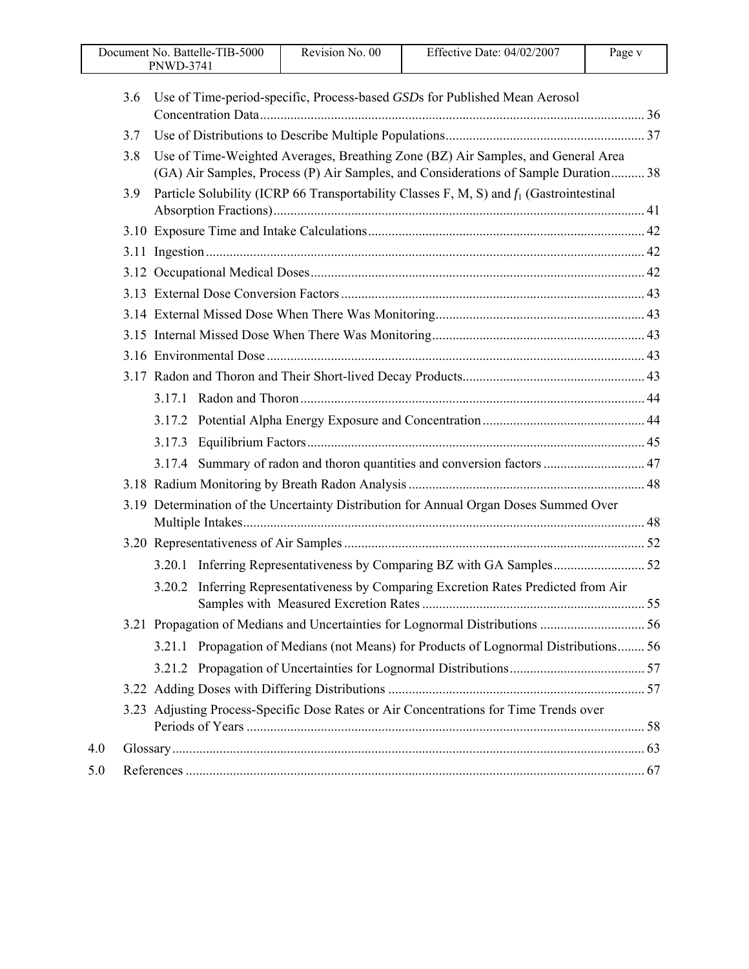| Document No. Battelle-TIB-5000<br><b>PNWD-3741</b> | Revision No. 00 | Effective Date: $04/02/2007$ | Page v |
|----------------------------------------------------|-----------------|------------------------------|--------|
|                                                    |                 |                              |        |

Γ

|     | 3.6 | Use of Time-period-specific, Process-based GSDs for Published Mean Aerosol                                                                                              |  |
|-----|-----|-------------------------------------------------------------------------------------------------------------------------------------------------------------------------|--|
|     | 3.7 |                                                                                                                                                                         |  |
|     | 3.8 | Use of Time-Weighted Averages, Breathing Zone (BZ) Air Samples, and General Area<br>(GA) Air Samples, Process (P) Air Samples, and Considerations of Sample Duration 38 |  |
|     | 3.9 | Particle Solubility (ICRP 66 Transportability Classes F, M, S) and $f_1$ (Gastrointestinal                                                                              |  |
|     |     |                                                                                                                                                                         |  |
|     |     |                                                                                                                                                                         |  |
|     |     |                                                                                                                                                                         |  |
|     |     |                                                                                                                                                                         |  |
|     |     |                                                                                                                                                                         |  |
|     |     |                                                                                                                                                                         |  |
|     |     |                                                                                                                                                                         |  |
|     |     |                                                                                                                                                                         |  |
|     |     |                                                                                                                                                                         |  |
|     |     |                                                                                                                                                                         |  |
|     |     |                                                                                                                                                                         |  |
|     |     | 3.17.4 Summary of radon and thoron quantities and conversion factors  47                                                                                                |  |
|     |     |                                                                                                                                                                         |  |
|     |     | 3.19 Determination of the Uncertainty Distribution for Annual Organ Doses Summed Over                                                                                   |  |
|     |     |                                                                                                                                                                         |  |
|     |     |                                                                                                                                                                         |  |
|     |     | Inferring Representativeness by Comparing Excretion Rates Predicted from Air<br>3.20.2                                                                                  |  |
|     |     |                                                                                                                                                                         |  |
|     |     | Propagation of Medians (not Means) for Products of Lognormal Distributions 56<br>3.21.1                                                                                 |  |
|     |     |                                                                                                                                                                         |  |
|     |     |                                                                                                                                                                         |  |
|     |     | 3.23 Adjusting Process-Specific Dose Rates or Air Concentrations for Time Trends over                                                                                   |  |
| 4.0 |     |                                                                                                                                                                         |  |
| 5.0 |     |                                                                                                                                                                         |  |
|     |     |                                                                                                                                                                         |  |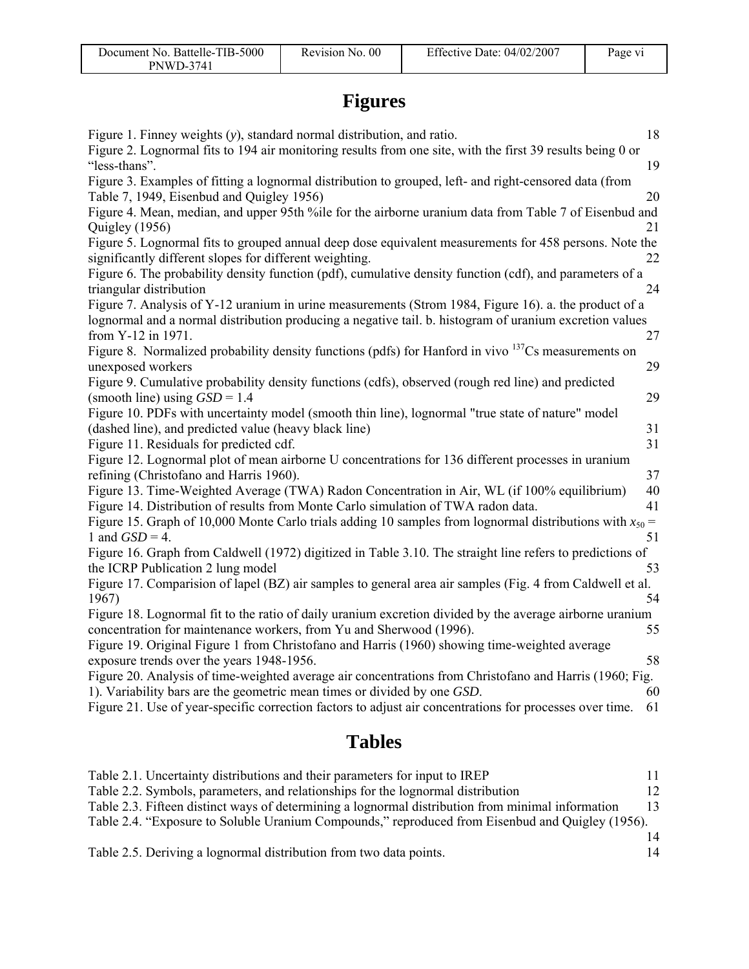# **Figures**

| Figure 1. Finney weights $(y)$ , standard normal distribution, and ratio.                                                                                                                                        | 18       |
|------------------------------------------------------------------------------------------------------------------------------------------------------------------------------------------------------------------|----------|
| Figure 2. Lognormal fits to 194 air monitoring results from one site, with the first 39 results being 0 or<br>"less-thans".                                                                                      | 19       |
| Figure 3. Examples of fitting a lognormal distribution to grouped, left- and right-censored data (from<br>Table 7, 1949, Eisenbud and Quigley 1956)                                                              | 20       |
| Figure 4. Mean, median, and upper 95th %ile for the airborne uranium data from Table 7 of Eisenbud and<br>Quigley (1956)                                                                                         | 21       |
| Figure 5. Lognormal fits to grouped annual deep dose equivalent measurements for 458 persons. Note the<br>significantly different slopes for different weighting.                                                | 22       |
| Figure 6. The probability density function (pdf), cumulative density function (cdf), and parameters of a<br>triangular distribution                                                                              | 24       |
| Figure 7. Analysis of Y-12 uranium in urine measurements (Strom 1984, Figure 16). a. the product of a<br>lognormal and a normal distribution producing a negative tail. b. histogram of uranium excretion values |          |
| from Y-12 in 1971.<br>Figure 8. Normalized probability density functions (pdfs) for Hanford in vivo $137Cs$ measurements on                                                                                      | 27       |
| unexposed workers<br>Figure 9. Cumulative probability density functions (cdfs), observed (rough red line) and predicted                                                                                          | 29       |
| (smooth line) using $GSD = 1.4$<br>Figure 10. PDFs with uncertainty model (smooth thin line), lognormal "true state of nature" model                                                                             | 29       |
| (dashed line), and predicted value (heavy black line)<br>Figure 11. Residuals for predicted cdf.                                                                                                                 | 31<br>31 |
| Figure 12. Lognormal plot of mean airborne U concentrations for 136 different processes in uranium<br>refining (Christofano and Harris 1960).                                                                    | 37       |
| Figure 13. Time-Weighted Average (TWA) Radon Concentration in Air, WL (if 100% equilibrium)<br>Figure 14. Distribution of results from Monte Carlo simulation of TWA radon data.                                 | 40<br>41 |
| Figure 15. Graph of 10,000 Monte Carlo trials adding 10 samples from lognormal distributions with $x_{50}$ =<br>1 and $GSD = 4$ .                                                                                | 51       |
| Figure 16. Graph from Caldwell (1972) digitized in Table 3.10. The straight line refers to predictions of<br>the ICRP Publication 2 lung model                                                                   | 53       |
| Figure 17. Comparision of lapel (BZ) air samples to general area air samples (Fig. 4 from Caldwell et al.<br>1967)                                                                                               | 54       |
| Figure 18. Lognormal fit to the ratio of daily uranium excretion divided by the average airborne uranium<br>concentration for maintenance workers, from Yu and Sherwood (1996).                                  | 55       |
| Figure 19. Original Figure 1 from Christofano and Harris (1960) showing time-weighted average<br>exposure trends over the years 1948-1956.                                                                       | 58       |
| Figure 20. Analysis of time-weighted average air concentrations from Christofano and Harris (1960; Fig.<br>1). Variability bars are the geometric mean times or divided by one GSD.                              | 60       |
| Figure 21. Use of year-specific correction factors to adjust air concentrations for processes over time.                                                                                                         | 61       |
|                                                                                                                                                                                                                  |          |

# **Tables**

| Table 2.1. Uncertainty distributions and their parameters for input to IREP                       |    |
|---------------------------------------------------------------------------------------------------|----|
| Table 2.2. Symbols, parameters, and relationships for the lognormal distribution                  | 12 |
| Table 2.3. Fifteen distinct ways of determining a lognormal distribution from minimal information | 13 |
| Table 2.4. "Exposure to Soluble Uranium Compounds," reproduced from Eisenbud and Quigley (1956).  |    |
|                                                                                                   | 14 |
| Table 2.5. Deriving a lognormal distribution from two data points.                                | 14 |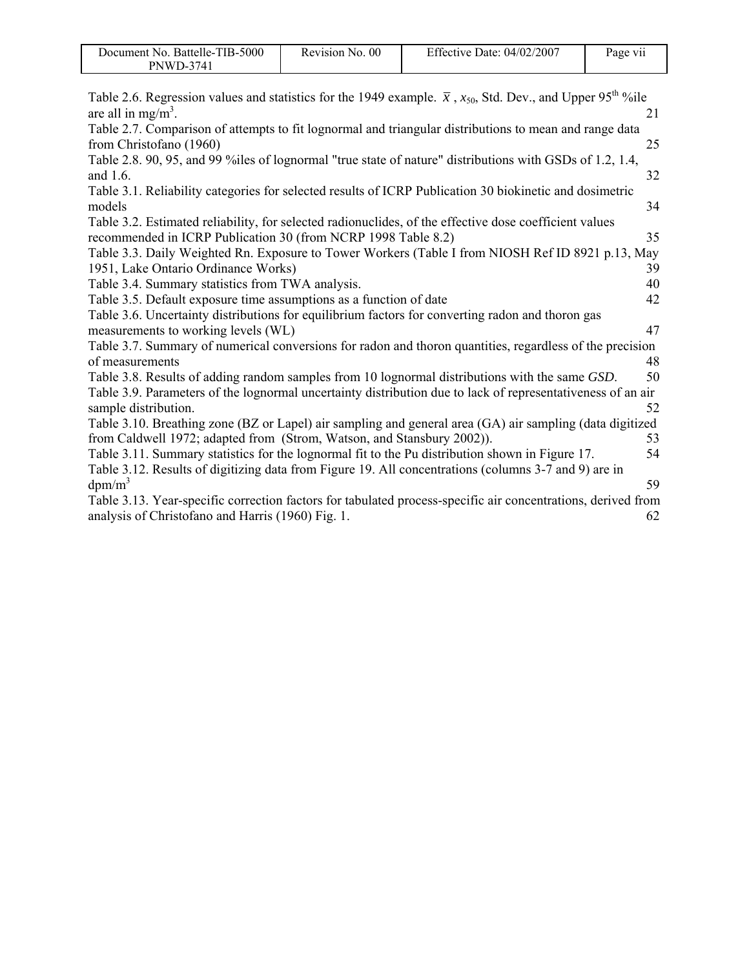| Document No. Battelle-TIB-5000 | Revision No. 00 | Effective Date: $04/02/2007$ | Page vii |
|--------------------------------|-----------------|------------------------------|----------|
| <b>PNWD-3741</b>               |                 |                              |          |

| Table 2.6. Regression values and statistics for the 1949 example. $\bar{x}$ , $x_{50}$ , Std. Dev., and Upper 95 <sup>th</sup> %ile<br>are all in mg/m <sup>3</sup> . |    |
|-----------------------------------------------------------------------------------------------------------------------------------------------------------------------|----|
|                                                                                                                                                                       | 21 |
| Table 2.7. Comparison of attempts to fit lognormal and triangular distributions to mean and range data                                                                |    |
| from Christofano (1960)                                                                                                                                               | 25 |
| Table 2.8. 90, 95, and 99 % iles of lognormal "true state of nature" distributions with GSDs of 1.2, 1.4,<br>and $1.6$ .                                              | 32 |
| Table 3.1. Reliability categories for selected results of ICRP Publication 30 biokinetic and dosimetric                                                               |    |
| models                                                                                                                                                                | 34 |
| Table 3.2. Estimated reliability, for selected radionuclides, of the effective dose coefficient values                                                                |    |
| recommended in ICRP Publication 30 (from NCRP 1998 Table 8.2)                                                                                                         | 35 |
| Table 3.3. Daily Weighted Rn. Exposure to Tower Workers (Table I from NIOSH Ref ID 8921 p.13, May                                                                     |    |
| 1951, Lake Ontario Ordinance Works)                                                                                                                                   | 39 |
| Table 3.4. Summary statistics from TWA analysis.                                                                                                                      | 40 |
| Table 3.5. Default exposure time assumptions as a function of date                                                                                                    | 42 |
| Table 3.6. Uncertainty distributions for equilibrium factors for converting radon and thoron gas                                                                      |    |
| measurements to working levels (WL)                                                                                                                                   | 47 |
| Table 3.7. Summary of numerical conversions for radon and thoron quantities, regardless of the precision                                                              |    |
| of measurements                                                                                                                                                       | 48 |
| Table 3.8. Results of adding random samples from 10 lognormal distributions with the same GSD.                                                                        | 50 |
| Table 3.9. Parameters of the lognormal uncertainty distribution due to lack of representativeness of an air                                                           |    |
| sample distribution.                                                                                                                                                  | 52 |
| Table 3.10. Breathing zone (BZ or Lapel) air sampling and general area (GA) air sampling (data digitized                                                              |    |
| from Caldwell 1972; adapted from (Strom, Watson, and Stansbury 2002)).                                                                                                | 53 |
| Table 3.11. Summary statistics for the lognormal fit to the Pu distribution shown in Figure 17.                                                                       | 54 |
| Table 3.12. Results of digitizing data from Figure 19. All concentrations (columns 3-7 and 9) are in                                                                  |    |
| $dpm/m^3$                                                                                                                                                             | 59 |
| Table 3.13. Year-specific correction factors for tabulated process-specific air concentrations, derived from                                                          |    |
| analysis of Christofano and Harris (1960) Fig. 1.                                                                                                                     | 62 |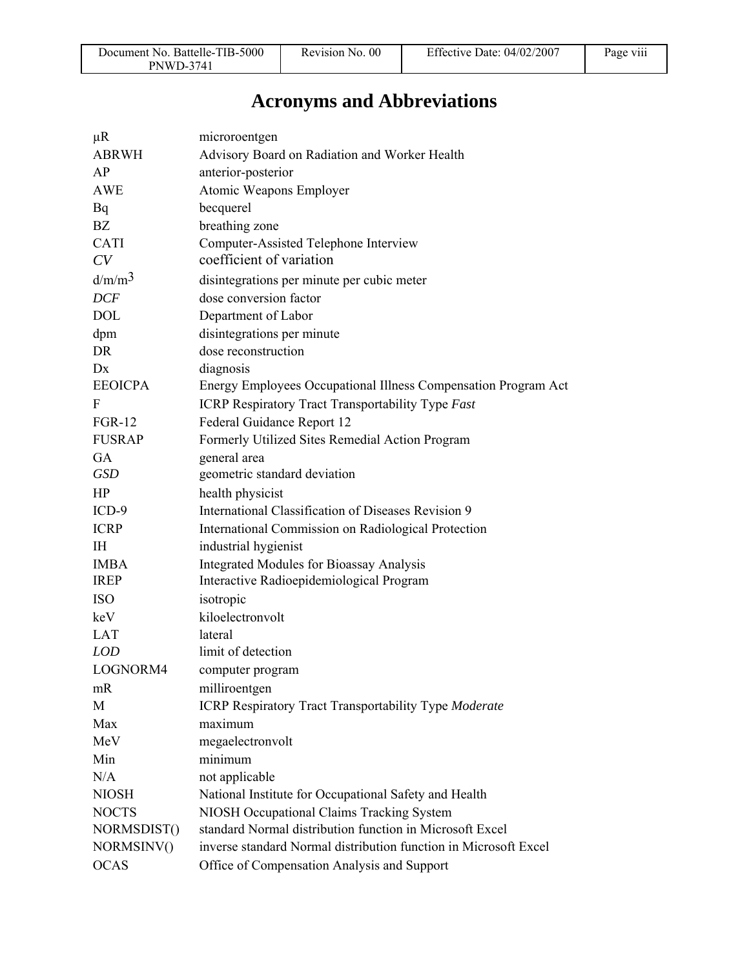# **Acronyms and Abbreviations**

| $\mu$ R            | microroentgen                                                    |
|--------------------|------------------------------------------------------------------|
| <b>ABRWH</b>       | Advisory Board on Radiation and Worker Health                    |
| AP                 | anterior-posterior                                               |
| <b>AWE</b>         | Atomic Weapons Employer                                          |
| Bq                 | becquerel                                                        |
| BZ                 | breathing zone                                                   |
| <b>CATI</b>        | Computer-Assisted Telephone Interview                            |
| CV                 | coefficient of variation                                         |
| d/m/m <sup>3</sup> | disintegrations per minute per cubic meter                       |
| <b>DCF</b>         | dose conversion factor                                           |
| <b>DOL</b>         | Department of Labor                                              |
| dpm                | disintegrations per minute                                       |
| DR                 | dose reconstruction                                              |
| Dx                 | diagnosis                                                        |
| <b>EEOICPA</b>     | Energy Employees Occupational Illness Compensation Program Act   |
| F                  | <b>ICRP Respiratory Tract Transportability Type Fast</b>         |
| <b>FGR-12</b>      | Federal Guidance Report 12                                       |
| <b>FUSRAP</b>      | Formerly Utilized Sites Remedial Action Program                  |
| <b>GA</b>          | general area                                                     |
| <b>GSD</b>         | geometric standard deviation                                     |
| HP                 | health physicist                                                 |
| $ICD-9$            | International Classification of Diseases Revision 9              |
| <b>ICRP</b>        | International Commission on Radiological Protection              |
| <b>IH</b>          | industrial hygienist                                             |
| <b>IMBA</b>        | <b>Integrated Modules for Bioassay Analysis</b>                  |
| <b>IREP</b>        | Interactive Radioepidemiological Program                         |
| <b>ISO</b>         | isotropic                                                        |
| keV                | kiloelectronvolt                                                 |
| <b>LAT</b>         | lateral                                                          |
| <b>LOD</b>         | limit of detection                                               |
| LOGNORM4           | computer program                                                 |
| mR                 | milliroentgen                                                    |
| M                  | ICRP Respiratory Tract Transportability Type Moderate            |
| Max                | maximum                                                          |
| MeV                | megaelectronvolt                                                 |
| Min                | minimum                                                          |
| N/A                | not applicable                                                   |
| <b>NIOSH</b>       | National Institute for Occupational Safety and Health            |
| <b>NOCTS</b>       | NIOSH Occupational Claims Tracking System                        |
| NORMSDIST()        | standard Normal distribution function in Microsoft Excel         |
| NORMSINV()         | inverse standard Normal distribution function in Microsoft Excel |
| <b>OCAS</b>        | Office of Compensation Analysis and Support                      |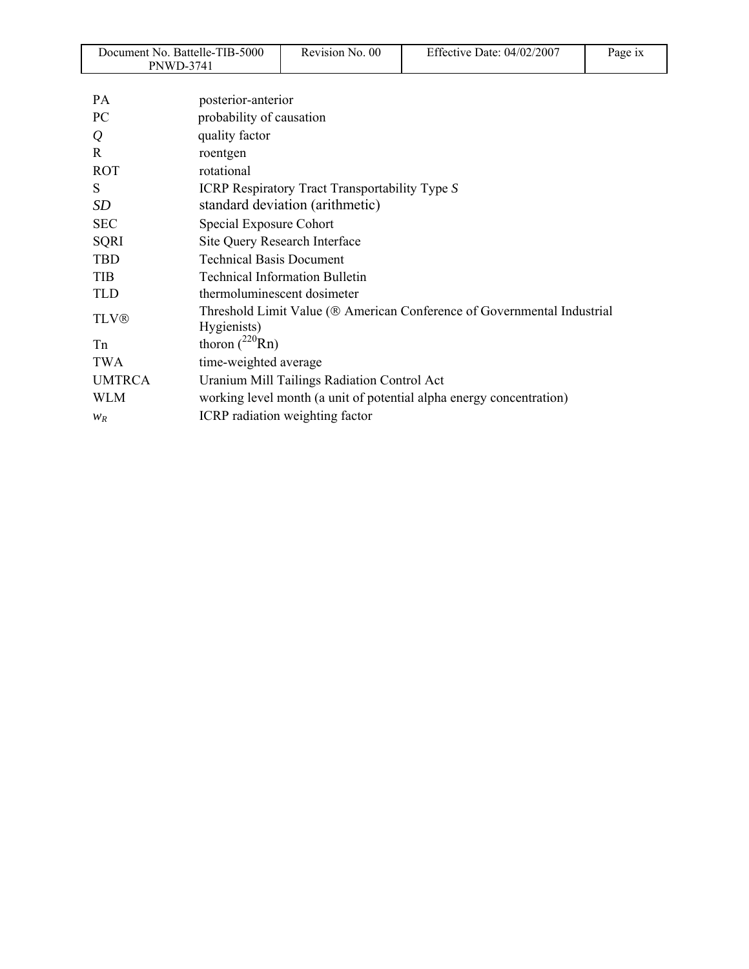| Document No. Battelle-TIB-5000<br>PNWD-3741 |                                                                                        | Revision No. 00                                       | Effective Date: 04/02/2007 | Page ix |
|---------------------------------------------|----------------------------------------------------------------------------------------|-------------------------------------------------------|----------------------------|---------|
|                                             |                                                                                        |                                                       |                            |         |
| <b>PA</b>                                   | posterior-anterior                                                                     |                                                       |                            |         |
| PC                                          | probability of causation                                                               |                                                       |                            |         |
| $\varrho$                                   | quality factor                                                                         |                                                       |                            |         |
| R                                           | roentgen                                                                               |                                                       |                            |         |
| <b>ROT</b>                                  | rotational                                                                             |                                                       |                            |         |
| S                                           |                                                                                        | <b>ICRP Respiratory Tract Transportability Type S</b> |                            |         |
| <b>SD</b>                                   |                                                                                        | standard deviation (arithmetic)                       |                            |         |
| <b>SEC</b>                                  | Special Exposure Cohort                                                                |                                                       |                            |         |
| <b>SQRI</b>                                 | Site Query Research Interface                                                          |                                                       |                            |         |
| <b>TBD</b>                                  | <b>Technical Basis Document</b>                                                        |                                                       |                            |         |
| <b>TIB</b>                                  |                                                                                        | <b>Technical Information Bulletin</b>                 |                            |         |
| <b>TLD</b>                                  | thermoluminescent dosimeter                                                            |                                                       |                            |         |
| <b>TLV®</b>                                 | Threshold Limit Value (® American Conference of Governmental Industrial<br>Hygienists) |                                                       |                            |         |
| Tn                                          | thoron $(^{220}$ Rn)                                                                   |                                                       |                            |         |
| <b>TWA</b>                                  | time-weighted average                                                                  |                                                       |                            |         |
| <b>UMTRCA</b>                               |                                                                                        | Uranium Mill Tailings Radiation Control Act           |                            |         |
| <b>WLM</b>                                  | working level month (a unit of potential alpha energy concentration)                   |                                                       |                            |         |
| $W_R$                                       |                                                                                        | ICRP radiation weighting factor                       |                            |         |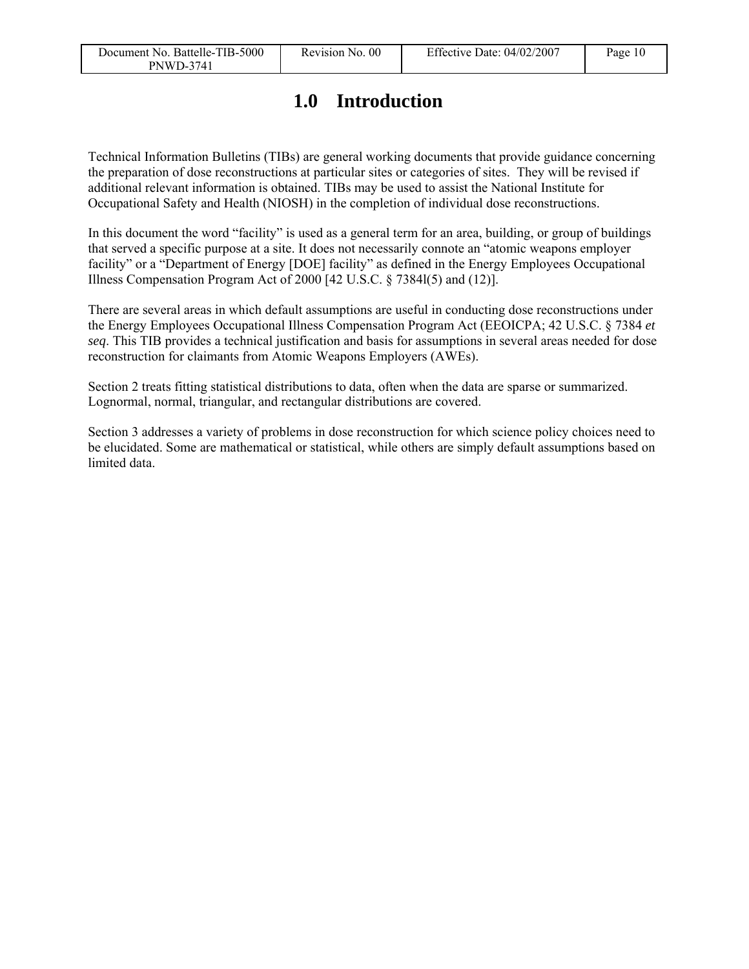# **1.0 Introduction**

Technical Information Bulletins (TIBs) are general working documents that provide guidance concerning the preparation of dose reconstructions at particular sites or categories of sites. They will be revised if additional relevant information is obtained. TIBs may be used to assist the National Institute for Occupational Safety and Health (NIOSH) in the completion of individual dose reconstructions.

In this document the word "facility" is used as a general term for an area, building, or group of buildings that served a specific purpose at a site. It does not necessarily connote an "atomic weapons employer facility" or a "Department of Energy [DOE] facility" as defined in the Energy Employees Occupational Illness Compensation Program Act of 2000 [42 U.S.C. § 7384l(5) and (12)].

There are several areas in which default assumptions are useful in conducting dose reconstructions under the Energy Employees Occupational Illness Compensation Program Act (EEOICPA; 42 U.S.C. § 7384 *et seq*. This TIB provides a technical justification and basis for assumptions in several areas needed for dose reconstruction for claimants from Atomic Weapons Employers (AWEs).

Section 2 treats fitting statistical distributions to data, often when the data are sparse or summarized. Lognormal, normal, triangular, and rectangular distributions are covered.

Section 3 addresses a variety of problems in dose reconstruction for which science policy choices need to be elucidated. Some are mathematical or statistical, while others are simply default assumptions based on limited data.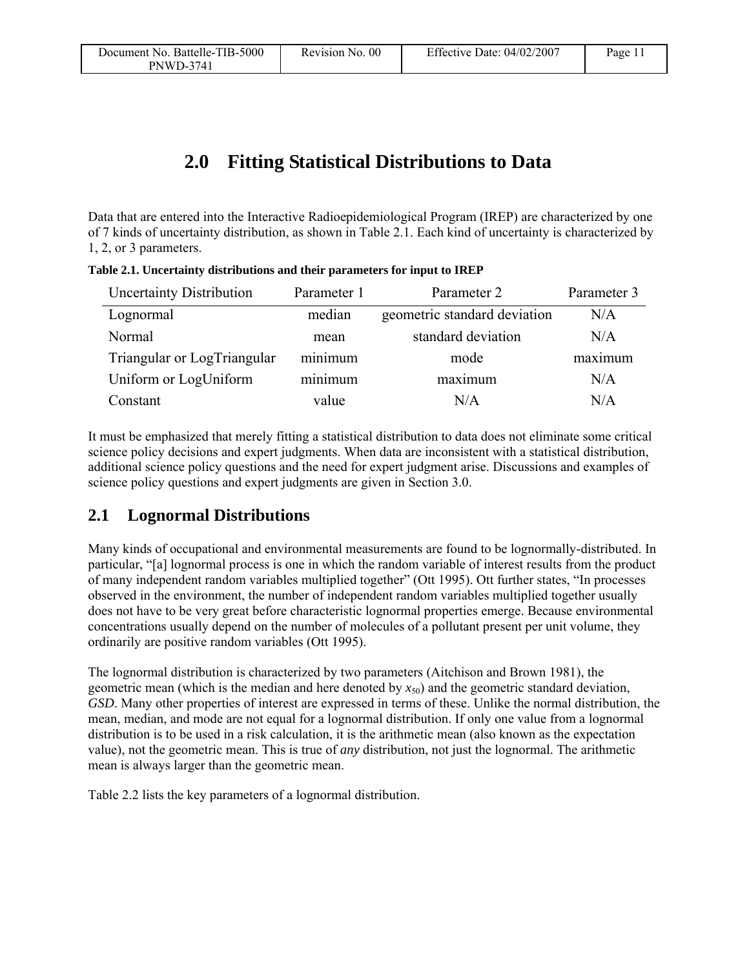# **2.0 Fitting Statistical Distributions to Data**

Data that are entered into the Interactive Radioepidemiological Program (IREP) are characterized by one of 7 kinds of uncertainty distribution, as shown in Table 2.1. Each kind of uncertainty is characterized by 1, 2, or 3 parameters.

| <b>Uncertainty Distribution</b> | Parameter 1 | Parameter 2                  | Parameter 3 |
|---------------------------------|-------------|------------------------------|-------------|
| Lognormal                       | median      | geometric standard deviation | N/A         |
| Normal                          | mean        | standard deviation           | N/A         |
| Triangular or LogTriangular     | minimum     | mode                         | maximum     |
| Uniform or LogUniform           | minimum     | maximum                      | N/A         |
| Constant                        | value       | N/A                          | N/A         |

**Table 2.1. Uncertainty distributions and their parameters for input to IREP** 

It must be emphasized that merely fitting a statistical distribution to data does not eliminate some critical science policy decisions and expert judgments. When data are inconsistent with a statistical distribution, additional science policy questions and the need for expert judgment arise. Discussions and examples of science policy questions and expert judgments are given in Section 3.0.

### **2.1 Lognormal Distributions**

Many kinds of occupational and environmental measurements are found to be lognormally-distributed. In particular, "[a] lognormal process is one in which the random variable of interest results from the product of many independent random variables multiplied together" (Ott 1995). Ott further states, "In processes observed in the environment, the number of independent random variables multiplied together usually does not have to be very great before characteristic lognormal properties emerge. Because environmental concentrations usually depend on the number of molecules of a pollutant present per unit volume, they ordinarily are positive random variables (Ott 1995).

The lognormal distribution is characterized by two parameters (Aitchison and Brown 1981), the geometric mean (which is the median and here denoted by  $x_{50}$ ) and the geometric standard deviation, *GSD*. Many other properties of interest are expressed in terms of these. Unlike the normal distribution, the mean, median, and mode are not equal for a lognormal distribution. If only one value from a lognormal distribution is to be used in a risk calculation, it is the arithmetic mean (also known as the expectation value), not the geometric mean. This is true of *any* distribution, not just the lognormal. The arithmetic mean is always larger than the geometric mean.

Table 2.2 lists the key parameters of a lognormal distribution.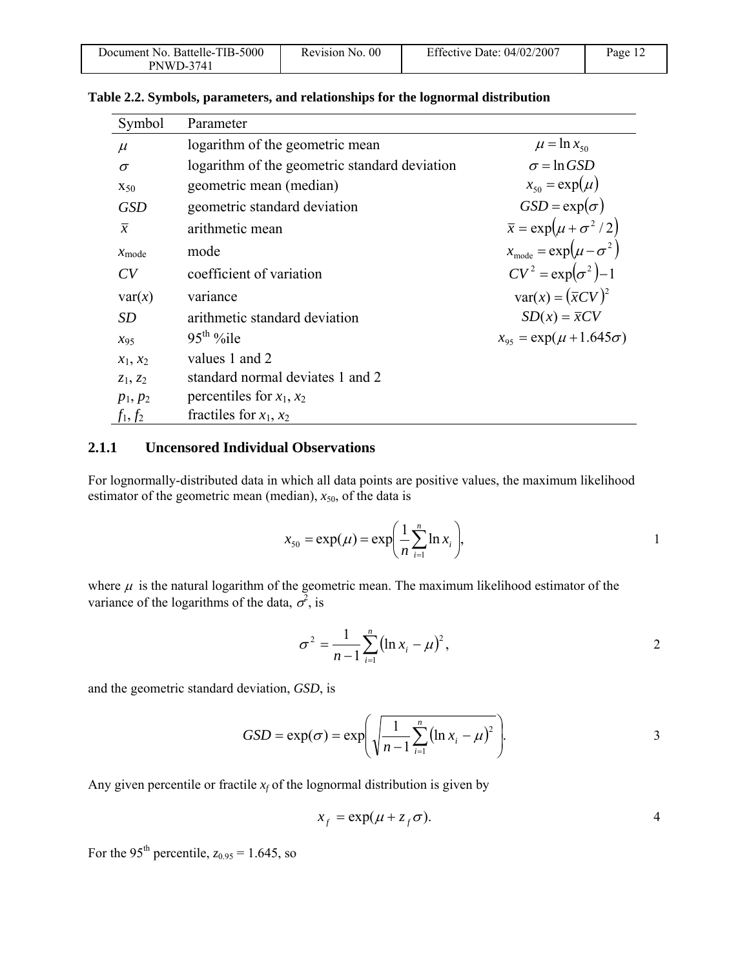| Document No. Battelle-TIB-5000 | Revision No. 00 | Effective Date: $04/02/2007$ | Page $12$ |
|--------------------------------|-----------------|------------------------------|-----------|
| PNWD-3741                      |                 |                              |           |

| Symbol            | Parameter                                     |                                          |
|-------------------|-----------------------------------------------|------------------------------------------|
| $\mu$             | logarithm of the geometric mean               | $\mu = \ln x_{50}$                       |
| $\sigma$          | logarithm of the geometric standard deviation | $\sigma$ = ln GSD                        |
| $X_{50}$          | geometric mean (median)                       | $x_{50} = \exp(\mu)$                     |
| <b>GSD</b>        | geometric standard deviation                  | $GSD = \exp(\sigma)$                     |
| $\overline{x}$    | arithmetic mean                               | $\bar{x} = \exp(\mu + \sigma^2/2)$       |
| $x_{\text{mode}}$ | mode                                          | $x_{\text{mode}} = \exp(\mu - \sigma^2)$ |
| CV                | coefficient of variation                      | $CV^2 = \exp(\sigma^2) - 1$              |
| var(x)            | variance                                      | $var(x) = (\overline{x}CV)^2$            |
| SD                | arithmetic standard deviation                 | $SD(x) = \overline{x}CV$                 |
| $x_{95}$          | $95th$ %ile                                   | $x_{95} = \exp(\mu + 1.645\sigma)$       |
| $x_1, x_2$        | values 1 and 2                                |                                          |
| $z_1, z_2$        | standard normal deviates 1 and 2              |                                          |
| $p_1, p_2$        | percentiles for $x_1, x_2$                    |                                          |
| $f_1, f_2$        | fractiles for $x_1, x_2$                      |                                          |

**Table 2.2. Symbols, parameters, and relationships for the lognormal distribution** 

#### **2.1.1 Uncensored Individual Observations**

For lognormally-distributed data in which all data points are positive values, the maximum likelihood estimator of the geometric mean (median),  $x_{50}$ , of the data is

$$
x_{50} = \exp(\mu) = \exp\left(\frac{1}{n}\sum_{i=1}^{n} \ln x_i\right),
$$
 1

where  $\mu$  is the natural logarithm of the geometric mean. The maximum likelihood estimator of the variance of the logarithms of the data,  $\sigma^2$ , is

$$
\sigma^2 = \frac{1}{n-1} \sum_{i=1}^n (\ln x_i - \mu)^2, \qquad (2)
$$

and the geometric standard deviation, *GSD*, is

$$
GSD = \exp(\sigma) = \exp\left(\sqrt{\frac{1}{n-1}\sum_{i=1}^{n} (\ln x_i - \mu)^2}\right).
$$

Any given percentile or fractile  $x_f$  of the lognormal distribution is given by

$$
x_f = \exp(\mu + z_f \sigma). \tag{4}
$$

For the 95<sup>th</sup> percentile,  $z_{0.95} = 1.645$ , so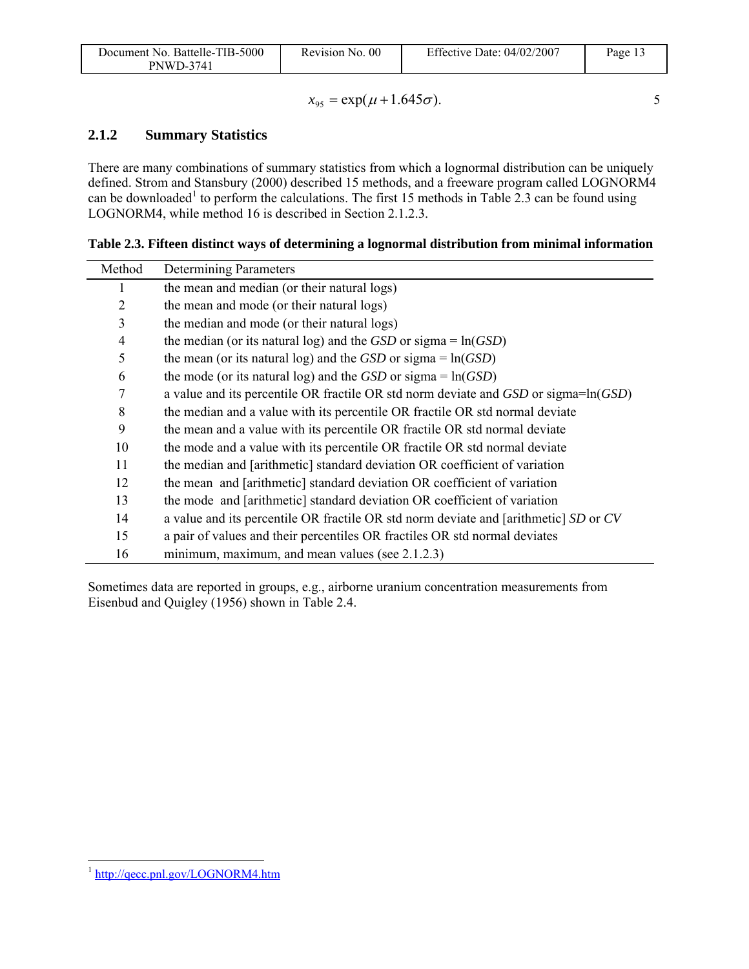| Document No. Battelle-TIB-5000 | Revision No. 00 | Effective Date: $04/02/2007$ | $P$ age 1. |
|--------------------------------|-----------------|------------------------------|------------|
| PNWD-3741                      |                 |                              |            |

$$
x_{95} = \exp(\mu + 1.645\sigma).
$$

### **2.1.2 Summary Statistics**

There are many combinations of summary statistics from which a lognormal distribution can be uniquely defined. Strom and Stansbury (2000) described 15 methods, and a freeware program called LOGNORM4 can be downloaded<sup>1</sup> to perform the calculations. The first 15 methods in Table 2.3 can be found using LOGNORM4, while method 16 is described in Section 2.1.2.3.

**Table 2.3. Fifteen distinct ways of determining a lognormal distribution from minimal information** 

| Method         | Determining Parameters                                                               |
|----------------|--------------------------------------------------------------------------------------|
|                | the mean and median (or their natural logs)                                          |
| $\overline{2}$ | the mean and mode (or their natural logs)                                            |
| 3              | the median and mode (or their natural logs)                                          |
| $\overline{4}$ | the median (or its natural log) and the <i>GSD</i> or sigma = $ln(GSD)$              |
| 5              | the mean (or its natural log) and the <i>GSD</i> or sigma = $ln(GSD)$                |
| 6              | the mode (or its natural log) and the $GSD$ or sigma = $ln(GSD)$                     |
| 7              | a value and its percentile OR fractile OR std norm deviate and GSD or sigma=ln(GSD)  |
| 8              | the median and a value with its percentile OR fractile OR std normal deviate         |
| 9              | the mean and a value with its percentile OR fractile OR std normal deviate           |
| 10             | the mode and a value with its percentile OR fractile OR std normal deviate           |
| 11             | the median and [arithmetic] standard deviation OR coefficient of variation           |
| 12             | the mean and [arithmetic] standard deviation OR coefficient of variation             |
| 13             | the mode and [arithmetic] standard deviation OR coefficient of variation             |
| 14             | a value and its percentile OR fractile OR std norm deviate and [arithmetic] SD or CV |
| 15             | a pair of values and their percentiles OR fractiles OR std normal deviates           |
| 16             | minimum, maximum, and mean values (see 2.1.2.3)                                      |

Sometimes data are reported in groups, e.g., airborne uranium concentration measurements from Eisenbud and Quigley (1956) shown in Table 2.4.

1

<sup>1</sup> http://qecc.pnl.gov/LOGNORM4.htm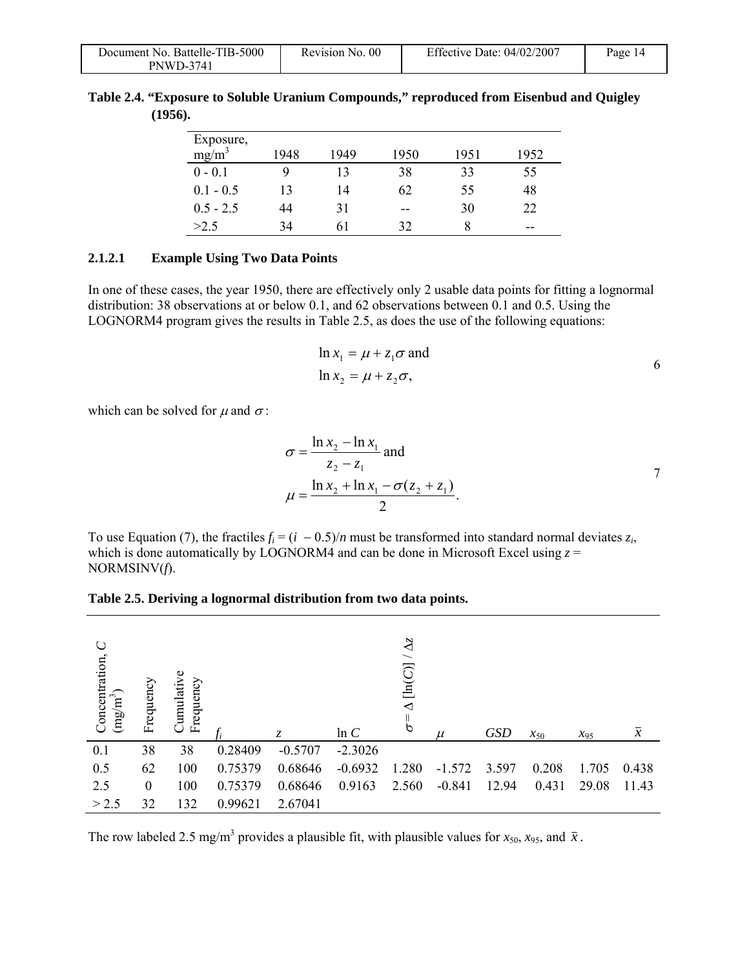| Document No. Battelle-TIB-5000 | Revision No. 00 | Effective Date: 04/02/2007 | Page 14 |
|--------------------------------|-----------------|----------------------------|---------|
| <b>PNWD-3741</b>               |                 |                            |         |

| Table 2.4. "Exposure to Soluble Uranium Compounds," reproduced from Eisenbud and Quigley |  |  |  |
|------------------------------------------------------------------------------------------|--|--|--|
| (1956).                                                                                  |  |  |  |

| Exposure,   |      |      |      |      |      |
|-------------|------|------|------|------|------|
| $mg/m^3$    | 1948 | 1949 | 1950 | 1951 | 1952 |
| $0 - 0.1$   | 9    | 13   | 38   | 33   | 55   |
| $0.1 - 0.5$ | 13   | 14   | 62   | 55   | 48   |
| $0.5 - 2.5$ | 44   | 31   | --   | 30   | 22   |
| >2.5        | 34   | h I  | 32   | 8    | --   |

#### **2.1.2.1 Example Using Two Data Points**

In one of these cases, the year 1950, there are effectively only 2 usable data points for fitting a lognormal distribution: 38 observations at or below 0.1, and 62 observations between 0.1 and 0.5. Using the LOGNORM4 program gives the results in Table 2.5, as does the use of the following equations:

$$
\ln x_1 = \mu + z_1 \sigma \text{ and}
$$
  

$$
\ln x_2 = \mu + z_2 \sigma,
$$

which can be solved for  $\mu$  and  $\sigma$ :

$$
\sigma = \frac{\ln x_2 - \ln x_1}{z_2 - z_1} \text{ and}
$$
  
\n
$$
\mu = \frac{\ln x_2 + \ln x_1 - \sigma(z_2 + z_1)}{2}.
$$

To use Equation (7), the fractiles  $f_i = (i - 0.5)/n$  must be transformed into standard normal deviates  $z_i$ , which is done automatically by LOGNORM4 and can be done in Microsoft Excel using  $z =$ NORMSINV(*f*).

|  |  | Table 2.5. Deriving a lognormal distribution from two data points. |  |  |
|--|--|--------------------------------------------------------------------|--|--|
|  |  |                                                                    |  |  |

| Ő<br>Concentration,<br>$\left(\text{mg/m}^3\right)$ | Frequency | Cumulative<br>Frequency |         | Z.        | ln C      | $\Delta z$<br>$\overline{\phantom{0}}$<br>[ln(C)]<br>◁<br>Ш<br>$\ddot{\sigma}$ | $\mu$    | <b>GSD</b> | $x_{50}$ | $x_{95}$ | $\overline{x}$ |
|-----------------------------------------------------|-----------|-------------------------|---------|-----------|-----------|--------------------------------------------------------------------------------|----------|------------|----------|----------|----------------|
| 0.1                                                 | 38        | 38                      | 0.28409 | $-0.5707$ | $-2.3026$ |                                                                                |          |            |          |          |                |
| 0.5                                                 | 62        | 100                     | 0.75379 | 0.68646   | $-0.6932$ | 1.280                                                                          | $-1.572$ | 3.597      | 0.208    | 1.705    | 0.438          |
| 2.5                                                 | $\theta$  | 100                     | 0.75379 | 0.68646   | 0.9163    | 2.560                                                                          | $-0.841$ | 12.94      | 0.431    | 29.08    | 11.43          |
| > 2.5                                               | 32        | 132                     | 0.99621 | 2.67041   |           |                                                                                |          |            |          |          |                |

The row labeled 2.5 mg/m<sup>3</sup> provides a plausible fit, with plausible values for  $x_{50}$ ,  $x_{95}$ , and  $\bar{x}$ .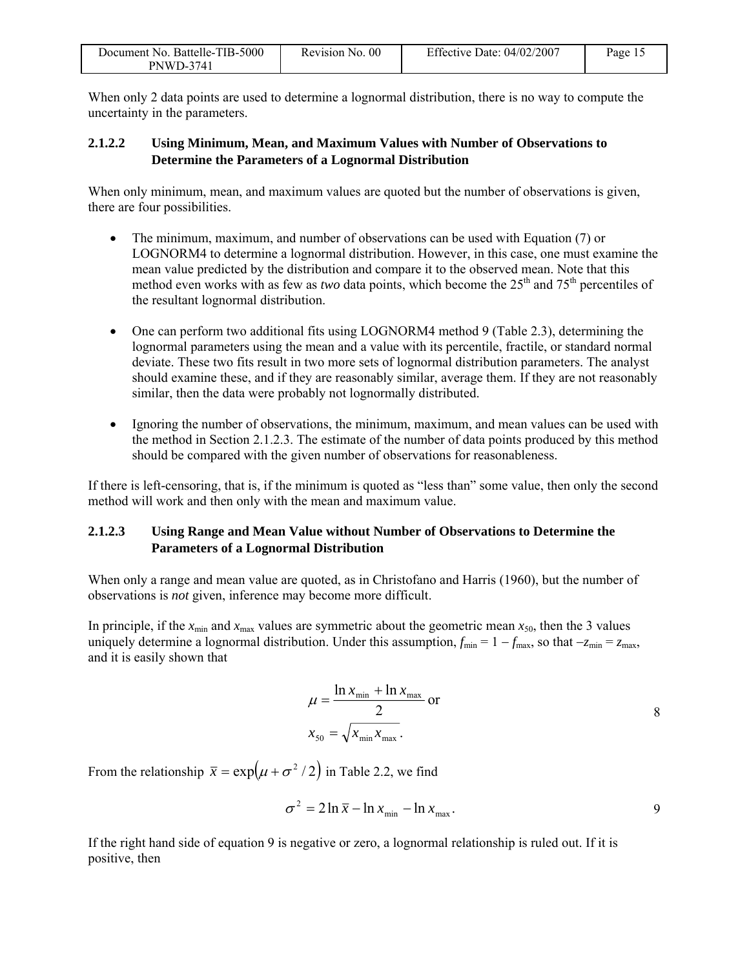| Document No. Battelle-TIB-5000 | Revision No. 00 | Effective Date: $04/02/2007$ | Page 1. |
|--------------------------------|-----------------|------------------------------|---------|
| PNWD-3741                      |                 |                              |         |

When only 2 data points are used to determine a lognormal distribution, there is no way to compute the uncertainty in the parameters.

#### **2.1.2.2 Using Minimum, Mean, and Maximum Values with Number of Observations to Determine the Parameters of a Lognormal Distribution**

When only minimum, mean, and maximum values are quoted but the number of observations is given, there are four possibilities.

- The minimum, maximum, and number of observations can be used with Equation (7) or LOGNORM4 to determine a lognormal distribution. However, in this case, one must examine the mean value predicted by the distribution and compare it to the observed mean. Note that this method even works with as few as *two* data points, which become the  $25<sup>th</sup>$  and  $75<sup>th</sup>$  percentiles of the resultant lognormal distribution.
- One can perform two additional fits using LOGNORM4 method 9 (Table 2.3), determining the lognormal parameters using the mean and a value with its percentile, fractile, or standard normal deviate. These two fits result in two more sets of lognormal distribution parameters. The analyst should examine these, and if they are reasonably similar, average them. If they are not reasonably similar, then the data were probably not lognormally distributed.
- Ignoring the number of observations, the minimum, maximum, and mean values can be used with the method in Section 2.1.2.3. The estimate of the number of data points produced by this method should be compared with the given number of observations for reasonableness.

If there is left-censoring, that is, if the minimum is quoted as "less than" some value, then only the second method will work and then only with the mean and maximum value.

#### **2.1.2.3 Using Range and Mean Value without Number of Observations to Determine the Parameters of a Lognormal Distribution**

When only a range and mean value are quoted, as in Christofano and Harris (1960), but the number of observations is *not* given, inference may become more difficult.

In principle, if the  $x_{min}$  and  $x_{max}$  values are symmetric about the geometric mean  $x_{50}$ , then the 3 values uniquely determine a lognormal distribution. Under this assumption,  $f_{\min} = 1 - f_{\max}$ , so that  $-z_{\min} = z_{\max}$ , and it is easily shown that

$$
\mu = \frac{\ln x_{\min} + \ln x_{\max}}{2} \text{ or}
$$

$$
x_{50} = \sqrt{x_{\min} x_{\max}}.
$$
8

From the relationship  $\bar{x} = \exp(\mu + \sigma^2/2)$  in Table 2.2, we find

$$
\sigma^2 = 2\ln \overline{x} - \ln x_{\min} - \ln x_{\max}.
$$

If the right hand side of equation 9 is negative or zero, a lognormal relationship is ruled out. If it is positive, then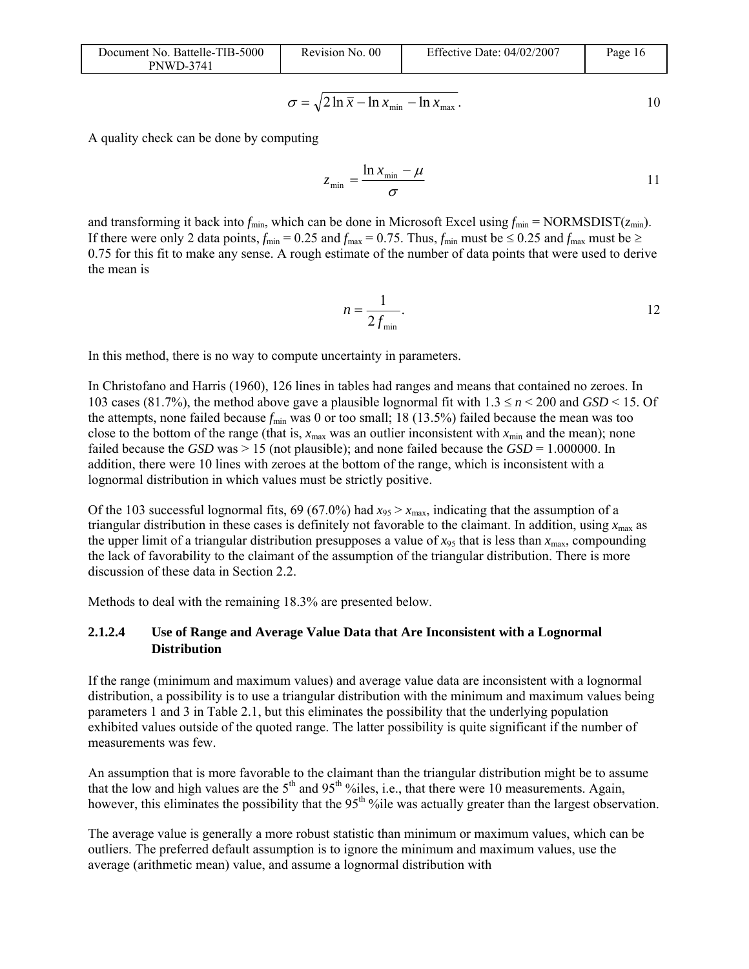| Document No. Battelle-TIB-5000 |
|--------------------------------|
| <b>PNWD-3741</b>               |

Revision No. 00 Effective Date: 04/02/2007 Page 16

$$
\sigma = \sqrt{2\ln\overline{x} - \ln x_{\min} - \ln x_{\max}}.
$$

A quality check can be done by computing

$$
z_{\min} = \frac{\ln x_{\min} - \mu}{\sigma} \tag{11}
$$

and transforming it back into  $f_{\text{min}}$ , which can be done in Microsoft Excel using  $f_{\text{min}} = \text{NORMSDIST}(z_{\text{min}})$ . If there were only 2 data points,  $f_{\text{min}} = 0.25$  and  $f_{\text{max}} = 0.75$ . Thus,  $f_{\text{min}}$  must be  $\leq 0.25$  and  $f_{\text{max}}$  must be  $\geq$ 0.75 for this fit to make any sense. A rough estimate of the number of data points that were used to derive the mean is

$$
n = \frac{1}{2f_{\min}}.\t\t\t\t12
$$

In this method, there is no way to compute uncertainty in parameters.

In Christofano and Harris (1960), 126 lines in tables had ranges and means that contained no zeroes. In 103 cases (81.7%), the method above gave a plausible lognormal fit with 1.3 ≤ *n* < 200 and *GSD* < 15. Of the attempts, none failed because  $f_{\text{min}}$  was 0 or too small; 18 (13.5%) failed because the mean was too close to the bottom of the range (that is,  $x_{\text{max}}$  was an outlier inconsistent with  $x_{\text{min}}$  and the mean); none failed because the *GSD* was > 15 (not plausible); and none failed because the *GSD* = 1.000000. In addition, there were 10 lines with zeroes at the bottom of the range, which is inconsistent with a lognormal distribution in which values must be strictly positive.

Of the 103 successful lognormal fits, 69 (67.0%) had  $x_{95} > x_{\text{max}}$ , indicating that the assumption of a triangular distribution in these cases is definitely not favorable to the claimant. In addition, using  $x_{\text{max}}$  as the upper limit of a triangular distribution presupposes a value of  $x_{95}$  that is less than  $x_{\text{max}}$ , compounding the lack of favorability to the claimant of the assumption of the triangular distribution. There is more discussion of these data in Section 2.2.

Methods to deal with the remaining 18.3% are presented below.

#### **2.1.2.4 Use of Range and Average Value Data that Are Inconsistent with a Lognormal Distribution**

If the range (minimum and maximum values) and average value data are inconsistent with a lognormal distribution, a possibility is to use a triangular distribution with the minimum and maximum values being parameters 1 and 3 in Table 2.1, but this eliminates the possibility that the underlying population exhibited values outside of the quoted range. The latter possibility is quite significant if the number of measurements was few.

An assumption that is more favorable to the claimant than the triangular distribution might be to assume that the low and high values are the  $5<sup>th</sup>$  and  $95<sup>th</sup>$  %iles, i.e., that there were 10 measurements. Again, however, this eliminates the possibility that the 95<sup>th</sup> %ile was actually greater than the largest observation.

The average value is generally a more robust statistic than minimum or maximum values, which can be outliers. The preferred default assumption is to ignore the minimum and maximum values, use the average (arithmetic mean) value, and assume a lognormal distribution with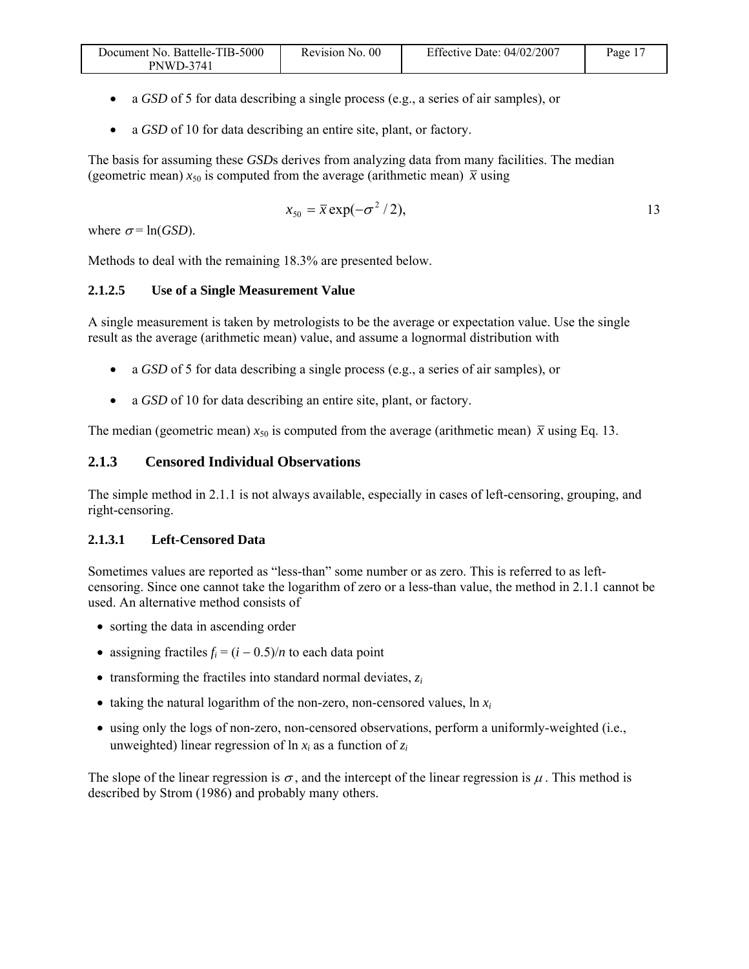| Document No. Battelle-TIB-5000 | Revision No. 00 | Effective Date: 04/02/2007 | Page $_1$ . |
|--------------------------------|-----------------|----------------------------|-------------|
| <b>PNWD-3741</b>               |                 |                            |             |

- a *GSD* of 5 for data describing a single process (e.g., a series of air samples), or
- a *GSD* of 10 for data describing an entire site, plant, or factory.

The basis for assuming these *GSD*s derives from analyzing data from many facilities. The median (geometric mean)  $x_{50}$  is computed from the average (arithmetic mean)  $\bar{x}$  using

$$
x_{50} = \bar{x} \exp(-\sigma^2/2), \tag{13}
$$

where  $\sigma$ = ln(*GSD*).

Methods to deal with the remaining 18.3% are presented below.

#### **2.1.2.5 Use of a Single Measurement Value**

A single measurement is taken by metrologists to be the average or expectation value. Use the single result as the average (arithmetic mean) value, and assume a lognormal distribution with

- a *GSD* of 5 for data describing a single process (e.g., a series of air samples), or
- a *GSD* of 10 for data describing an entire site, plant, or factory.

The median (geometric mean)  $x_{50}$  is computed from the average (arithmetic mean)  $\bar{x}$  using Eq. 13.

#### **2.1.3 Censored Individual Observations**

The simple method in 2.1.1 is not always available, especially in cases of left-censoring, grouping, and right-censoring.

#### **2.1.3.1 Left-Censored Data**

Sometimes values are reported as "less-than" some number or as zero. This is referred to as leftcensoring. Since one cannot take the logarithm of zero or a less-than value, the method in 2.1.1 cannot be used. An alternative method consists of

- sorting the data in ascending order
- assigning fractiles  $f_i = (i 0.5)/n$  to each data point
- transforming the fractiles into standard normal deviates, *zi*
- taking the natural logarithm of the non-zero, non-censored values,  $\ln x_i$
- using only the logs of non-zero, non-censored observations, perform a uniformly-weighted (i.e., unweighted) linear regression of  $\ln x_i$  as a function of  $z_i$

The slope of the linear regression is  $\sigma$ , and the intercept of the linear regression is  $\mu$ . This method is described by Strom (1986) and probably many others.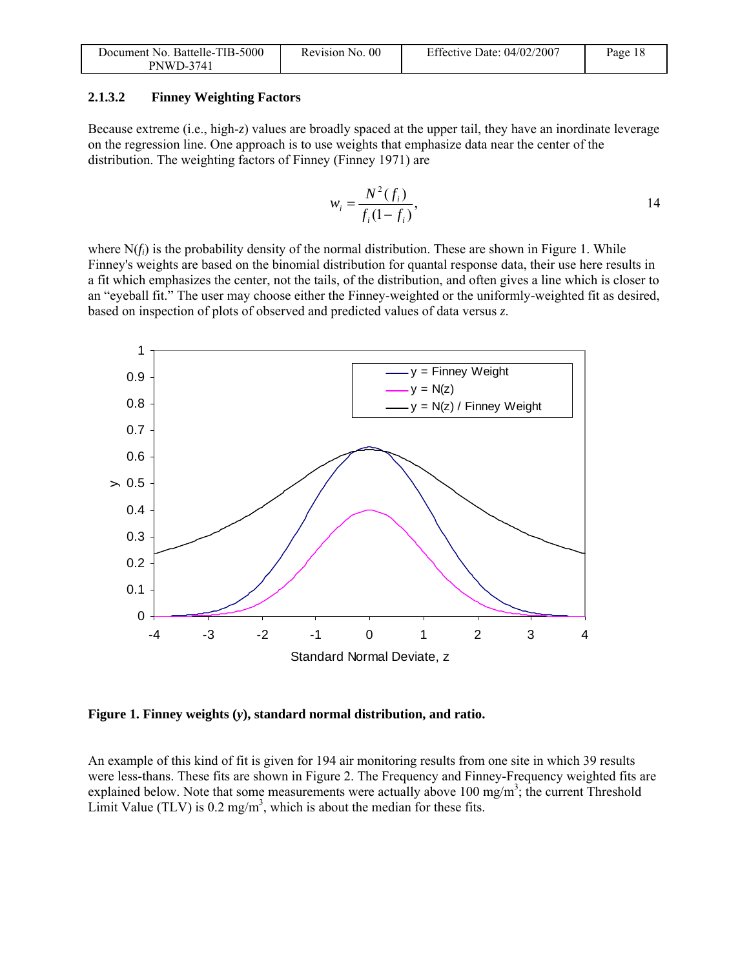| Document No. Battelle-TIB-5000 | Revision No. 00 | Effective Date: 04/02/2007 | Page 18 |
|--------------------------------|-----------------|----------------------------|---------|
| <b>PNWD-3741</b>               |                 |                            |         |

#### **2.1.3.2 Finney Weighting Factors**

Because extreme (i.e., high-*z*) values are broadly spaced at the upper tail, they have an inordinate leverage on the regression line. One approach is to use weights that emphasize data near the center of the distribution. The weighting factors of Finney (Finney 1971) are

$$
w_i = \frac{N^2(f_i)}{f_i(1 - f_i)},
$$
 14

where N(*f<sub>i</sub>*) is the probability density of the normal distribution. These are shown in Figure 1. While Finney's weights are based on the binomial distribution for quantal response data, their use here results in a fit which emphasizes the center, not the tails, of the distribution, and often gives a line which is closer to an "eyeball fit." The user may choose either the Finney-weighted or the uniformly-weighted fit as desired, based on inspection of plots of observed and predicted values of data versus *z*.



**Figure 1. Finney weights (***y***), standard normal distribution, and ratio.** 

An example of this kind of fit is given for 194 air monitoring results from one site in which 39 results were less-thans. These fits are shown in Figure 2. The Frequency and Finney-Frequency weighted fits are explained below. Note that some measurements were actually above  $100 \text{ mg/m}^3$ ; the current Threshold Limit Value (TLV) is  $0.2 \text{ mg/m}^3$ , which is about the median for these fits.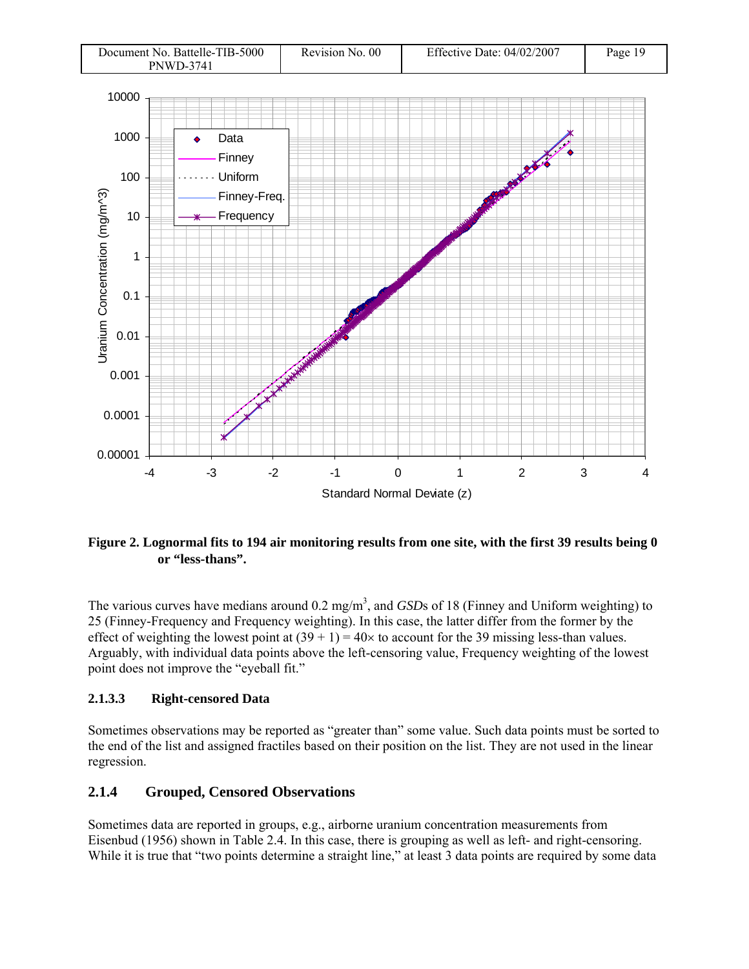

**Figure 2. Lognormal fits to 194 air monitoring results from one site, with the first 39 results being 0 or "less-thans".** 

The various curves have medians around 0.2 mg/m<sup>3</sup>, and *GSD*s of 18 (Finney and Uniform weighting) to 25 (Finney-Frequency and Frequency weighting). In this case, the latter differ from the former by the effect of weighting the lowest point at  $(39 + 1) = 40 \times$  to account for the 39 missing less-than values. Arguably, with individual data points above the left-censoring value, Frequency weighting of the lowest point does not improve the "eyeball fit."

#### **2.1.3.3 Right-censored Data**

Sometimes observations may be reported as "greater than" some value. Such data points must be sorted to the end of the list and assigned fractiles based on their position on the list. They are not used in the linear regression.

#### **2.1.4 Grouped, Censored Observations**

Sometimes data are reported in groups, e.g., airborne uranium concentration measurements from Eisenbud (1956) shown in Table 2.4. In this case, there is grouping as well as left- and right-censoring. While it is true that "two points determine a straight line," at least 3 data points are required by some data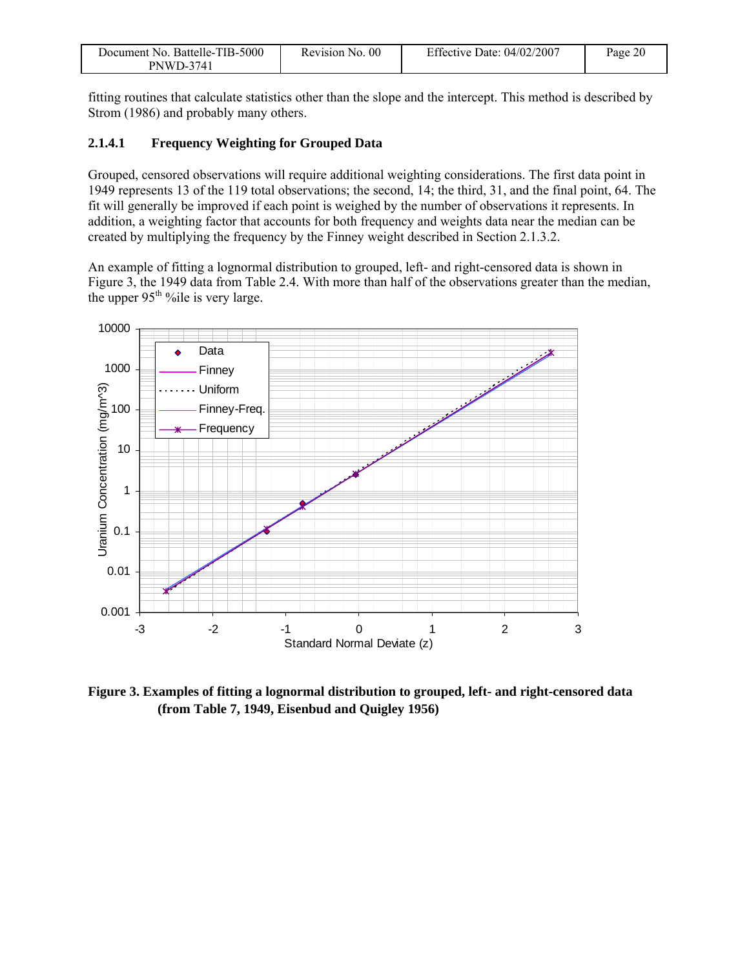| Document No. Battelle-TIB-5000 | Revision No. 00 | Effective Date: $04/02/2007$ | Page 20 |
|--------------------------------|-----------------|------------------------------|---------|
| <b>PNWD-3741</b>               |                 |                              |         |

fitting routines that calculate statistics other than the slope and the intercept. This method is described by Strom (1986) and probably many others.

#### **2.1.4.1 Frequency Weighting for Grouped Data**

Grouped, censored observations will require additional weighting considerations. The first data point in 1949 represents 13 of the 119 total observations; the second, 14; the third, 31, and the final point, 64. The fit will generally be improved if each point is weighed by the number of observations it represents. In addition, a weighting factor that accounts for both frequency and weights data near the median can be created by multiplying the frequency by the Finney weight described in Section 2.1.3.2.

An example of fitting a lognormal distribution to grouped, left- and right-censored data is shown in Figure 3, the 1949 data from Table 2.4. With more than half of the observations greater than the median, the upper  $95<sup>th</sup>$ %ile is very large.



**Figure 3. Examples of fitting a lognormal distribution to grouped, left- and right-censored data (from Table 7, 1949, Eisenbud and Quigley 1956)**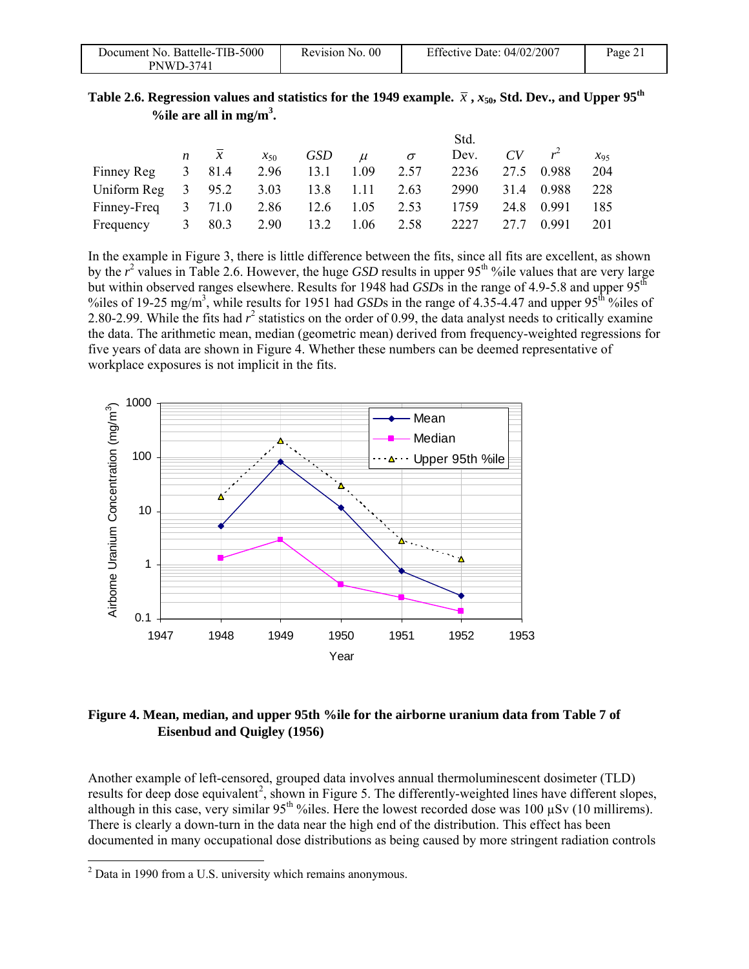| Document No. Battelle-TIB-5000 | Revision No. 00 | Effective Date: $04/02/2007$ | Page $21$ |
|--------------------------------|-----------------|------------------------------|-----------|
| <b>PNWD-3741</b>               |                 |                              |           |

| Table 2.6. Regression values and statistics for the 1949 example. $\bar{x}$ , $x_{50}$ , Std. Dev., and Upper 95 <sup>th</sup> |  |  |
|--------------------------------------------------------------------------------------------------------------------------------|--|--|
| %ile are all in mg/m <sup>3</sup> .                                                                                            |  |  |

|                                        |   |                |           |      |       |          | Std. |      |             |          |
|----------------------------------------|---|----------------|-----------|------|-------|----------|------|------|-------------|----------|
|                                        |   | $n \quad x$    | $x_{50}$  | GSD  | $\mu$ | $\sigma$ | Dev. |      | $CV \t r^2$ | $x_{95}$ |
| Finney Reg                             |   | $3 \quad 81.4$ | 2.96 13.1 |      | 1.09  | 2.57     | 2236 |      | 27.5 0.988  | 204      |
| Uniform Reg 3 95.2 3.03 13.8 1.11 2.63 |   |                |           |      |       |          | 2990 |      | 31.4 0.988  | 228      |
| Finney-Freq $3$ 71.0                   |   |                | 2.86 12.6 |      | 1.05  | 2.53     | 1759 |      | 24.8 0.991  | 185      |
| Frequency                              | 3 | 80.3           | 2.90      | 13.2 | 1.06  | 2.58     | 2227 | 27.7 | 0.991       | 201      |

In the example in Figure 3, there is little difference between the fits, since all fits are excellent, as shown by the  $r^2$  values in Table 2.6. However, the huge *GSD* results in upper 95<sup>th</sup> %ile values that are very large but within observed ranges elsewhere. Results for 1948 had *GSD*s in the range of 4.9-5.8 and upper 95<sup>th</sup> %iles of 19-25 mg/m<sup>3</sup>, while results for 1951 had *GSD*s in the range of 4.35-4.47 and upper 95<sup>th o</sup>%iles of 2.80-2.99. While the fits had  $r^2$  statistics on the order of 0.99, the data analyst needs to critically examine the data. The arithmetic mean, median (geometric mean) derived from frequency-weighted regressions for five years of data are shown in Figure 4. Whether these numbers can be deemed representative of workplace exposures is not implicit in the fits.



#### **Figure 4. Mean, median, and upper 95th %ile for the airborne uranium data from Table 7 of Eisenbud and Quigley (1956)**

Another example of left-censored, grouped data involves annual thermoluminescent dosimeter (TLD) results for deep dose equivalent<sup>2</sup>, shown in Figure 5. The differently-weighted lines have different slopes, although in this case, very similar 95<sup>th</sup> %iles. Here the lowest recorded dose was 100 uSv (10 millirems). There is clearly a down-turn in the data near the high end of the distribution. This effect has been documented in many occupational dose distributions as being caused by more stringent radiation controls

l

 $2$  Data in 1990 from a U.S. university which remains anonymous.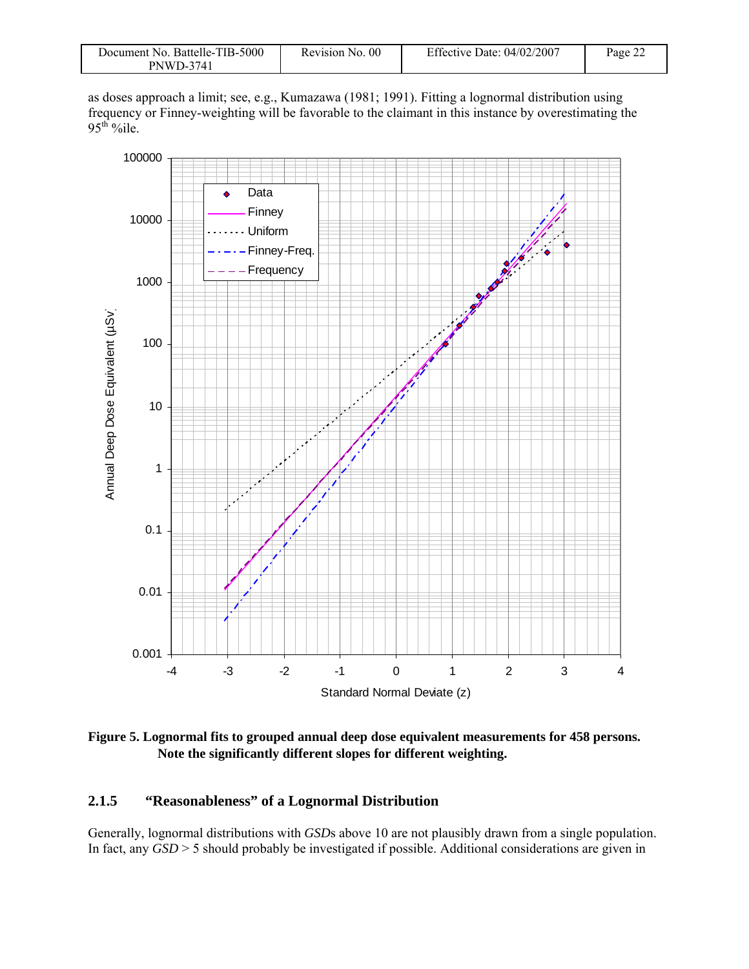| Document No. Battelle-TIB-5000 | Revision No. 00 | Effective Date: $04/02/2007$ | Page 22 |
|--------------------------------|-----------------|------------------------------|---------|
| <b>PNWD-3741</b>               |                 |                              |         |

as doses approach a limit; see, e.g., Kumazawa (1981; 1991). Fitting a lognormal distribution using frequency or Finney-weighting will be favorable to the claimant in this instance by overestimating the  $95<sup>th</sup>$  %ile.



**Figure 5. Lognormal fits to grouped annual deep dose equivalent measurements for 458 persons. Note the significantly different slopes for different weighting.** 

### **2.1.5 "Reasonableness" of a Lognormal Distribution**

Generally, lognormal distributions with *GSD*s above 10 are not plausibly drawn from a single population. In fact, any *GSD* > 5 should probably be investigated if possible. Additional considerations are given in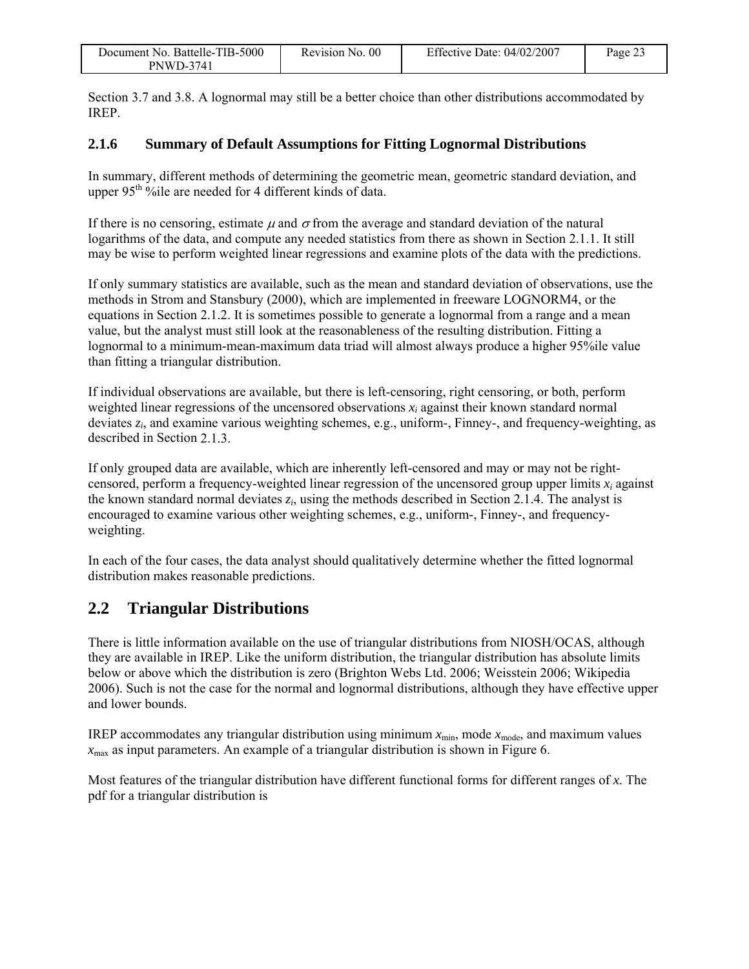| Document No. Battelle-TIB-5000 | Revision No. 00 | Effective Date: 04/02/2007 | $P$ age 2. |
|--------------------------------|-----------------|----------------------------|------------|
| <b>PNWD-3741</b>               |                 |                            |            |

Section 3.7 and 3.8. A lognormal may still be a better choice than other distributions accommodated by IREP.

#### **2.1.6 Summary of Default Assumptions for Fitting Lognormal Distributions**

In summary, different methods of determining the geometric mean, geometric standard deviation, and upper  $95<sup>th</sup>$  % ile are needed for 4 different kinds of data.

If there is no censoring, estimate  $\mu$  and  $\sigma$  from the average and standard deviation of the natural logarithms of the data, and compute any needed statistics from there as shown in Section 2.1.1. It still may be wise to perform weighted linear regressions and examine plots of the data with the predictions.

If only summary statistics are available, such as the mean and standard deviation of observations, use the methods in Strom and Stansbury (2000), which are implemented in freeware LOGNORM4, or the equations in Section 2.1.2. It is sometimes possible to generate a lognormal from a range and a mean value, but the analyst must still look at the reasonableness of the resulting distribution. Fitting a lognormal to a minimum-mean-maximum data triad will almost always produce a higher 95%ile value than fitting a triangular distribution.

If individual observations are available, but there is left-censoring, right censoring, or both, perform weighted linear regressions of the uncensored observations  $x_i$  against their known standard normal deviates *zi*, and examine various weighting schemes, e.g., uniform-, Finney-, and frequency-weighting, as described in Section 2.1.3.

If only grouped data are available, which are inherently left-censored and may or may not be rightcensored, perform a frequency-weighted linear regression of the uncensored group upper limits  $x_i$  against the known standard normal deviates *zi*, using the methods described in Section 2.1.4. The analyst is encouraged to examine various other weighting schemes, e.g., uniform-, Finney-, and frequencyweighting.

In each of the four cases, the data analyst should qualitatively determine whether the fitted lognormal distribution makes reasonable predictions.

### **2.2 Triangular Distributions**

There is little information available on the use of triangular distributions from NIOSH/OCAS, although they are available in IREP. Like the uniform distribution, the triangular distribution has absolute limits below or above which the distribution is zero (Brighton Webs Ltd. 2006; Weisstein 2006; Wikipedia 2006). Such is not the case for the normal and lognormal distributions, although they have effective upper and lower bounds.

IREP accommodates any triangular distribution using minimum  $x_{min}$ , mode  $x_{mode}$ , and maximum values  $x_{\text{max}}$  as input parameters. An example of a triangular distribution is shown in Figure 6.

Most features of the triangular distribution have different functional forms for different ranges of *x*. The pdf for a triangular distribution is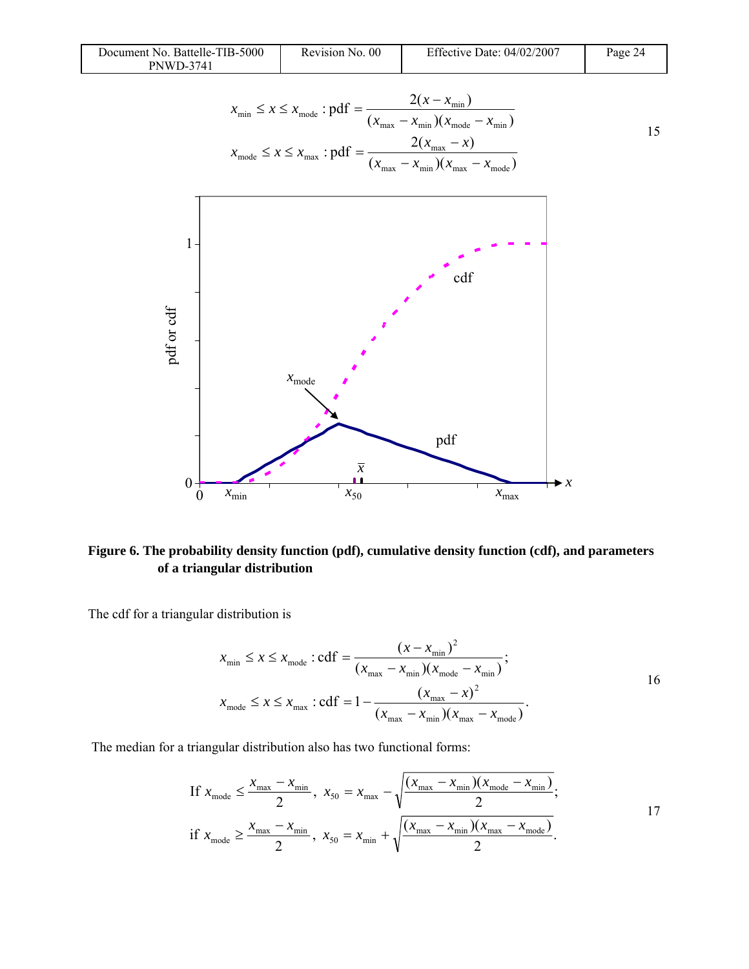| Document No. Battelle-TIB-5000 | Revision No. 00 | Effective Date: 04/02/2007 | Page 24 |
|--------------------------------|-----------------|----------------------------|---------|
| <b>PNWD-3741</b>               |                 |                            |         |

$$
x_{\min} \le x \le x_{\text{mode}} : \text{pdf} = \frac{2(x - x_{\min})}{(x_{\max} - x_{\min})(x_{\text{mode}} - x_{\min})}
$$
  

$$
x_{\text{mode}} \le x \le x_{\max} : \text{pdf} = \frac{2(x_{\max} - x)}{(x_{\max} - x_{\min})(x_{\max} - x_{\text{mode}})}
$$



**Figure 6. The probability density function (pdf), cumulative density function (cdf), and parameters of a triangular distribution** 

The cdf for a triangular distribution is

$$
x_{\min} \le x \le x_{\text{mode}} : \text{cdf} = \frac{(x - x_{\min})^2}{(x_{\max} - x_{\min})(x_{\text{mode}} - x_{\min})};
$$
  

$$
x_{\text{mode}} \le x \le x_{\max} : \text{cdf} = 1 - \frac{(x_{\max} - x)^2}{(x_{\max} - x_{\min})(x_{\max} - x_{\text{mode}})}.
$$

The median for a triangular distribution also has two functional forms:

If 
$$
x_{\text{mode}} \le \frac{x_{\text{max}} - x_{\text{min}}}{2}
$$
,  $x_{50} = x_{\text{max}} - \sqrt{\frac{(x_{\text{max}} - x_{\text{min}})(x_{\text{mode}} - x_{\text{min}})}{2}}$ ;  
if  $x_{\text{mode}} \ge \frac{x_{\text{max}} - x_{\text{min}}}{2}$ ,  $x_{50} = x_{\text{min}} + \sqrt{\frac{(x_{\text{max}} - x_{\text{min}})(x_{\text{max}} - x_{\text{mode}})}{2}}$ .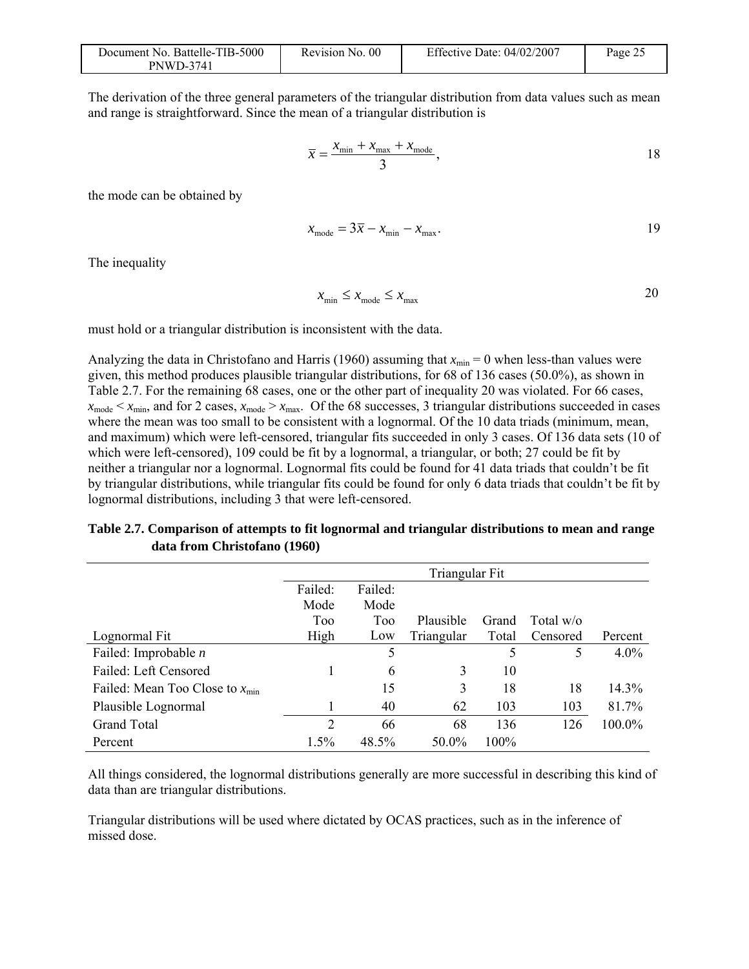| Document No. Battelle-TIB-5000 | Revision No. 00 | Effective Date: $04/02/2007$ | Page 2 |
|--------------------------------|-----------------|------------------------------|--------|
| <b>PNWD-3741</b>               |                 |                              |        |

The derivation of the three general parameters of the triangular distribution from data values such as mean and range is straightforward. Since the mean of a triangular distribution is

$$
\overline{x} = \frac{x_{\min} + x_{\max} + x_{\text{mode}}}{3},
$$

the mode can be obtained by

$$
x_{\text{mode}} = 3\overline{x} - x_{\text{min}} - x_{\text{max}}.\tag{19}
$$

The inequality

$$
x_{\min} \le x_{\text{mode}} \le x_{\max}
$$

must hold or a triangular distribution is inconsistent with the data.

Analyzing the data in Christofano and Harris (1960) assuming that  $x_{min} = 0$  when less-than values were given, this method produces plausible triangular distributions, for 68 of 136 cases (50.0%), as shown in Table 2.7. For the remaining 68 cases, one or the other part of inequality 20 was violated. For 66 cases,  $x_{\text{mode}} < x_{\text{min}}$ , and for 2 cases,  $x_{\text{mode}} > x_{\text{max}}$ . Of the 68 successes, 3 triangular distributions succeeded in cases where the mean was too small to be consistent with a lognormal. Of the 10 data triads (minimum, mean, and maximum) which were left-censored, triangular fits succeeded in only 3 cases. Of 136 data sets (10 of which were left-censored), 109 could be fit by a lognormal, a triangular, or both; 27 could be fit by neither a triangular nor a lognormal. Lognormal fits could be found for 41 data triads that couldn't be fit by triangular distributions, while triangular fits could be found for only 6 data triads that couldn't be fit by lognormal distributions, including 3 that were left-censored.

#### **Table 2.7. Comparison of attempts to fit lognormal and triangular distributions to mean and range data from Christofano (1960)**

|                                      | Triangular Fit |         |            |       |              |         |
|--------------------------------------|----------------|---------|------------|-------|--------------|---------|
|                                      | Failed:        | Failed: |            |       |              |         |
|                                      | Mode           | Mode    |            |       |              |         |
|                                      | Too            | Too     | Plausible  | Grand | Total $w$ /o |         |
| Lognormal Fit                        | High           | Low     | Triangular | Total | Censored     | Percent |
| Failed: Improbable $n$               |                | 5       |            | 5     | 5            | $4.0\%$ |
| Failed: Left Censored                |                | 6       | 3          | 10    |              |         |
| Failed: Mean Too Close to $x_{\min}$ |                | 15      | 3          | 18    | 18           | 14.3%   |
| Plausible Lognormal                  |                | 40      | 62         | 103   | 103          | 81.7%   |
| <b>Grand Total</b>                   | $\overline{2}$ | 66      | 68         | 136   | 126          | 100.0%  |
| Percent                              | 1.5%           | 48.5%   | 50.0%      | 100%  |              |         |

All things considered, the lognormal distributions generally are more successful in describing this kind of data than are triangular distributions.

Triangular distributions will be used where dictated by OCAS practices, such as in the inference of missed dose.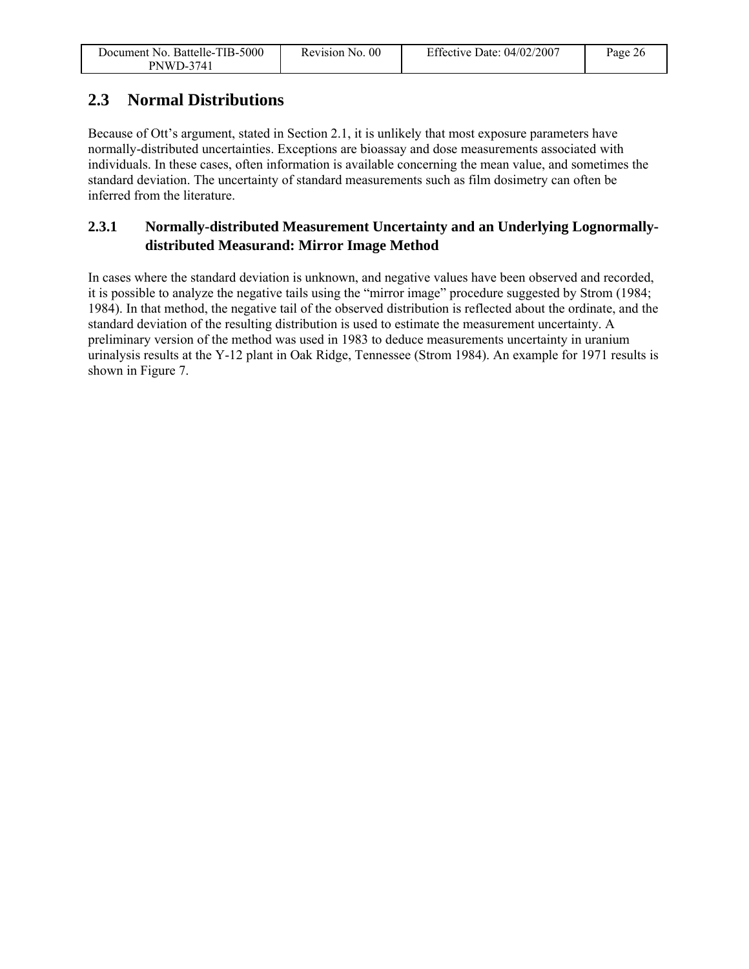| Document No. Battelle-TIB-5000 | Revision No. 00 | Effective Date: $04/02/2007$ | Page 26 |
|--------------------------------|-----------------|------------------------------|---------|
| <b>PNWD-3741</b>               |                 |                              |         |

### **2.3 Normal Distributions**

Because of Ott's argument, stated in Section 2.1, it is unlikely that most exposure parameters have normally-distributed uncertainties. Exceptions are bioassay and dose measurements associated with individuals. In these cases, often information is available concerning the mean value, and sometimes the standard deviation. The uncertainty of standard measurements such as film dosimetry can often be inferred from the literature.

### **2.3.1 Normally-distributed Measurement Uncertainty and an Underlying Lognormallydistributed Measurand: Mirror Image Method**

In cases where the standard deviation is unknown, and negative values have been observed and recorded, it is possible to analyze the negative tails using the "mirror image" procedure suggested by Strom (1984; 1984). In that method, the negative tail of the observed distribution is reflected about the ordinate, and the standard deviation of the resulting distribution is used to estimate the measurement uncertainty. A preliminary version of the method was used in 1983 to deduce measurements uncertainty in uranium urinalysis results at the Y-12 plant in Oak Ridge, Tennessee (Strom 1984). An example for 1971 results is shown in Figure 7.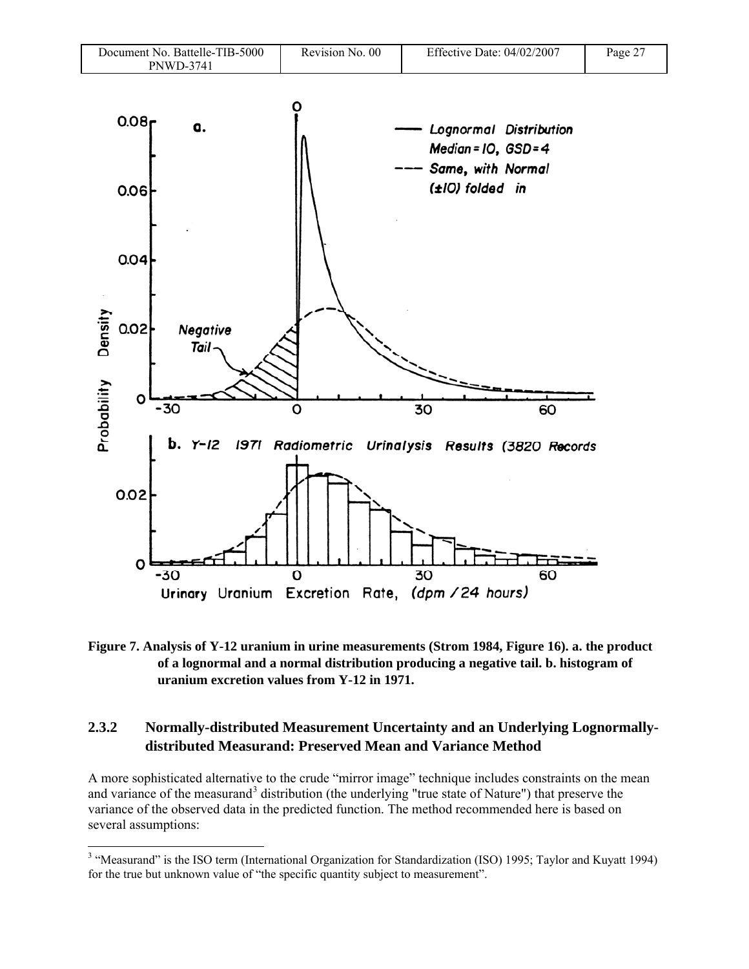

**Figure 7. Analysis of Y-12 uranium in urine measurements (Strom 1984, Figure 16). a. the product of a lognormal and a normal distribution producing a negative tail. b. histogram of uranium excretion values from Y-12 in 1971.** 

### **2.3.2 Normally-distributed Measurement Uncertainty and an Underlying Lognormallydistributed Measurand: Preserved Mean and Variance Method**

A more sophisticated alternative to the crude "mirror image" technique includes constraints on the mean and variance of the measurand<sup>3</sup> distribution (the underlying "true state of Nature") that preserve the variance of the observed data in the predicted function. The method recommended here is based on several assumptions:

1

<sup>&</sup>lt;sup>3</sup> "Measurand" is the ISO term (International Organization for Standardization (ISO) 1995; Taylor and Kuyatt 1994) for the true but unknown value of "the specific quantity subject to measurement".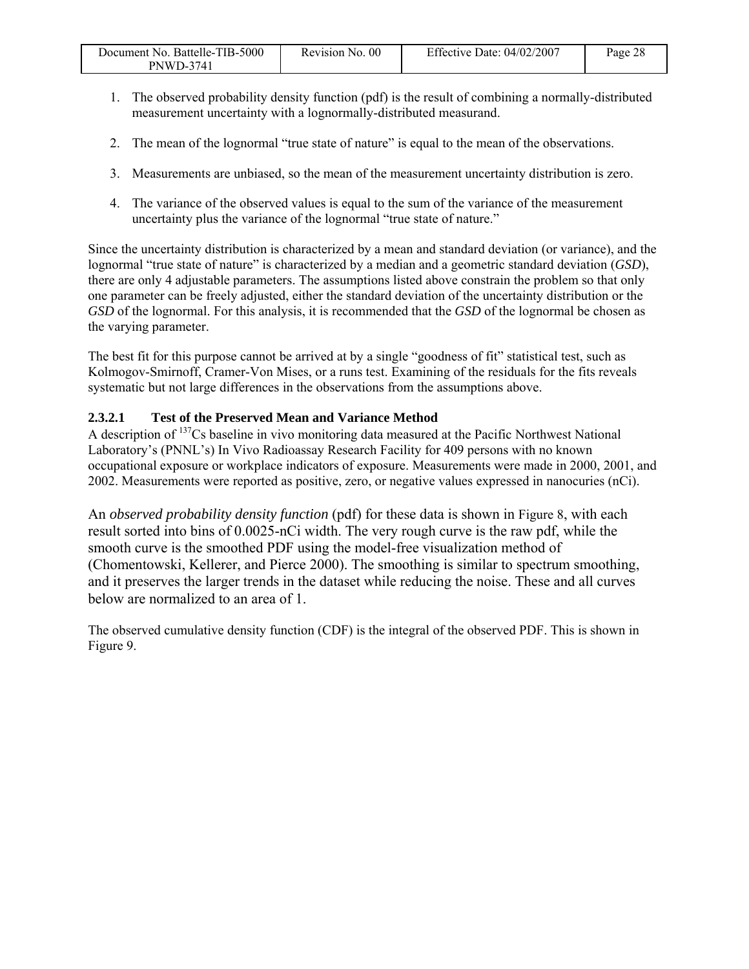| Document No. Battelle-TIB-5000 | Revision No. 00 | Effective Date: $04/02/2007$ | Page 28 |
|--------------------------------|-----------------|------------------------------|---------|
| <b>PNWD-3741</b>               |                 |                              |         |

- 1. The observed probability density function (pdf) is the result of combining a normally-distributed measurement uncertainty with a lognormally-distributed measurand.
- 2. The mean of the lognormal "true state of nature" is equal to the mean of the observations.
- 3. Measurements are unbiased, so the mean of the measurement uncertainty distribution is zero.
- 4. The variance of the observed values is equal to the sum of the variance of the measurement uncertainty plus the variance of the lognormal "true state of nature."

Since the uncertainty distribution is characterized by a mean and standard deviation (or variance), and the lognormal "true state of nature" is characterized by a median and a geometric standard deviation (*GSD*), there are only 4 adjustable parameters. The assumptions listed above constrain the problem so that only one parameter can be freely adjusted, either the standard deviation of the uncertainty distribution or the *GSD* of the lognormal. For this analysis, it is recommended that the *GSD* of the lognormal be chosen as the varying parameter.

The best fit for this purpose cannot be arrived at by a single "goodness of fit" statistical test, such as Kolmogov-Smirnoff, Cramer-Von Mises, or a runs test. Examining of the residuals for the fits reveals systematic but not large differences in the observations from the assumptions above.

### **2.3.2.1 Test of the Preserved Mean and Variance Method**

A description of <sup>137</sup>Cs baseline in vivo monitoring data measured at the Pacific Northwest National Laboratory's (PNNL's) In Vivo Radioassay Research Facility for 409 persons with no known occupational exposure or workplace indicators of exposure. Measurements were made in 2000, 2001, and 2002. Measurements were reported as positive, zero, or negative values expressed in nanocuries (nCi).

An *observed probability density function* (pdf) for these data is shown in Figure 8, with each result sorted into bins of 0.0025-nCi width. The very rough curve is the raw pdf, while the smooth curve is the smoothed PDF using the model-free visualization method of (Chomentowski, Kellerer, and Pierce 2000). The smoothing is similar to spectrum smoothing, and it preserves the larger trends in the dataset while reducing the noise. These and all curves below are normalized to an area of 1.

The observed cumulative density function (CDF) is the integral of the observed PDF. This is shown in Figure 9.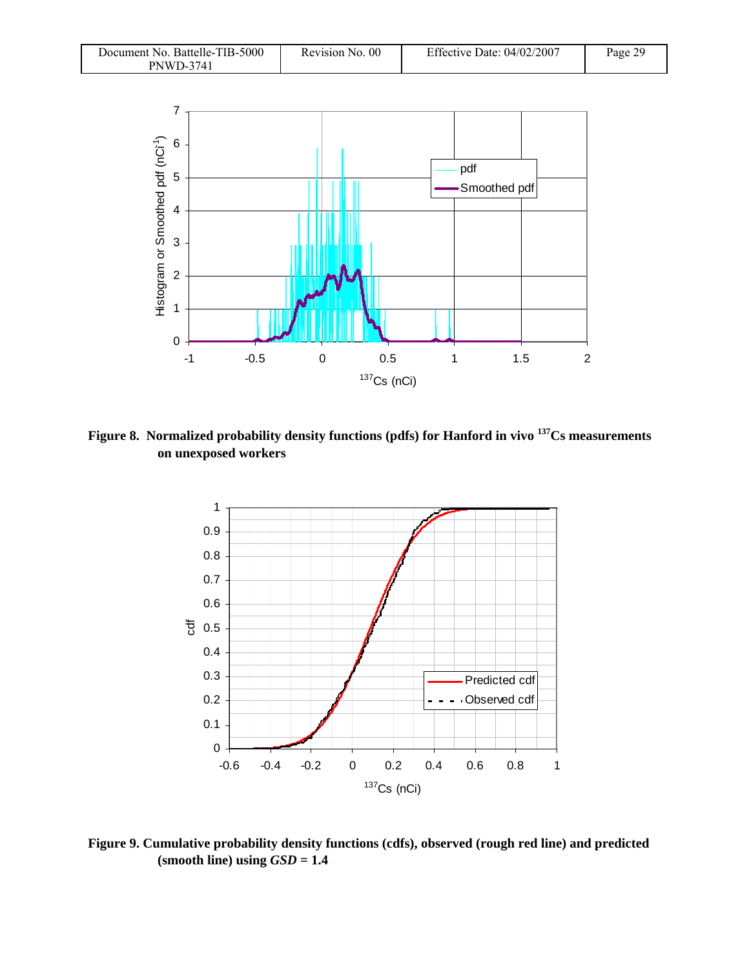| Document No. Battelle-TIB-5000 | Revision No. 00 | Effective Date: 04/02/2007 | Page 29 |
|--------------------------------|-----------------|----------------------------|---------|
| <b>PNWD-3741</b>               |                 |                            |         |



**Figure 8. Normalized probability density functions (pdfs) for Hanford in vivo 137Cs measurements on unexposed workers** 



**Figure 9. Cumulative probability density functions (cdfs), observed (rough red line) and predicted**   $(s$ **mooth line) using**  $GSD = 1.4$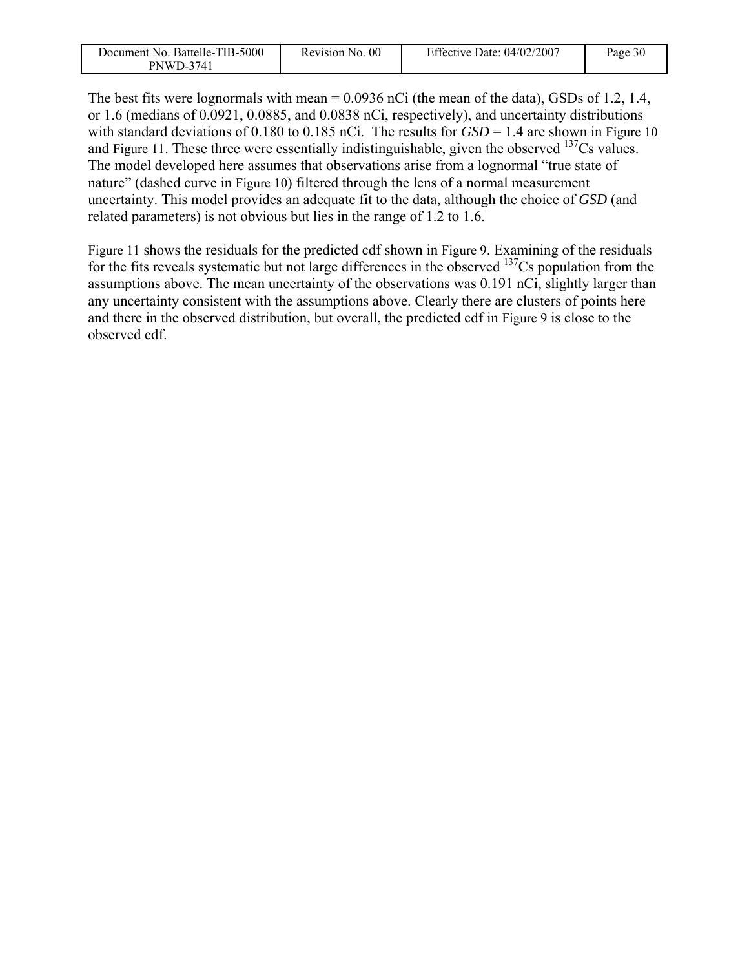| Document No. Battelle-TIB-5000 | Revision No. 00 | Effective Date: $04/02/2007$ | Page 30 |
|--------------------------------|-----------------|------------------------------|---------|
| <b>PNWD-3741</b>               |                 |                              |         |

The best fits were lognormals with mean = 0.0936 nCi (the mean of the data), GSDs of 1.2, 1.4, or 1.6 (medians of 0.0921, 0.0885, and 0.0838 nCi, respectively), and uncertainty distributions with standard deviations of 0.180 to 0.185 nCi. The results for  $GSD = 1.4$  are shown in Figure 10 and Figure 11. These three were essentially indistinguishable, given the observed  $137Cs$  values. The model developed here assumes that observations arise from a lognormal "true state of nature" (dashed curve in Figure 10) filtered through the lens of a normal measurement uncertainty. This model provides an adequate fit to the data, although the choice of *GSD* (and related parameters) is not obvious but lies in the range of 1.2 to 1.6.

Figure 11 shows the residuals for the predicted cdf shown in Figure 9. Examining of the residuals for the fits reveals systematic but not large differences in the observed  $137Cs$  population from the assumptions above. The mean uncertainty of the observations was 0.191 nCi, slightly larger than any uncertainty consistent with the assumptions above. Clearly there are clusters of points here and there in the observed distribution, but overall, the predicted cdf in Figure 9 is close to the observed cdf.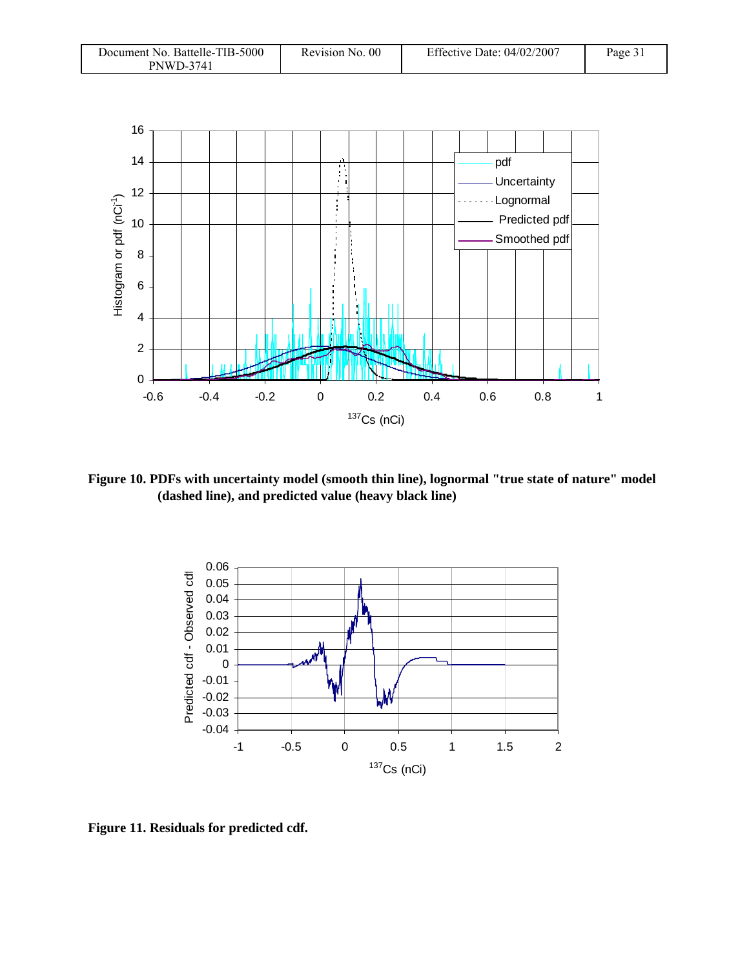| Document No. Battelle-TIB-5000 | Revision No. 00 | Effective Date: $04/02/2007$ | Page 31 |
|--------------------------------|-----------------|------------------------------|---------|
| PNWD-3741                      |                 |                              |         |



**Figure 10. PDFs with uncertainty model (smooth thin line), lognormal "true state of nature" model (dashed line), and predicted value (heavy black line)** 



**Figure 11. Residuals for predicted cdf.**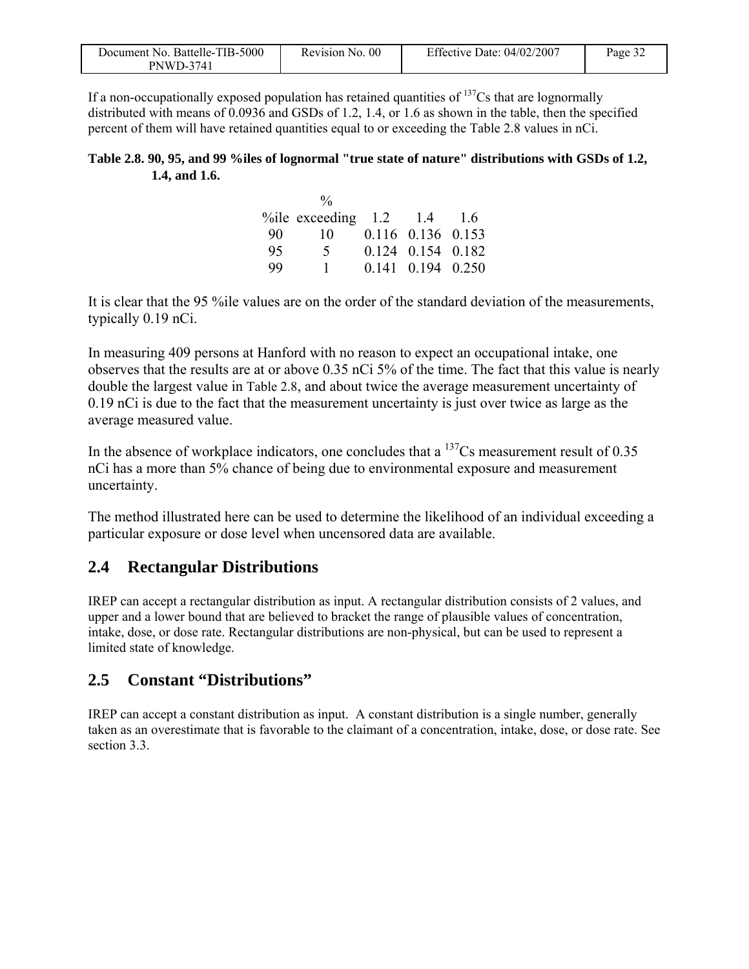| Document No. Battelle-TIB-5000 | Revision No. 00 | Effective Date: $04/02/2007$ | Page $32$ |
|--------------------------------|-----------------|------------------------------|-----------|
| <b>PNWD-3741</b>               |                 |                              |           |

If a non-occupationally exposed population has retained quantities of  $137Cs$  that are lognormally distributed with means of 0.0936 and GSDs of 1.2, 1.4, or 1.6 as shown in the table, then the specified percent of them will have retained quantities equal to or exceeding the Table 2.8 values in nCi.

#### **Table 2.8. 90, 95, and 99 %iles of lognormal "true state of nature" distributions with GSDs of 1.2, 1.4, and 1.6.**

|     | $\frac{0}{0}$                     |                   |  |
|-----|-----------------------------------|-------------------|--|
|     | % ile exceeding $1.2$ $1.4$ $1.6$ |                   |  |
| -90 | 10                                | 0.116 0.136 0.153 |  |
| 95  | $\mathcal{F}$                     | 0.124 0.154 0.182 |  |
| 99  | $\mathbf{1}$                      | 0.141 0.194 0.250 |  |

It is clear that the 95 %ile values are on the order of the standard deviation of the measurements, typically 0.19 nCi.

In measuring 409 persons at Hanford with no reason to expect an occupational intake, one observes that the results are at or above 0.35 nCi 5% of the time. The fact that this value is nearly double the largest value in Table 2.8, and about twice the average measurement uncertainty of 0.19 nCi is due to the fact that the measurement uncertainty is just over twice as large as the average measured value.

In the absence of workplace indicators, one concludes that a  $\frac{137}{\text{Cs}}$  measurement result of 0.35 nCi has a more than 5% chance of being due to environmental exposure and measurement uncertainty.

The method illustrated here can be used to determine the likelihood of an individual exceeding a particular exposure or dose level when uncensored data are available.

### **2.4 Rectangular Distributions**

IREP can accept a rectangular distribution as input. A rectangular distribution consists of 2 values, and upper and a lower bound that are believed to bracket the range of plausible values of concentration, intake, dose, or dose rate. Rectangular distributions are non-physical, but can be used to represent a limited state of knowledge.

### **2.5 Constant "Distributions"**

IREP can accept a constant distribution as input. A constant distribution is a single number, generally taken as an overestimate that is favorable to the claimant of a concentration, intake, dose, or dose rate. See section 3.3.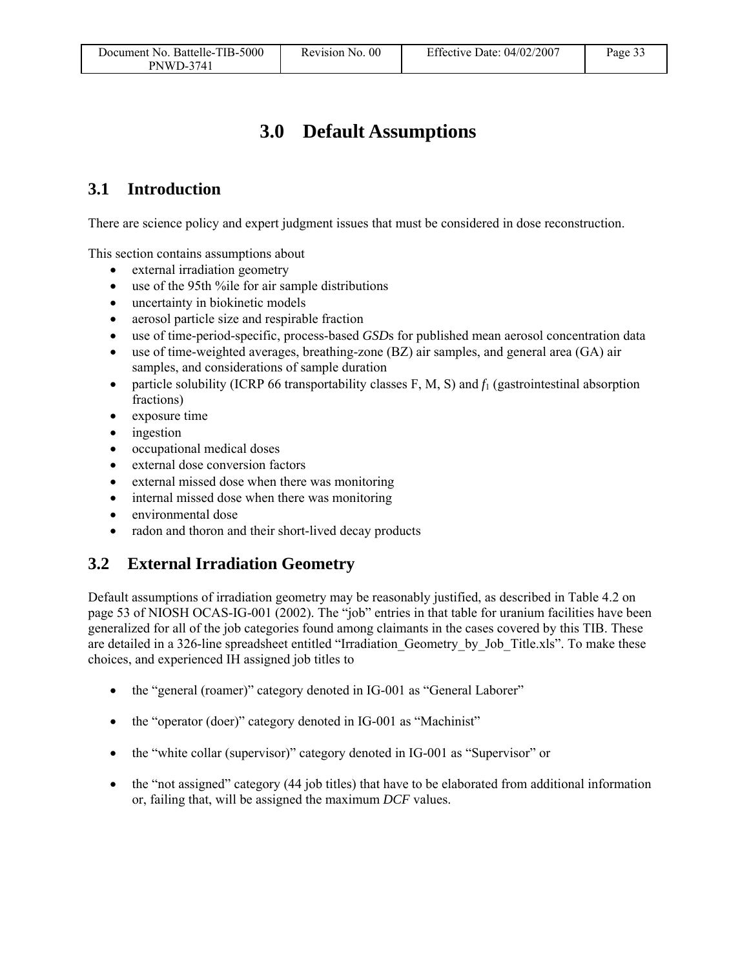# **3.0 Default Assumptions**

### **3.1 Introduction**

There are science policy and expert judgment issues that must be considered in dose reconstruction.

This section contains assumptions about

- external irradiation geometry
- use of the 95th %ile for air sample distributions
- uncertainty in biokinetic models
- aerosol particle size and respirable fraction
- use of time-period-specific, process-based *GSD*s for published mean aerosol concentration data
- use of time-weighted averages, breathing-zone (BZ) air samples, and general area (GA) air samples, and considerations of sample duration
- particle solubility (ICRP 66 transportability classes F, M, S) and  $f_1$  (gastrointestinal absorption fractions)
- exposure time
- ingestion
- occupational medical doses
- external dose conversion factors
- external missed dose when there was monitoring
- internal missed dose when there was monitoring
- environmental dose
- radon and thoron and their short-lived decay products

### **3.2 External Irradiation Geometry**

Default assumptions of irradiation geometry may be reasonably justified, as described in Table 4.2 on page 53 of NIOSH OCAS-IG-001 (2002). The "job" entries in that table for uranium facilities have been generalized for all of the job categories found among claimants in the cases covered by this TIB. These are detailed in a 326-line spreadsheet entitled "Irradiation\_Geometry\_by\_Job\_Title.xls". To make these choices, and experienced IH assigned job titles to

- the "general (roamer)" category denoted in IG-001 as "General Laborer"
- the "operator (doer)" category denoted in IG-001 as "Machinist"
- the "white collar (supervisor)" category denoted in IG-001 as "Supervisor" or
- the "not assigned" category (44 job titles) that have to be elaborated from additional information or, failing that, will be assigned the maximum *DCF* values.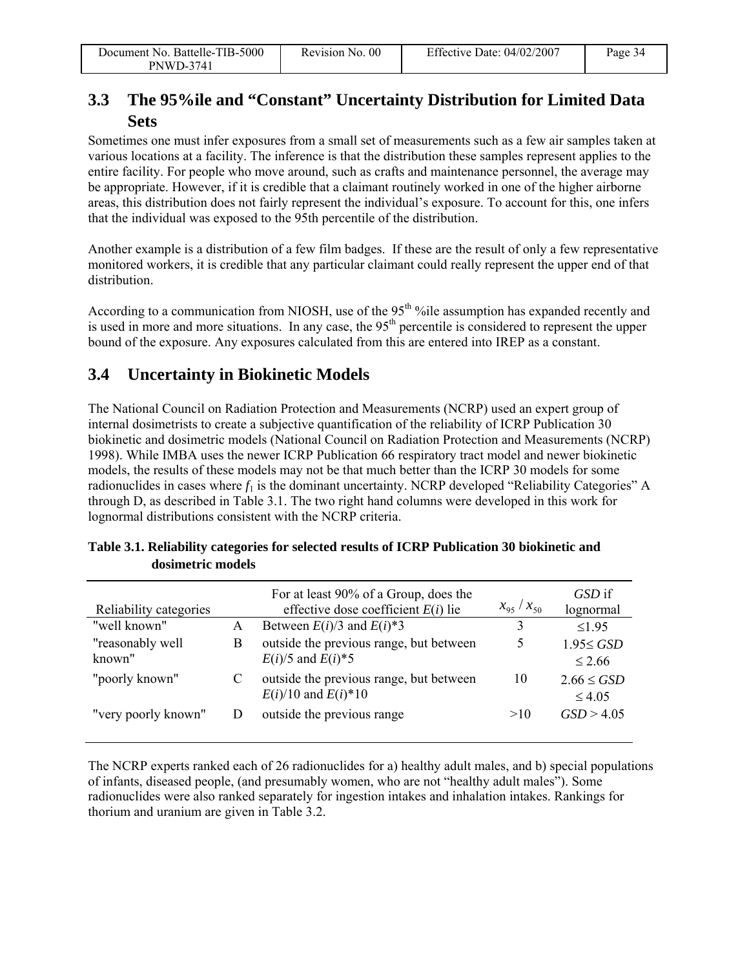### **3.3 The 95%ile and "Constant" Uncertainty Distribution for Limited Data Sets**

Sometimes one must infer exposures from a small set of measurements such as a few air samples taken at various locations at a facility. The inference is that the distribution these samples represent applies to the entire facility. For people who move around, such as crafts and maintenance personnel, the average may be appropriate. However, if it is credible that a claimant routinely worked in one of the higher airborne areas, this distribution does not fairly represent the individual's exposure. To account for this, one infers that the individual was exposed to the 95th percentile of the distribution.

Another example is a distribution of a few film badges. If these are the result of only a few representative monitored workers, it is credible that any particular claimant could really represent the upper end of that distribution.

According to a communication from NIOSH, use of the 95<sup>th o</sup> ile assumption has expanded recently and is used in more and more situations. In any case, the 95<sup>th</sup> percentile is considered to represent the upper bound of the exposure. Any exposures calculated from this are entered into IREP as a constant.

### **3.4 Uncertainty in Biokinetic Models**

The National Council on Radiation Protection and Measurements (NCRP) used an expert group of internal dosimetrists to create a subjective quantification of the reliability of ICRP Publication 30 biokinetic and dosimetric models (National Council on Radiation Protection and Measurements (NCRP) 1998). While IMBA uses the newer ICRP Publication 66 respiratory tract model and newer biokinetic models, the results of these models may not be that much better than the ICRP 30 models for some radionuclides in cases where  $f_1$  is the dominant uncertainty. NCRP developed "Reliability Categories" A through D, as described in Table 3.1. The two right hand columns were developed in this work for lognormal distributions consistent with the NCRP criteria.

| Reliability categories     |   | For at least 90% of a Group, does the<br>effective dose coefficient $E(i)$ lie | $x_{95}/x_{50}$ | GSD if<br>lognormal            |
|----------------------------|---|--------------------------------------------------------------------------------|-----------------|--------------------------------|
| "well known"               | А | Between $E(i)/3$ and $E(i)*3$                                                  |                 | $<$ 195                        |
| "reasonably well<br>known" | В | outside the previous range, but between<br>$E(i)/5$ and $E(i)*5$               | 5               | $1.95 \leq GSD$<br>$\leq 2.66$ |
| "poorly known"             | C | outside the previous range, but between<br>$E(i)/10$ and $E(i)*10$             | 10              | $2.66 \leq GSD$<br>$\leq 4.05$ |
| "very poorly known"        | D | outside the previous range                                                     | >10             | GSD > 4.05                     |

**Table 3.1. Reliability categories for selected results of ICRP Publication 30 biokinetic and dosimetric models** 

The NCRP experts ranked each of 26 radionuclides for a) healthy adult males, and b) special populations of infants, diseased people, (and presumably women, who are not "healthy adult males"). Some radionuclides were also ranked separately for ingestion intakes and inhalation intakes. Rankings for thorium and uranium are given in Table 3.2.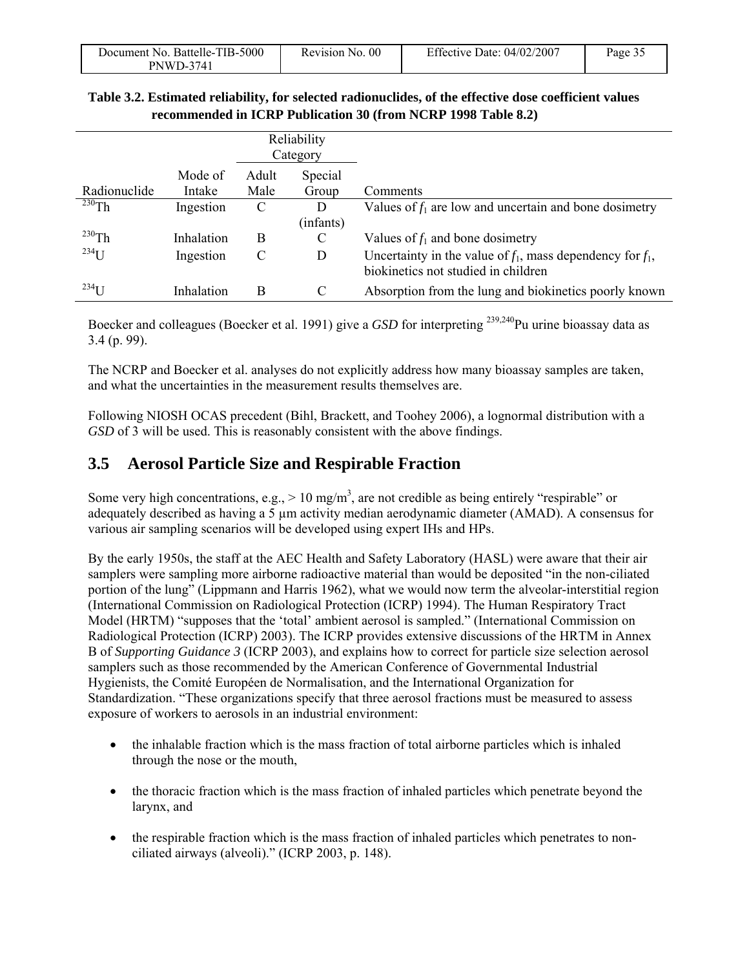| Document No. Battelle-TIB-5000 | Revision No. 00 | Effective Date: $04/02/2007$ | Page $3$ . |
|--------------------------------|-----------------|------------------------------|------------|
| <b>PNWD-3741</b>               |                 |                              |            |

#### **Table 3.2. Estimated reliability, for selected radionuclides, of the effective dose coefficient values recommended in ICRP Publication 30 (from NCRP 1998 Table 8.2)**

|              |                   |               | Reliability<br>Category |                                                                                                        |
|--------------|-------------------|---------------|-------------------------|--------------------------------------------------------------------------------------------------------|
| Radionuclide | Mode of<br>Intake | Adult<br>Male | Special<br>Group        | Comments                                                                                               |
| $^{230}$ Th  | Ingestion         | C             | D                       | Values of $f_1$ are low and uncertain and bone dosimetry                                               |
|              |                   |               | (infants)               |                                                                                                        |
| $^{230}$ Th  | Inhalation        | B             | C                       | Values of $f_1$ and bone dosimetry                                                                     |
| $^{234}$ U   | Ingestion         | C             | D                       | Uncertainty in the value of $f_1$ , mass dependency for $f_1$ ,<br>biokinetics not studied in children |
| $^{234}$ U   | Inhalation        | B             | C                       | Absorption from the lung and biokinetics poorly known                                                  |

Boecker and colleagues (Boecker et al. 1991) give a *GSD* for interpreting <sup>239,240</sup>Pu urine bioassay data as 3.4 (p. 99).

The NCRP and Boecker et al. analyses do not explicitly address how many bioassay samples are taken, and what the uncertainties in the measurement results themselves are.

Following NIOSH OCAS precedent (Bihl, Brackett, and Toohey 2006), a lognormal distribution with a *GSD* of 3 will be used. This is reasonably consistent with the above findings.

### **3.5 Aerosol Particle Size and Respirable Fraction**

Some very high concentrations, e.g.,  $> 10$  mg/m<sup>3</sup>, are not credible as being entirely "respirable" or adequately described as having a 5  $\mu$ m activity median aerodynamic diameter (AMAD). A consensus for various air sampling scenarios will be developed using expert IHs and HPs.

By the early 1950s, the staff at the AEC Health and Safety Laboratory (HASL) were aware that their air samplers were sampling more airborne radioactive material than would be deposited "in the non-ciliated portion of the lung" (Lippmann and Harris 1962), what we would now term the alveolar-interstitial region (International Commission on Radiological Protection (ICRP) 1994). The Human Respiratory Tract Model (HRTM) "supposes that the 'total' ambient aerosol is sampled." (International Commission on Radiological Protection (ICRP) 2003). The ICRP provides extensive discussions of the HRTM in Annex B of *Supporting Guidance 3* (ICRP 2003), and explains how to correct for particle size selection aerosol samplers such as those recommended by the American Conference of Governmental Industrial Hygienists, the Comité Européen de Normalisation, and the International Organization for Standardization. "These organizations specify that three aerosol fractions must be measured to assess exposure of workers to aerosols in an industrial environment:

- the inhalable fraction which is the mass fraction of total airborne particles which is inhaled through the nose or the mouth,
- the thoracic fraction which is the mass fraction of inhaled particles which penetrate beyond the larynx, and
- the respirable fraction which is the mass fraction of inhaled particles which penetrates to nonciliated airways (alveoli)." (ICRP 2003, p. 148).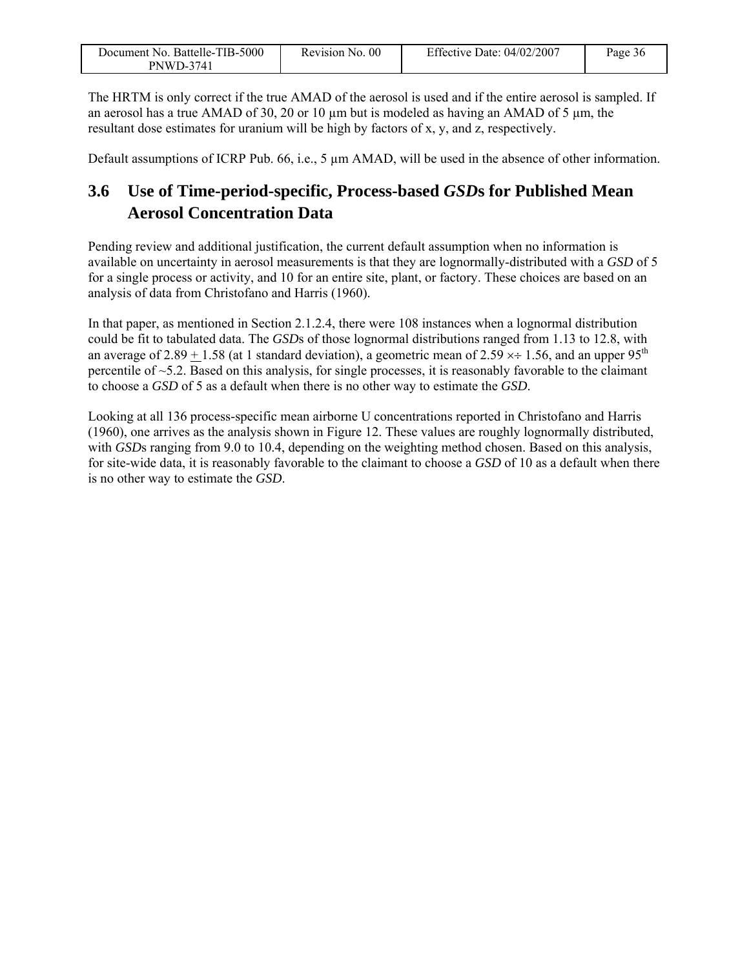| Document No. Battelle-TIB-5000 | Revision No. 00 | Effective Date: 04/02/2007 | Page 36 |
|--------------------------------|-----------------|----------------------------|---------|
| PNWD-3741                      |                 |                            |         |

The HRTM is only correct if the true AMAD of the aerosol is used and if the entire aerosol is sampled. If an aerosol has a true AMAD of 30, 20 or 10  $\mu$ m but is modeled as having an AMAD of 5  $\mu$ m, the resultant dose estimates for uranium will be high by factors of x, y, and z, respectively.

Default assumptions of ICRP Pub. 66, i.e., 5  $\mu$ m AMAD, will be used in the absence of other information.

### **3.6 Use of Time-period-specific, Process-based** *GSD***s for Published Mean Aerosol Concentration Data**

Pending review and additional justification, the current default assumption when no information is available on uncertainty in aerosol measurements is that they are lognormally-distributed with a *GSD* of 5 for a single process or activity, and 10 for an entire site, plant, or factory. These choices are based on an analysis of data from Christofano and Harris (1960).

In that paper, as mentioned in Section 2.1.2.4, there were 108 instances when a lognormal distribution could be fit to tabulated data. The *GSD*s of those lognormal distributions ranged from 1.13 to 12.8, with an average of 2.89 + 1.58 (at 1 standard deviation), a geometric mean of 2.59  $\times \div$  1.56, and an upper 95<sup>th</sup> percentile of ~5.2. Based on this analysis, for single processes, it is reasonably favorable to the claimant to choose a *GSD* of 5 as a default when there is no other way to estimate the *GSD*.

Looking at all 136 process-specific mean airborne U concentrations reported in Christofano and Harris (1960), one arrives as the analysis shown in Figure 12. These values are roughly lognormally distributed, with *GSD*s ranging from 9.0 to 10.4, depending on the weighting method chosen. Based on this analysis, for site-wide data, it is reasonably favorable to the claimant to choose a *GSD* of 10 as a default when there is no other way to estimate the *GSD*.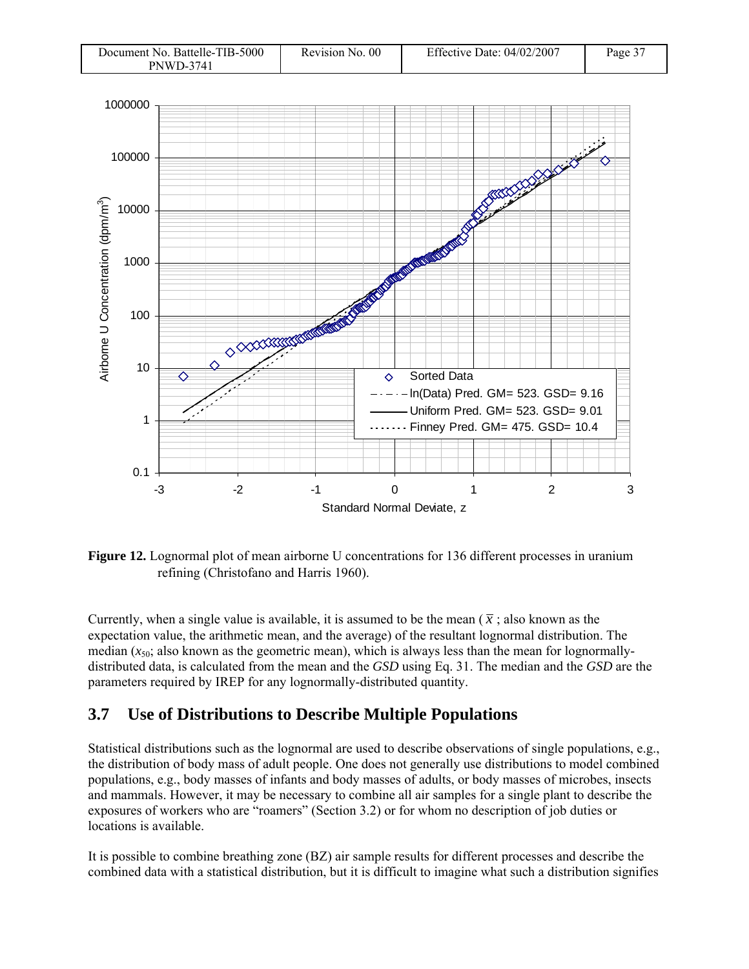| Document No. Battelle-TIB-5000 | Revision No. 00 | Effective Date: $04/02/2007$ | Page 37 |
|--------------------------------|-----------------|------------------------------|---------|
| <b>PNWD-3741</b>               |                 |                              |         |



**Figure 12.** Lognormal plot of mean airborne U concentrations for 136 different processes in uranium refining (Christofano and Harris 1960).

Currently, when a single value is available, it is assumed to be the mean  $(\bar{x})$ ; also known as the expectation value, the arithmetic mean, and the average) of the resultant lognormal distribution. The median  $(x_{50}$ ; also known as the geometric mean), which is always less than the mean for lognormallydistributed data, is calculated from the mean and the *GSD* using Eq. 31. The median and the *GSD* are the parameters required by IREP for any lognormally-distributed quantity.

### **3.7 Use of Distributions to Describe Multiple Populations**

Statistical distributions such as the lognormal are used to describe observations of single populations, e.g., the distribution of body mass of adult people. One does not generally use distributions to model combined populations, e.g., body masses of infants and body masses of adults, or body masses of microbes, insects and mammals. However, it may be necessary to combine all air samples for a single plant to describe the exposures of workers who are "roamers" (Section 3.2) or for whom no description of job duties or locations is available.

It is possible to combine breathing zone (BZ) air sample results for different processes and describe the combined data with a statistical distribution, but it is difficult to imagine what such a distribution signifies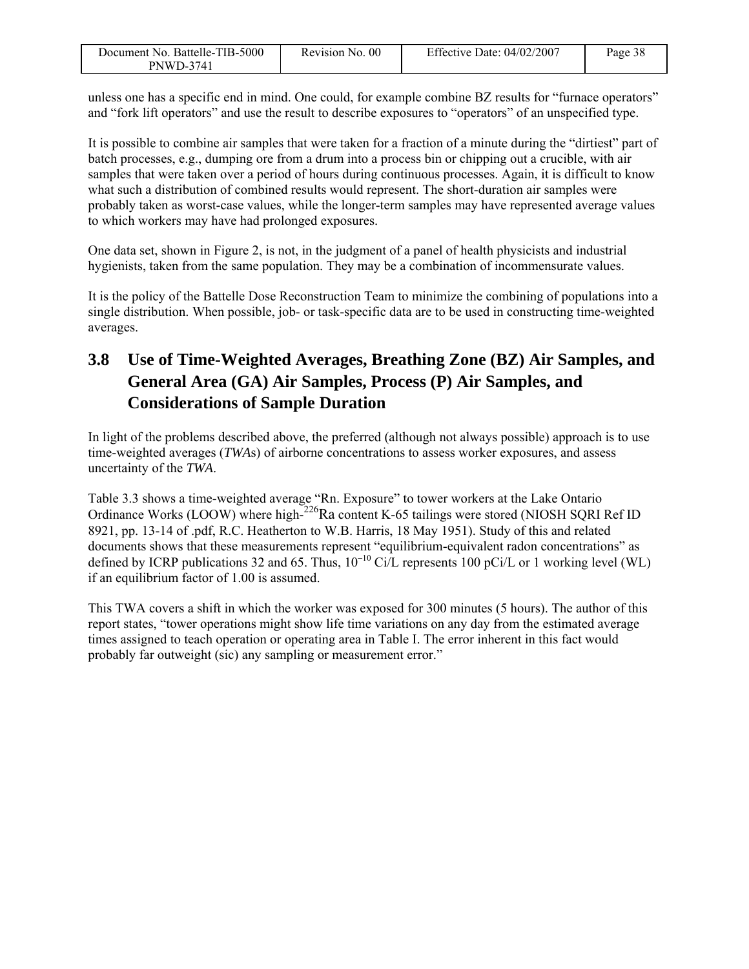| Document No. Battelle-TIB-5000 | Revision No. 00 | Effective Date: 04/02/2007 | Page 38 |
|--------------------------------|-----------------|----------------------------|---------|
| <b>PNWD-3741</b>               |                 |                            |         |

unless one has a specific end in mind. One could, for example combine BZ results for "furnace operators" and "fork lift operators" and use the result to describe exposures to "operators" of an unspecified type.

It is possible to combine air samples that were taken for a fraction of a minute during the "dirtiest" part of batch processes, e.g., dumping ore from a drum into a process bin or chipping out a crucible, with air samples that were taken over a period of hours during continuous processes. Again, it is difficult to know what such a distribution of combined results would represent. The short-duration air samples were probably taken as worst-case values, while the longer-term samples may have represented average values to which workers may have had prolonged exposures.

One data set, shown in Figure 2, is not, in the judgment of a panel of health physicists and industrial hygienists, taken from the same population. They may be a combination of incommensurate values.

It is the policy of the Battelle Dose Reconstruction Team to minimize the combining of populations into a single distribution. When possible, job- or task-specific data are to be used in constructing time-weighted averages.

## **3.8 Use of Time-Weighted Averages, Breathing Zone (BZ) Air Samples, and General Area (GA) Air Samples, Process (P) Air Samples, and Considerations of Sample Duration**

In light of the problems described above, the preferred (although not always possible) approach is to use time-weighted averages (*TWA*s) of airborne concentrations to assess worker exposures, and assess uncertainty of the *TWA*.

Table 3.3 shows a time-weighted average "Rn. Exposure" to tower workers at the Lake Ontario Ordinance Works (LOOW) where high-<sup>226</sup>Ra content K-65 tailings were stored (NIOSH SQRI Ref ID 8921, pp. 13-14 of .pdf, R.C. Heatherton to W.B. Harris, 18 May 1951). Study of this and related documents shows that these measurements represent "equilibrium-equivalent radon concentrations" as defined by ICRP publications 32 and 65. Thus,  $10^{-10}$  Ci/L represents 100 pCi/L or 1 working level (WL) if an equilibrium factor of 1.00 is assumed.

This TWA covers a shift in which the worker was exposed for 300 minutes (5 hours). The author of this report states, "tower operations might show life time variations on any day from the estimated average times assigned to teach operation or operating area in Table I. The error inherent in this fact would probably far outweight (sic) any sampling or measurement error."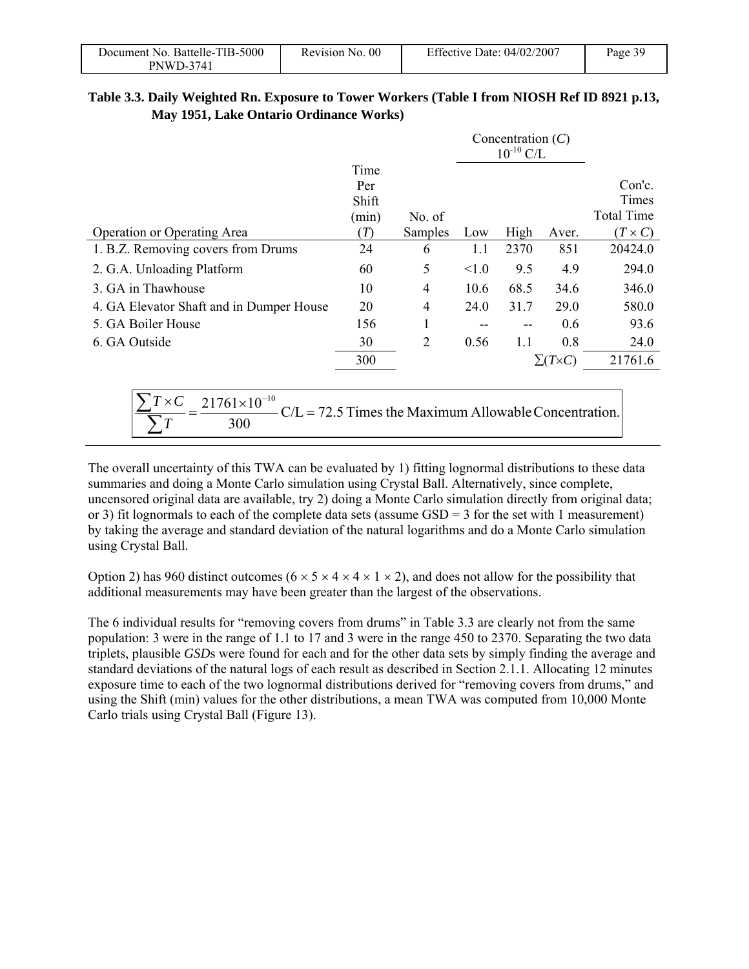| Document No. Battelle-TIB-5000 | Revision No. 00 | Effective Date: 04/02/2007 | Page 39 |
|--------------------------------|-----------------|----------------------------|---------|
| <b>PNWD-3741</b>               |                 |                            |         |

#### **Table 3.3. Daily Weighted Rn. Exposure to Tower Workers (Table I from NIOSH Ref ID 8921 p.13, May 1951, Lake Ontario Ordinance Works)**

|                                          |       |                                                        | Concentration $(C)$<br>$10^{-10}$ C/L |      |                     |                   |
|------------------------------------------|-------|--------------------------------------------------------|---------------------------------------|------|---------------------|-------------------|
|                                          | Time  |                                                        |                                       |      |                     |                   |
|                                          | Per   |                                                        |                                       |      |                     | Con'c.            |
|                                          | Shift |                                                        |                                       |      |                     | Times             |
|                                          | (min) | No. of                                                 |                                       |      |                     | <b>Total Time</b> |
| Operation or Operating Area              | (T)   | Samples                                                | Low                                   | High | Aver.               | $(T \times C)$    |
| 1. B.Z. Removing covers from Drums       | 24    | 6                                                      | 1.1                                   | 2370 | 851                 | 20424.0           |
| 2. G.A. Unloading Platform               | 60    | 5                                                      | < 1.0                                 | 9.5  | 4.9                 | 294.0             |
| 3. GA in Thawhouse                       | 10    | 4                                                      | 10.6                                  | 68.5 | 34.6                | 346.0             |
| 4. GA Elevator Shaft and in Dumper House | 20    | 4                                                      | 24.0                                  | 31.7 | 29.0                | 580.0             |
| 5. GA Boiler House                       | 156   | 1                                                      |                                       |      | 0.6                 | 93.6              |
| 6. GA Outside                            | 30    | 2                                                      | 0.56                                  | 1.1  | 0.8                 | 24.0              |
|                                          | 300   |                                                        |                                       |      | $\Sigma(T\times C)$ | 21761.6           |
|                                          |       |                                                        |                                       |      |                     |                   |
| $T \times C$<br>$21761\times10^{-10}$    |       |                                                        |                                       |      |                     |                   |
| 300                                      |       | $CL = 72.5$ Times the Maximum Allowable Concentration. |                                       |      |                     |                   |

The overall uncertainty of this TWA can be evaluated by 1) fitting lognormal distributions to these data summaries and doing a Monte Carlo simulation using Crystal Ball. Alternatively, since complete, uncensored original data are available, try 2) doing a Monte Carlo simulation directly from original data; or 3) fit lognormals to each of the complete data sets (assume  $GSD = 3$  for the set with 1 measurement) by taking the average and standard deviation of the natural logarithms and do a Monte Carlo simulation using Crystal Ball.

Option 2) has 960 distinct outcomes ( $6 \times 5 \times 4 \times 4 \times 1 \times 2$ ), and does not allow for the possibility that additional measurements may have been greater than the largest of the observations.

The 6 individual results for "removing covers from drums" in Table 3.3 are clearly not from the same population: 3 were in the range of 1.1 to 17 and 3 were in the range 450 to 2370. Separating the two data triplets, plausible *GSD*s were found for each and for the other data sets by simply finding the average and standard deviations of the natural logs of each result as described in Section 2.1.1. Allocating 12 minutes exposure time to each of the two lognormal distributions derived for "removing covers from drums," and using the Shift (min) values for the other distributions, a mean TWA was computed from 10,000 Monte Carlo trials using Crystal Ball (Figure 13).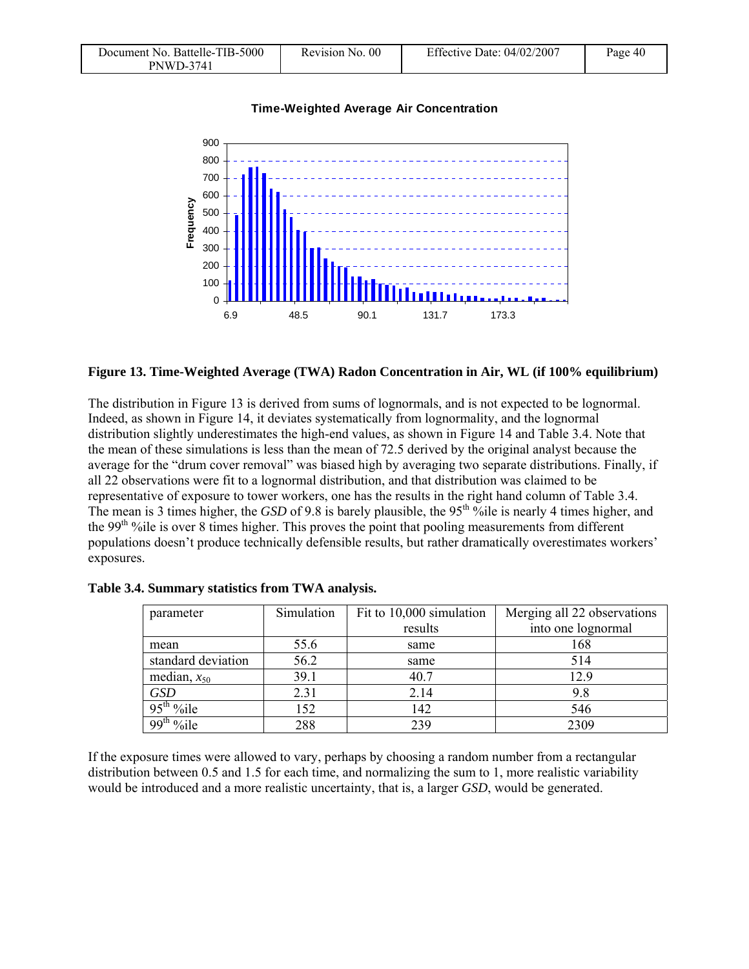| Document No. Battelle-TIB-5000 | Revision No. 00 | Effective Date: $04/02/2007$ | Page 40 |
|--------------------------------|-----------------|------------------------------|---------|
| PNWD-3741                      |                 |                              |         |



#### **Time-Weighted Average Air Concentration**

#### **Figure 13. Time-Weighted Average (TWA) Radon Concentration in Air, WL (if 100% equilibrium)**

The distribution in Figure 13 is derived from sums of lognormals, and is not expected to be lognormal. Indeed, as shown in Figure 14, it deviates systematically from lognormality, and the lognormal distribution slightly underestimates the high-end values, as shown in Figure 14 and Table 3.4. Note that the mean of these simulations is less than the mean of 72.5 derived by the original analyst because the average for the "drum cover removal" was biased high by averaging two separate distributions. Finally, if all 22 observations were fit to a lognormal distribution, and that distribution was claimed to be representative of exposure to tower workers, one has the results in the right hand column of Table 3.4. The mean is 3 times higher, the *GSD* of 9.8 is barely plausible, the 95<sup>th o</sup>bile is nearly 4 times higher, and the 99<sup>th</sup> %ile is over 8 times higher. This proves the point that pooling measurements from different populations doesn't produce technically defensible results, but rather dramatically overestimates workers' exposures.

| parameter          | Simulation | Fit to 10,000 simulation | Merging all 22 observations |
|--------------------|------------|--------------------------|-----------------------------|
|                    |            | results                  | into one lognormal          |
| mean               | 55.6       | same                     | 168                         |
| standard deviation | 56.2       | same                     | 514                         |
| median, $x_{50}$   | 39.1       | 40.7                     | 12.9                        |
| <b>GSD</b>         | 2.31       | 2.14                     | 9.8                         |
| $95th$ %ile        | 152        | 142                      | 546                         |
| $99th$ %ile        | 288        | 239                      | 2309                        |

**Table 3.4. Summary statistics from TWA analysis.** 

If the exposure times were allowed to vary, perhaps by choosing a random number from a rectangular distribution between 0.5 and 1.5 for each time, and normalizing the sum to 1, more realistic variability would be introduced and a more realistic uncertainty, that is, a larger *GSD*, would be generated.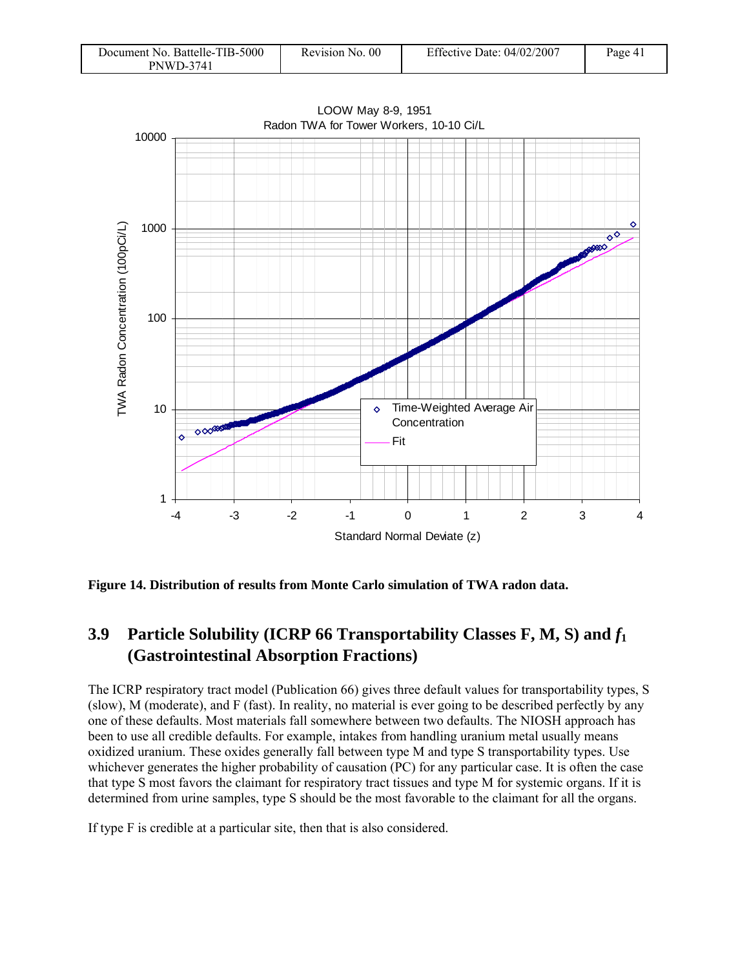| Document No. Battelle-TIB-5000 | Revision No. 00 | Effective Date: $04/02/2007$ | Page 41 |
|--------------------------------|-----------------|------------------------------|---------|
| <b>PNWD-3741</b>               |                 |                              |         |



LOOW May 8-9, 1951 Radon TWA for Tower Workers, 10-10 Ci/L

**Figure 14. Distribution of results from Monte Carlo simulation of TWA radon data.** 

### **3.9 Particle Solubility (ICRP 66 Transportability Classes F, M, S) and** *f***<sup>1</sup> (Gastrointestinal Absorption Fractions)**

The ICRP respiratory tract model (Publication 66) gives three default values for transportability types, S (slow), M (moderate), and F (fast). In reality, no material is ever going to be described perfectly by any one of these defaults. Most materials fall somewhere between two defaults. The NIOSH approach has been to use all credible defaults. For example, intakes from handling uranium metal usually means oxidized uranium. These oxides generally fall between type M and type S transportability types. Use whichever generates the higher probability of causation (PC) for any particular case. It is often the case that type S most favors the claimant for respiratory tract tissues and type M for systemic organs. If it is determined from urine samples, type S should be the most favorable to the claimant for all the organs.

If type F is credible at a particular site, then that is also considered.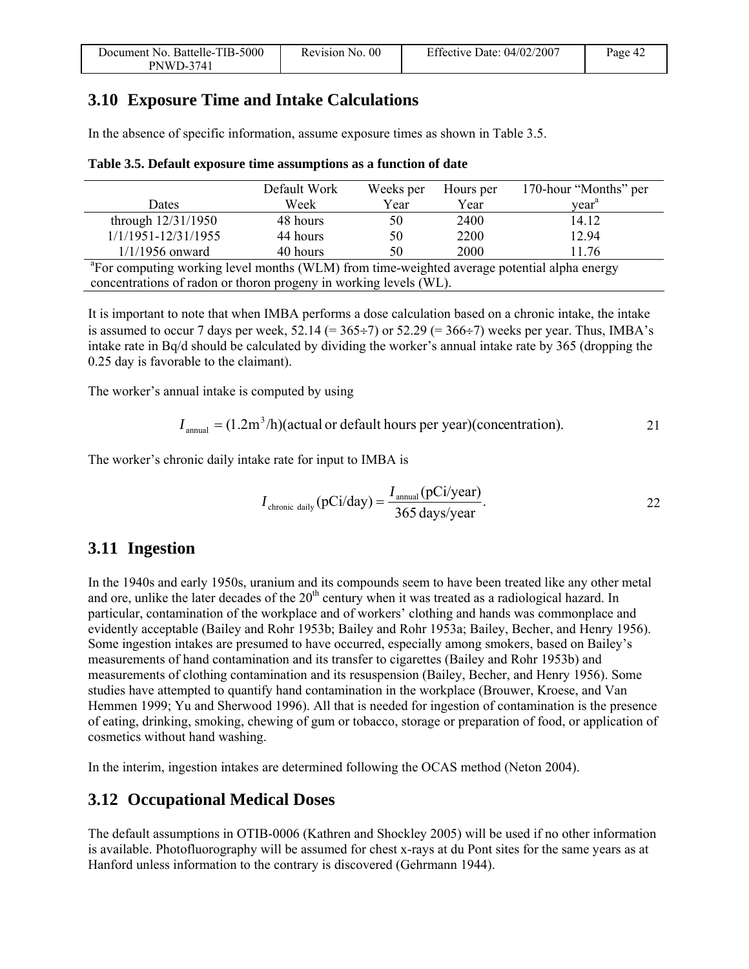| Document No. Battelle-TIB-5000 | Revision No. 00 | Effective Date: 04/02/2007 | Page 42 |
|--------------------------------|-----------------|----------------------------|---------|
| <b>PNWD-3741</b>               |                 |                            |         |

### **3.10 Exposure Time and Intake Calculations**

In the absence of specific information, assume exposure times as shown in Table 3.5.

|                                                                                                         | Default Work | Weeks per | Hours per | 170-hour "Months" per |
|---------------------------------------------------------------------------------------------------------|--------------|-----------|-----------|-----------------------|
| Dates                                                                                                   | Week         | Year      | Year      | vear <sup>a</sup>     |
| through $12/31/1950$                                                                                    | 48 hours     | 50        | 2400      | 14.12                 |
| 1/1/1951-12/31/1955                                                                                     | 44 hours     | 50        | 2200      | 12.94                 |
| $1/1/1956$ onward                                                                                       | 40 hours     | 50        | 2000      | 11.76                 |
| <sup>a</sup> For computing working level months (WLM) from time-weighted average potential alpha energy |              |           |           |                       |

| Table 3.5. Default exposure time assumptions as a function of date |  |  |
|--------------------------------------------------------------------|--|--|
|                                                                    |  |  |

concentrations of radon or thoron progeny in working levels (WL).

It is important to note that when IMBA performs a dose calculation based on a chronic intake, the intake is assumed to occur 7 days per week,  $52.14$  (=  $365\div7$ ) or  $52.29$  (=  $366\div7$ ) weeks per year. Thus, IMBA's intake rate in Bq/d should be calculated by dividing the worker's annual intake rate by 365 (dropping the 0.25 day is favorable to the claimant).

The worker's annual intake is computed by using

$$
I_{\text{annual}} = (1.2 \text{m}^3/\text{h})(\text{actual or default hours per year})(\text{concentration}).
$$

The worker's chronic daily intake rate for input to IMBA is

$$
I_{\text{chronic daily}}(pCi/day) = \frac{I_{\text{annual}}(pCi/year)}{365 \text{ days/year}}.
$$

### **3.11 Ingestion**

In the 1940s and early 1950s, uranium and its compounds seem to have been treated like any other metal and ore, unlike the later decades of the  $20<sup>th</sup>$  century when it was treated as a radiological hazard. In particular, contamination of the workplace and of workers' clothing and hands was commonplace and evidently acceptable (Bailey and Rohr 1953b; Bailey and Rohr 1953a; Bailey, Becher, and Henry 1956). Some ingestion intakes are presumed to have occurred, especially among smokers, based on Bailey's measurements of hand contamination and its transfer to cigarettes (Bailey and Rohr 1953b) and measurements of clothing contamination and its resuspension (Bailey, Becher, and Henry 1956). Some studies have attempted to quantify hand contamination in the workplace (Brouwer, Kroese, and Van Hemmen 1999; Yu and Sherwood 1996). All that is needed for ingestion of contamination is the presence of eating, drinking, smoking, chewing of gum or tobacco, storage or preparation of food, or application of cosmetics without hand washing.

In the interim, ingestion intakes are determined following the OCAS method (Neton 2004).

### **3.12 Occupational Medical Doses**

The default assumptions in OTIB-0006 (Kathren and Shockley 2005) will be used if no other information is available. Photofluorography will be assumed for chest x-rays at du Pont sites for the same years as at Hanford unless information to the contrary is discovered (Gehrmann 1944).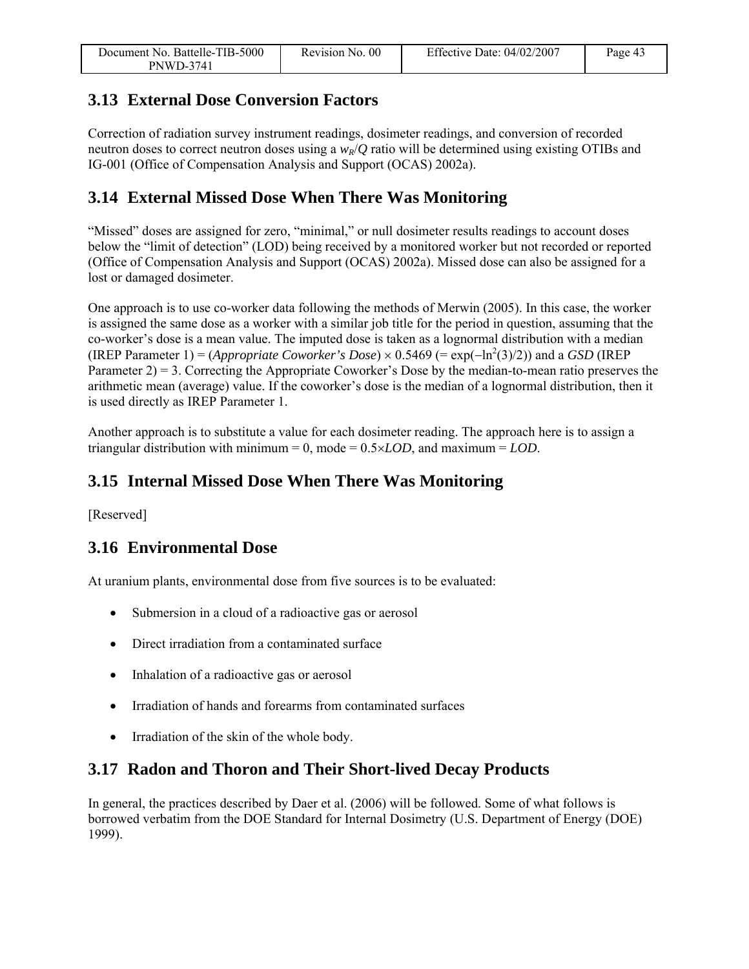| Document No. Battelle-TIB-5000 | Revision No. 00 | Effective Date: 04/02/2007 | Page 43 |
|--------------------------------|-----------------|----------------------------|---------|
| PNWD-3741                      |                 |                            |         |

### **3.13 External Dose Conversion Factors**

Correction of radiation survey instrument readings, dosimeter readings, and conversion of recorded neutron doses to correct neutron doses using a  $w_R/Q$  ratio will be determined using existing OTIBs and IG-001 (Office of Compensation Analysis and Support (OCAS) 2002a).

### **3.14 External Missed Dose When There Was Monitoring**

"Missed" doses are assigned for zero, "minimal," or null dosimeter results readings to account doses below the "limit of detection" (LOD) being received by a monitored worker but not recorded or reported (Office of Compensation Analysis and Support (OCAS) 2002a). Missed dose can also be assigned for a lost or damaged dosimeter.

One approach is to use co-worker data following the methods of Merwin (2005). In this case, the worker is assigned the same dose as a worker with a similar job title for the period in question, assuming that the co-worker's dose is a mean value. The imputed dose is taken as a lognormal distribution with a median (IREP Parameter 1) = (*Appropriate Coworker's Dose*) × 0.5469 (=  $\exp(-\ln^2(3)/2)$ ) and a *GSD* (IREP Parameter 2) = 3. Correcting the Appropriate Coworker's Dose by the median-to-mean ratio preserves the arithmetic mean (average) value. If the coworker's dose is the median of a lognormal distribution, then it is used directly as IREP Parameter 1.

Another approach is to substitute a value for each dosimeter reading. The approach here is to assign a triangular distribution with minimum = 0, mode =  $0.5 \times LOD$ , and maximum =  $LOD$ .

### **3.15 Internal Missed Dose When There Was Monitoring**

[Reserved]

### **3.16 Environmental Dose**

At uranium plants, environmental dose from five sources is to be evaluated:

- Submersion in a cloud of a radioactive gas or aerosol
- Direct irradiation from a contaminated surface
- Inhalation of a radioactive gas or aerosol
- Irradiation of hands and forearms from contaminated surfaces
- Irradiation of the skin of the whole body.

### **3.17 Radon and Thoron and Their Short-lived Decay Products**

In general, the practices described by Daer et al. (2006) will be followed. Some of what follows is borrowed verbatim from the DOE Standard for Internal Dosimetry (U.S. Department of Energy (DOE) 1999).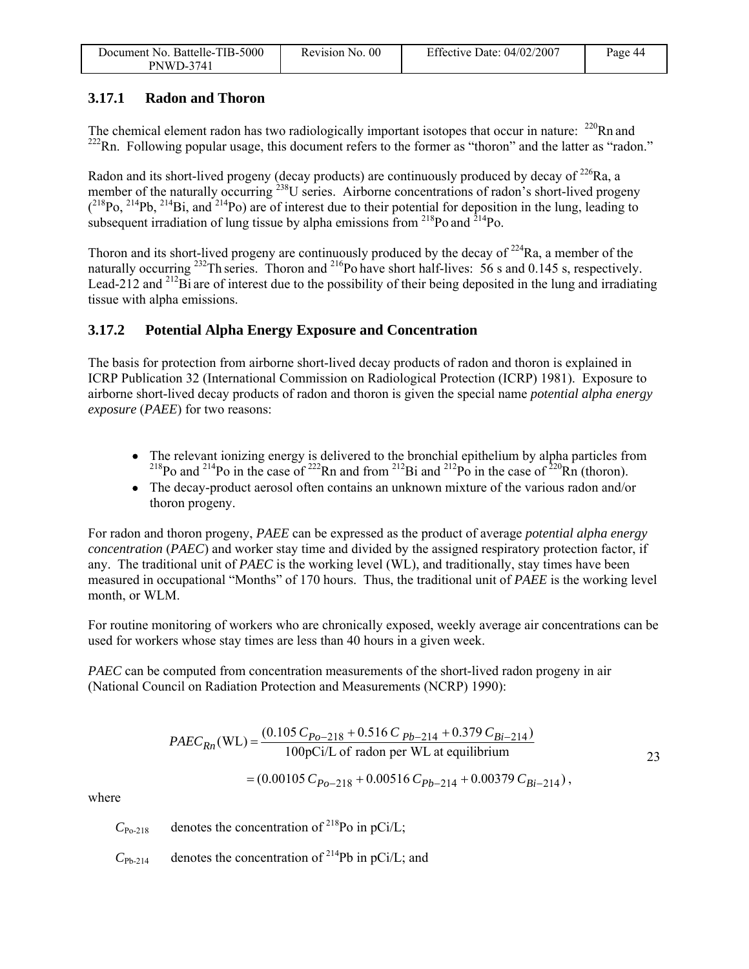| Document No. Battelle-TIB-5000 | Revision No. 00 | Effective Date: $04/02/2007$ | Page 44 |
|--------------------------------|-----------------|------------------------------|---------|
| <b>PNWD-3741</b>               |                 |                              |         |

### **3.17.1 Radon and Thoron**

The chemical element radon has two radiologically important isotopes that occur in nature:  $^{220}$ Rn and  $222$ Rn. Following popular usage, this document refers to the former as "thoron" and the latter as "radon."

Radon and its short-lived progeny (decay products) are continuously produced by decay of  $^{226}$ Ra, a member of the naturally occurring  $238$ U series. Airborne concentrations of radon's short-lived progeny  $(^{218}Po, ^{214}Pb, ^{214}Bi,$  and  $^{214}Po)$  are of interest due to their potential for deposition in the lung, leading to subsequent irradiation of lung tissue by alpha emissions from  $^{218}$ Po and  $^{214}$ Po.

Thoron and its short-lived progeny are continuously produced by the decay of  $224$ Ra, a member of the naturally occurring <sup>232</sup>Th series. Thoron and <sup>216</sup>Po have short half-lives: 56 s and 0.145 s, respectively. Lead-212 and <sup>212</sup>Bi are of interest due to the possibility of their being deposited in the lung and irradiating tissue with alpha emissions.

### **3.17.2 Potential Alpha Energy Exposure and Concentration**

The basis for protection from airborne short-lived decay products of radon and thoron is explained in ICRP Publication 32 (International Commission on Radiological Protection (ICRP) 1981). Exposure to airborne short-lived decay products of radon and thoron is given the special name *potential alpha energy exposure* (*PAEE*) for two reasons:

- The relevant ionizing energy is delivered to the bronchial epithelium by alpha particles from <sup>218</sup>Po and <sup>214</sup>Po in the case of <sup>222</sup>Rn and from <sup>212</sup>Bi and <sup>212</sup>Po in the case of <sup>220</sup>Rn (thoron).
- The decay-product aerosol often contains an unknown mixture of the various radon and/or thoron progeny.

For radon and thoron progeny, *PAEE* can be expressed as the product of average *potential alpha energy concentration* (*PAEC*) and worker stay time and divided by the assigned respiratory protection factor, if any. The traditional unit of *PAEC* is the working level (WL), and traditionally, stay times have been measured in occupational "Months" of 170 hours. Thus, the traditional unit of *PAEE* is the working level month, or WLM.

For routine monitoring of workers who are chronically exposed, weekly average air concentrations can be used for workers whose stay times are less than 40 hours in a given week.

*PAEC* can be computed from concentration measurements of the short-lived radon progeny in air (National Council on Radiation Protection and Measurements (NCRP) 1990):

$$
PAEC_{Rn}(\text{WL}) = \frac{(0.105 \, C_{Po-218} + 0.516 \, C \, p_{b-214} + 0.379 \, C_{Bi-214})}{100 \, \text{pci/L of radon per WL at equilibrium}}
$$
\n
$$
= (0.00105 \, C_{Po-218} + 0.00516 \, C_{Pb-214} + 0.00379 \, C_{Bi-214}),
$$
\n
$$
23
$$

where

 $C_{\text{Po-218}}$  denotes the concentration of <sup>218</sup>Po in pCi/L;

 $C_{\text{Pb-214}}$  denotes the concentration of <sup>214</sup>Pb in pCi/L; and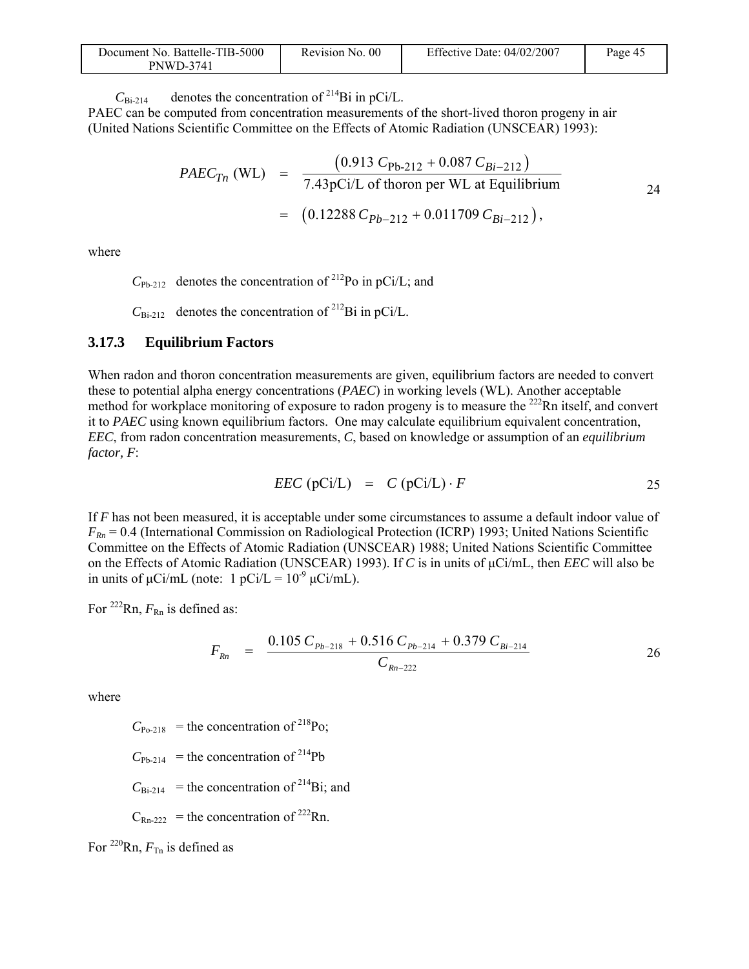| Document No. Battelle-TIB-5000 | Revision No. 00 | Effective Date: $04/02/2007$ | Page 45 |
|--------------------------------|-----------------|------------------------------|---------|
| <b>PNWD-3741</b>               |                 |                              |         |

 $C_{\text{Bi-214}}$  denotes the concentration of <sup>214</sup>Bi in pCi/L.

PAEC can be computed from concentration measurements of the short-lived thoron progeny in air (United Nations Scientific Committee on the Effects of Atomic Radiation (UNSCEAR) 1993):

$$
PAEC_{Tn} \text{ (WL)} = \frac{(0.913 \text{ } C_{\text{Pb-212}} + 0.087 \text{ } C_{Bi-212})}{7.43 \text{ pCi/L of thorough per WL at Equilibrium}}
$$
  
= (0.12288 \text{ } C\_{Pb-212} + 0.011709 \text{ } C\_{Bi-212}),

where

 $C_{\text{Pb-212}}$  denotes the concentration of <sup>212</sup>Po in pCi/L; and

 $C_{\text{Bi-212}}$  denotes the concentration of <sup>212</sup>Bi in pCi/L.

#### **3.17.3 Equilibrium Factors**

When radon and thoron concentration measurements are given, equilibrium factors are needed to convert these to potential alpha energy concentrations (*PAEC*) in working levels (WL). Another acceptable method for workplace monitoring of exposure to radon progeny is to measure the  $^{222}$ Rn itself, and convert it to *PAEC* using known equilibrium factors. One may calculate equilibrium equivalent concentration, *EEC*, from radon concentration measurements, *C*, based on knowledge or assumption of an *equilibrium factor, F*:

$$
EEC (pCi/L) = C (pCi/L) \cdot F
$$
 25

If *F* has not been measured, it is acceptable under some circumstances to assume a default indoor value of  $F_{Rn}$  = 0.4 (International Commission on Radiological Protection (ICRP) 1993; United Nations Scientific Committee on the Effects of Atomic Radiation (UNSCEAR) 1988; United Nations Scientific Committee on the Effects of Atomic Radiation (UNSCEAR) 1993). If *C* is in units of μCi/mL, then *EEC* will also be in units of  $\mu$ Ci/mL (note: 1 pCi/L =  $10^{-9} \mu$ Ci/mL).

For  $^{222}$ Rn,  $F_{Rn}$  is defined as:

$$
F_{Rn} = \frac{0.105 \, C_{Pb-218} + 0.516 \, C_{Pb-214} + 0.379 \, C_{Bi-214}}{C_{Rn-222}}
$$

where

 $C_{P_0-218}$  = the concentration of <sup>218</sup>Po;

 $C_{\text{Ph-214}}$  = the concentration of <sup>214</sup>Pb

 $C_{\text{Bi-214}}$  = the concentration of <sup>214</sup>Bi; and

 $C_{\text{Rn-222}}$  = the concentration of <sup>222</sup>Rn.

For  $^{220}$ Rn,  $F_{\text{Tr}}$  is defined as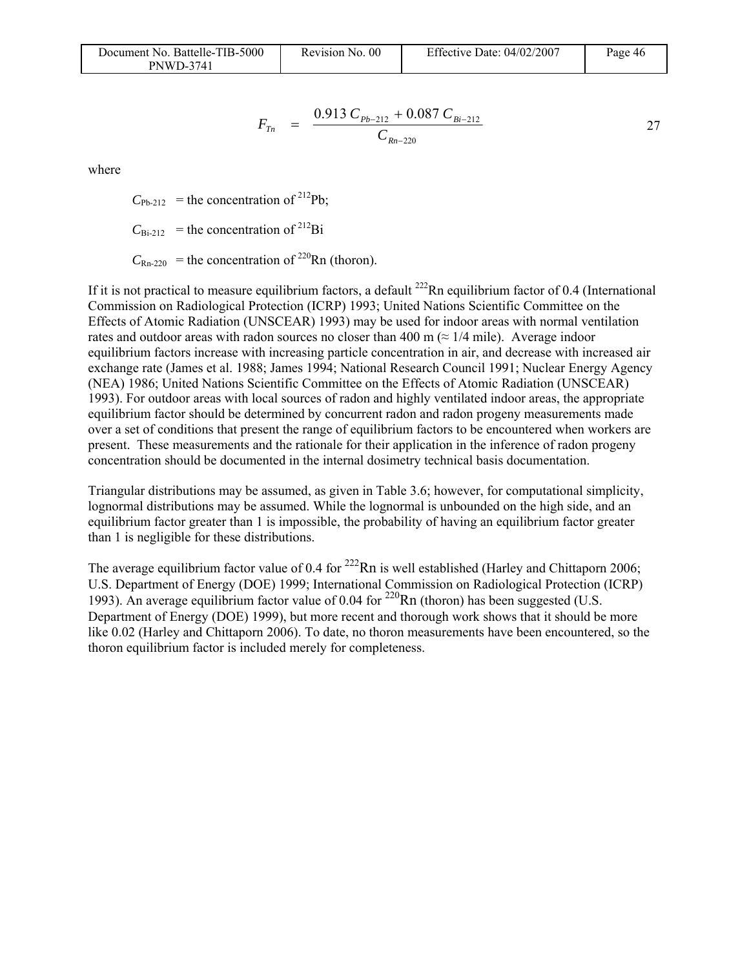| Document No. Battelle-TIB-5000 | Revision No. 00 | Effective Date: $04/02/2007$ | Page 46 |
|--------------------------------|-----------------|------------------------------|---------|
| <b>PNWD-3741</b>               |                 |                              |         |

$$
F_{Tn} = \frac{0.913 \, C_{Pb-212} + 0.087 \, C_{Bi-212}}{C_{Rn-220}}
$$

where

 $C_{\text{Ph-212}}$  = the concentration of <sup>212</sup>Pb;

 $C_{\text{Bi-212}}$  = the concentration of <sup>212</sup>Bi

 $C_{\text{Rn-220}}$  = the concentration of <sup>220</sup>Rn (thoron).

If it is not practical to measure equilibrium factors, a default  $^{222}$ Rn equilibrium factor of 0.4 (International Commission on Radiological Protection (ICRP) 1993; United Nations Scientific Committee on the Effects of Atomic Radiation (UNSCEAR) 1993) may be used for indoor areas with normal ventilation rates and outdoor areas with radon sources no closer than 400 m ( $\approx 1/4$  mile). Average indoor equilibrium factors increase with increasing particle concentration in air, and decrease with increased air exchange rate (James et al. 1988; James 1994; National Research Council 1991; Nuclear Energy Agency (NEA) 1986; United Nations Scientific Committee on the Effects of Atomic Radiation (UNSCEAR) 1993). For outdoor areas with local sources of radon and highly ventilated indoor areas, the appropriate equilibrium factor should be determined by concurrent radon and radon progeny measurements made over a set of conditions that present the range of equilibrium factors to be encountered when workers are present. These measurements and the rationale for their application in the inference of radon progeny concentration should be documented in the internal dosimetry technical basis documentation.

Triangular distributions may be assumed, as given in Table 3.6; however, for computational simplicity, lognormal distributions may be assumed. While the lognormal is unbounded on the high side, and an equilibrium factor greater than 1 is impossible, the probability of having an equilibrium factor greater than 1 is negligible for these distributions.

The average equilibrium factor value of 0.4 for  $^{222}$ Rn is well established (Harley and Chittaporn 2006; U.S. Department of Energy (DOE) 1999; International Commission on Radiological Protection (ICRP) 1993). An average equilibrium factor value of 0.04 for  $^{220}$ Rn (thoron) has been suggested (U.S. Department of Energy (DOE) 1999), but more recent and thorough work shows that it should be more like 0.02 (Harley and Chittaporn 2006). To date, no thoron measurements have been encountered, so the thoron equilibrium factor is included merely for completeness.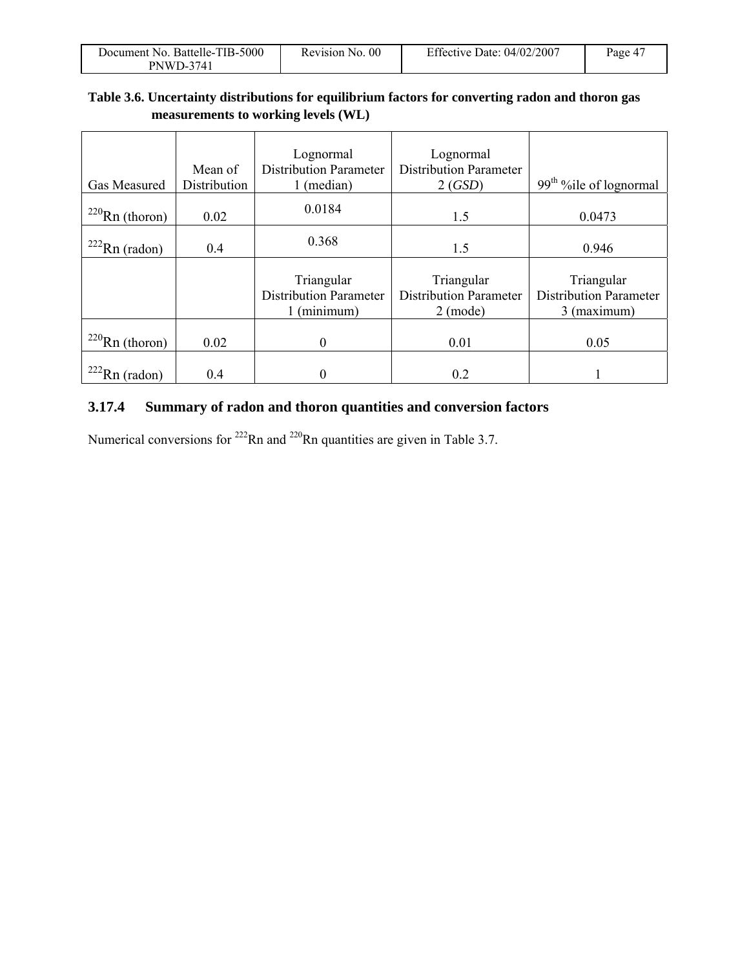| Document No. Battelle-TIB-5000 | Revision No. 00 | Effective Date: 04/02/2007 | Page 47 |
|--------------------------------|-----------------|----------------------------|---------|
| <b>PNWD-3741</b>               |                 |                            |         |

### **Table 3.6. Uncertainty distributions for equilibrium factors for converting radon and thoron gas measurements to working levels (WL)**

| Gas Measured         | Mean of<br>Distribution | Lognormal<br><b>Distribution Parameter</b><br>(median)     | Lognormal<br><b>Distribution Parameter</b><br>2(GSD)        | 99 <sup>th</sup> %ile of lognormal                         |
|----------------------|-------------------------|------------------------------------------------------------|-------------------------------------------------------------|------------------------------------------------------------|
| $^{220}$ Rn (thoron) | 0.02                    | 0.0184                                                     | 1.5                                                         | 0.0473                                                     |
| $222$ Rn (radon)     | 0.4                     | 0.368                                                      | 1.5                                                         | 0.946                                                      |
|                      |                         | Triangular<br><b>Distribution Parameter</b><br>1 (minimum) | Triangular<br><b>Distribution Parameter</b><br>$2 \pmod{e}$ | Triangular<br><b>Distribution Parameter</b><br>3 (maximum) |
| $220$ Rn (thoron)    | 0.02                    | $\theta$                                                   | 0.01                                                        | 0.05                                                       |
| $222$ Rn (radon)     | 0.4                     | $\theta$                                                   | 0.2                                                         |                                                            |

### **3.17.4 Summary of radon and thoron quantities and conversion factors**

Numerical conversions for  $^{222}$ Rn and  $^{220}$ Rn quantities are given in Table 3.7.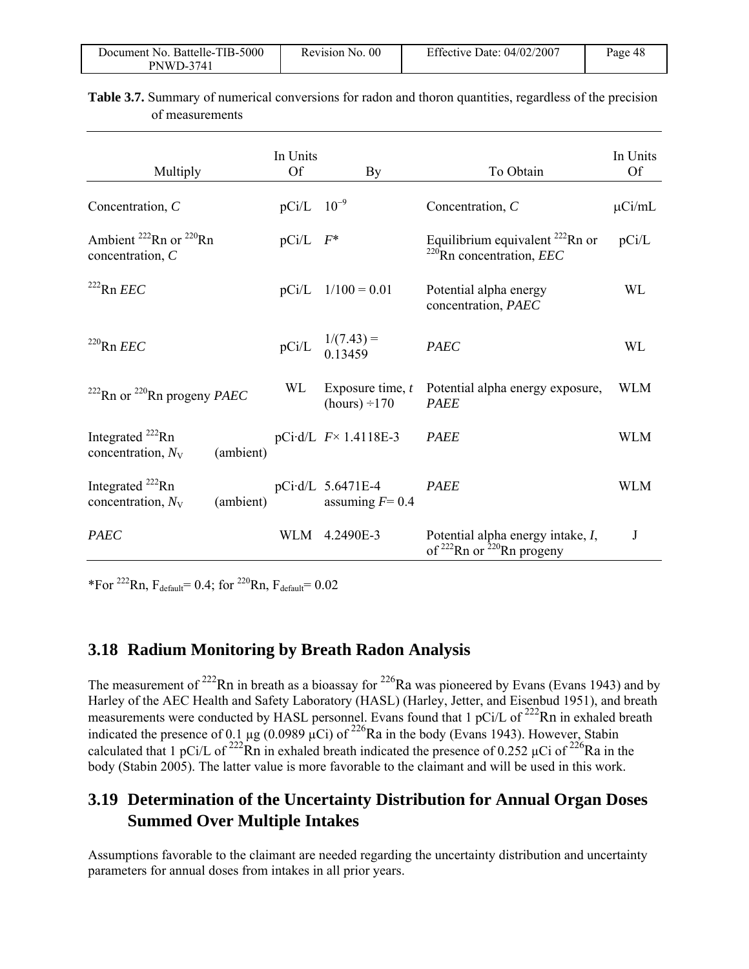| Document No. Battelle-TIB-5000 | Revision No. 00 | Effective Date: 04/02/2007 | Page 48 |
|--------------------------------|-----------------|----------------------------|---------|
| <b>PNWD-3741</b>               |                 |                            |         |

| Multiply                                                   |           | In Units<br><b>Of</b>    | By                                        | To Obtain                                                                      | In Units<br><b>Of</b> |
|------------------------------------------------------------|-----------|--------------------------|-------------------------------------------|--------------------------------------------------------------------------------|-----------------------|
| Concentration, $C$                                         |           | $pCi/L$ 10 <sup>-9</sup> |                                           | Concentration, $C$                                                             | $\mu$ Ci/mL           |
| Ambient $^{222}$ Rn or $^{220}$ Rn<br>concentration, C     |           | $pCi/L$ $F^*$            |                                           | Equilibrium equivalent $^{222}$ Rn or<br>$^{220}$ Rn concentration, <i>EEC</i> | pCi/L                 |
| $222$ Rn <i>EEC</i>                                        |           | pCi/L                    | $1/100 = 0.01$                            | Potential alpha energy<br>concentration, PAEC                                  | <b>WL</b>             |
| $220$ Rn <i>EEC</i>                                        |           | pCi/L                    | $1/(7.43) =$<br>0.13459                   | <b>PAEC</b>                                                                    | WL                    |
| <sup>222</sup> Rn or <sup>220</sup> Rn progeny <i>PAEC</i> |           | WL                       | Exposure time, $t$<br>$(hours) \div 170$  | Potential alpha energy exposure,<br><b>PAEE</b>                                | <b>WLM</b>            |
| Integrated $^{222}$ Rn<br>concentration, $N_V$             | (ambient) |                          | pCi·d/L $F \times 1.4118E-3$              | <b>PAEE</b>                                                                    | <b>WLM</b>            |
| Integrated $^{222}$ Rn<br>concentration, $N_V$             | (ambient) |                          | $pCi$ d/L 5.6471E-4<br>assuming $F = 0.4$ | <b>PAEE</b>                                                                    | <b>WLM</b>            |
| <b>PAEC</b>                                                |           | WLM                      | 4.2490E-3                                 | Potential alpha energy intake, I,<br>of $222$ Rn or $220$ Rn progeny           | J                     |

**Table 3.7.** Summary of numerical conversions for radon and thoron quantities, regardless of the precision of measurements

\*For  $^{222}$ Rn,  $F_{default}$ = 0.4; for  $^{220}$ Rn,  $F_{default}$ = 0.02

### **3.18 Radium Monitoring by Breath Radon Analysis**

The measurement of <sup>222</sup>Rn in breath as a bioassay for <sup>226</sup>Ra was pioneered by Evans (Evans 1943) and by Harley of the AEC Health and Safety Laboratory (HASL) (Harley, Jetter, and Eisenbud 1951), and breath measurements were conducted by HASL personnel. Evans found that 1 pCi/L of <sup>222</sup>Rn in exhaled breath indicated the presence of 0.1  $\mu$ g (0.0989  $\mu$ Ci) of <sup>226</sup>Ra in the body (Evans 1943). However, Stabin calculated that 1 pCi/L of <sup>222</sup>Rn in exhaled breath indicated the presence of 0.252 µCi of <sup>226</sup>Ra in the body (Stabin 2005). The latter value is more favorable to the claimant and will be used in this work.

### **3.19 Determination of the Uncertainty Distribution for Annual Organ Doses Summed Over Multiple Intakes**

Assumptions favorable to the claimant are needed regarding the uncertainty distribution and uncertainty parameters for annual doses from intakes in all prior years.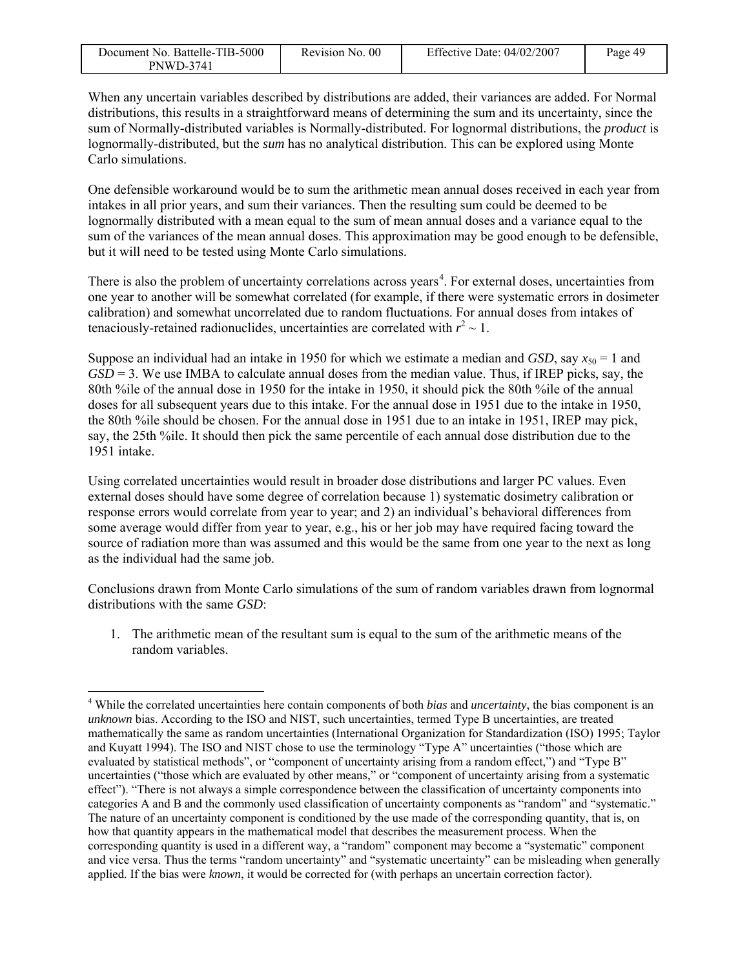| Document No. Battelle-TIB-5000 | Revision No. 00 | Effective Date: 04/02/2007 | Page 49 |
|--------------------------------|-----------------|----------------------------|---------|
| PNWD-3741                      |                 |                            |         |

When any uncertain variables described by distributions are added, their variances are added. For Normal distributions, this results in a straightforward means of determining the sum and its uncertainty, since the sum of Normally-distributed variables is Normally-distributed. For lognormal distributions, the *product* is lognormally-distributed, but the *sum* has no analytical distribution. This can be explored using Monte Carlo simulations.

One defensible workaround would be to sum the arithmetic mean annual doses received in each year from intakes in all prior years, and sum their variances. Then the resulting sum could be deemed to be lognormally distributed with a mean equal to the sum of mean annual doses and a variance equal to the sum of the variances of the mean annual doses. This approximation may be good enough to be defensible, but it will need to be tested using Monte Carlo simulations.

There is also the problem of uncertainty correlations across years<sup>4</sup>. For external doses, uncertainties from one year to another will be somewhat correlated (for example, if there were systematic errors in dosimeter calibration) and somewhat uncorrelated due to random fluctuations. For annual doses from intakes of tenaciously-retained radionuclides, uncertainties are correlated with  $r^2 \sim 1$ .

Suppose an individual had an intake in 1950 for which we estimate a median and *GSD*, say  $x_{50} = 1$  and *GSD* = 3. We use IMBA to calculate annual doses from the median value. Thus, if IREP picks, say, the 80th %ile of the annual dose in 1950 for the intake in 1950, it should pick the 80th %ile of the annual doses for all subsequent years due to this intake. For the annual dose in 1951 due to the intake in 1950, the 80th %ile should be chosen. For the annual dose in 1951 due to an intake in 1951, IREP may pick, say, the 25th %ile. It should then pick the same percentile of each annual dose distribution due to the 1951 intake.

Using correlated uncertainties would result in broader dose distributions and larger PC values. Even external doses should have some degree of correlation because 1) systematic dosimetry calibration or response errors would correlate from year to year; and 2) an individual's behavioral differences from some average would differ from year to year, e.g., his or her job may have required facing toward the source of radiation more than was assumed and this would be the same from one year to the next as long as the individual had the same job.

Conclusions drawn from Monte Carlo simulations of the sum of random variables drawn from lognormal distributions with the same *GSD*:

1. The arithmetic mean of the resultant sum is equal to the sum of the arithmetic means of the random variables.

1

<sup>4</sup> While the correlated uncertainties here contain components of both *bias* and *uncertainty*, the bias component is an *unknown* bias. According to the ISO and NIST, such uncertainties, termed Type B uncertainties, are treated mathematically the same as random uncertainties (International Organization for Standardization (ISO) 1995; Taylor and Kuyatt 1994). The ISO and NIST chose to use the terminology "Type A" uncertainties ("those which are evaluated by statistical methods", or "component of uncertainty arising from a random effect,") and "Type B" uncertainties ("those which are evaluated by other means," or "component of uncertainty arising from a systematic effect"). "There is not always a simple correspondence between the classification of uncertainty components into categories A and B and the commonly used classification of uncertainty components as "random" and "systematic." The nature of an uncertainty component is conditioned by the use made of the corresponding quantity, that is, on how that quantity appears in the mathematical model that describes the measurement process. When the corresponding quantity is used in a different way, a "random" component may become a "systematic" component and vice versa. Thus the terms "random uncertainty" and "systematic uncertainty" can be misleading when generally applied. If the bias were *known*, it would be corrected for (with perhaps an uncertain correction factor).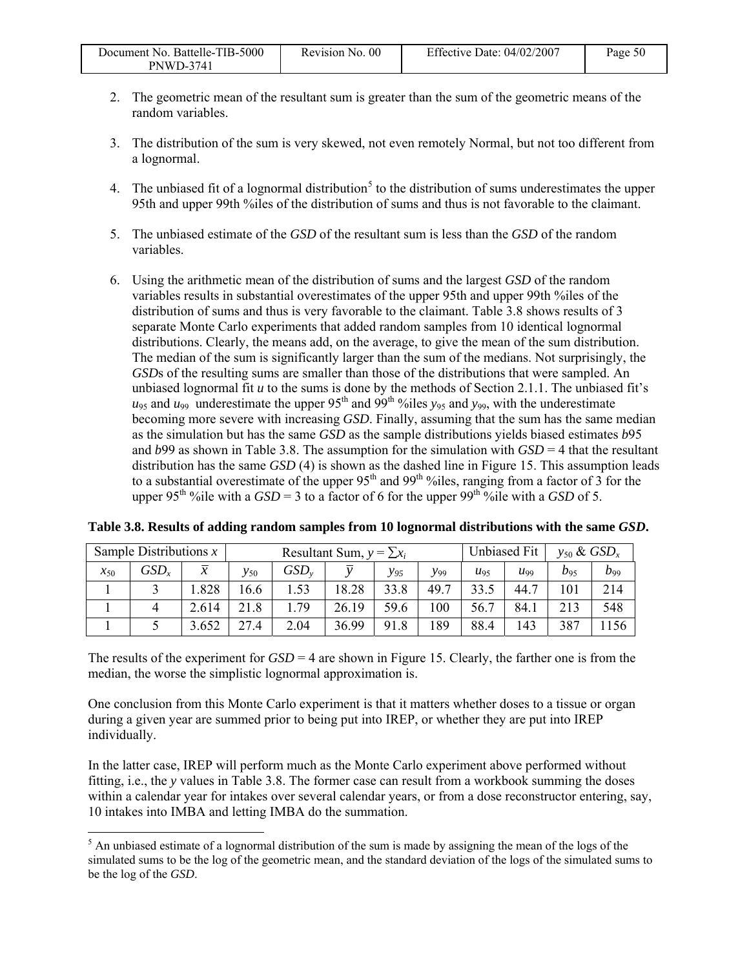| Document No. Battelle-TIB-5000 | Revision No. 00 | Effective Date: 04/02/2007 | Page 50 |
|--------------------------------|-----------------|----------------------------|---------|
| <b>PNWD-3741</b>               |                 |                            |         |

- 2. The geometric mean of the resultant sum is greater than the sum of the geometric means of the random variables.
- 3. The distribution of the sum is very skewed, not even remotely Normal, but not too different from a lognormal.
- 4. The unbiased fit of a lognormal distribution<sup>5</sup> to the distribution of sums underestimates the upper 95th and upper 99th %iles of the distribution of sums and thus is not favorable to the claimant.
- 5. The unbiased estimate of the *GSD* of the resultant sum is less than the *GSD* of the random variables.
- 6. Using the arithmetic mean of the distribution of sums and the largest *GSD* of the random variables results in substantial overestimates of the upper 95th and upper 99th %iles of the distribution of sums and thus is very favorable to the claimant. Table 3.8 shows results of 3 separate Monte Carlo experiments that added random samples from 10 identical lognormal distributions. Clearly, the means add, on the average, to give the mean of the sum distribution. The median of the sum is significantly larger than the sum of the medians. Not surprisingly, the *GSD*s of the resulting sums are smaller than those of the distributions that were sampled. An unbiased lognormal fit *u* to the sums is done by the methods of Section 2.1.1. The unbiased fit's  $u_{95}$  and  $u_{99}$  underestimate the upper 95<sup>th</sup> and 99<sup>th o</sup> iles  $y_{95}$  and  $y_{99}$ , with the underestimate becoming more severe with increasing *GSD*. Finally, assuming that the sum has the same median as the simulation but has the same *GSD* as the sample distributions yields biased estimates *b*95 and *b*99 as shown in Table 3.8. The assumption for the simulation with *GSD* = 4 that the resultant distribution has the same *GSD* (4) is shown as the dashed line in Figure 15. This assumption leads to a substantial overestimate of the upper 95<sup>th</sup> and 99<sup>th o</sup>iles, ranging from a factor of 3 for the upper 95<sup>th</sup> %ile with a  $GSD = 3$  to a factor of 6 for the upper 99<sup>th</sup> %ile with a  $GSD$  of 5.

| Sample Distributions $x$ |           |        | Resultant Sum, $y = \sum x_i$ |      |       |          | Unbiased Fit | $v_{50}$ & $GSD_x$ |      |          |                |
|--------------------------|-----------|--------|-------------------------------|------|-------|----------|--------------|--------------------|------|----------|----------------|
| $x_{50}$                 | $GSD_{r}$ | $\chi$ | $v_{50}$                      | GSD  |       | $y_{95}$ | $y_{99}$     | $u_{95}$           | U99  | $b_{95}$ | D99            |
|                          |           | .828   | 16.6                          |      | 18.28 | 33.8     | 49.7         | 33.5               | 44.7 | 101      | 214            |
|                          |           | 2.614  | 21.8                          | .79  | 26.19 | 59.6     | 100          | 56.7               | 84.1 | 213      | 548            |
|                          |           | 3.652  | 27.4                          | 2.04 | 36.99 | 91.8     | 189          | 88.4               | 143  | 387      | <sup>156</sup> |

**Table 3.8. Results of adding random samples from 10 lognormal distributions with the same** *GSD***.** 

The results of the experiment for *GSD* = 4 are shown in Figure 15. Clearly, the farther one is from the median, the worse the simplistic lognormal approximation is.

One conclusion from this Monte Carlo experiment is that it matters whether doses to a tissue or organ during a given year are summed prior to being put into IREP, or whether they are put into IREP individually.

In the latter case, IREP will perform much as the Monte Carlo experiment above performed without fitting, i.e., the *y* values in Table 3.8. The former case can result from a workbook summing the doses within a calendar year for intakes over several calendar years, or from a dose reconstructor entering, say, 10 intakes into IMBA and letting IMBA do the summation.

<sup>&</sup>lt;sup>5</sup> An unbiased estimate of a lognormal distribution of the sum is made by assigning the mean of the logs of the simulated sums to be the log of the geometric mean, and the standard deviation of the logs of the simulated sums to be the log of the *GSD*.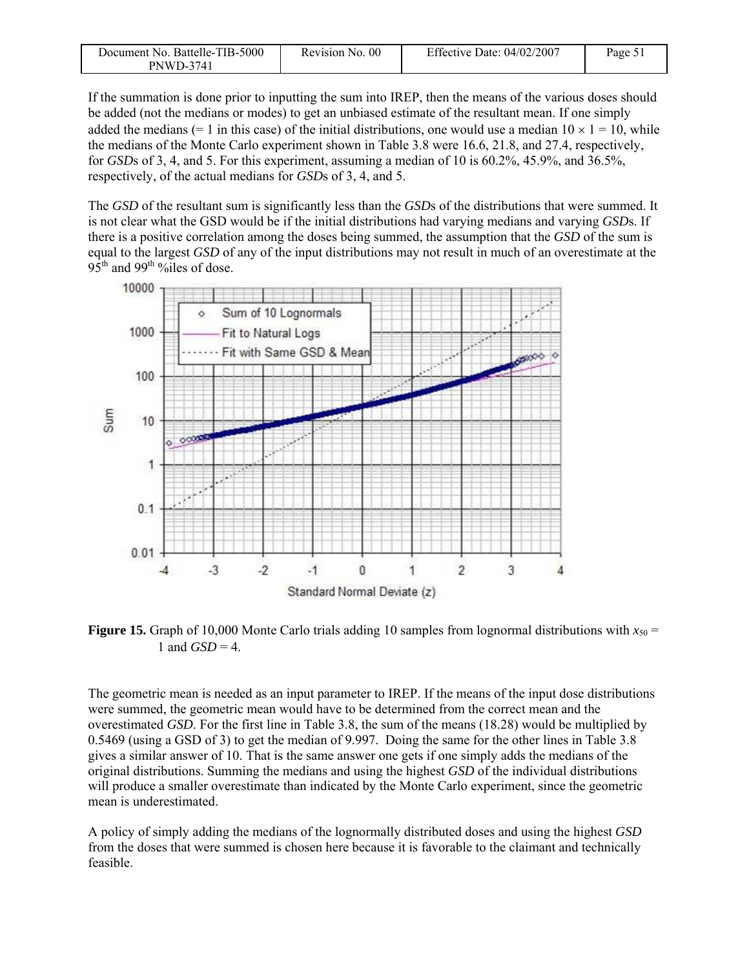| Document No. Battelle-TIB-5000 | Revision No. 00 | Effective Date: $04/02/2007$ | Page $51$ |
|--------------------------------|-----------------|------------------------------|-----------|
| <b>PNWD-3741</b>               |                 |                              |           |

If the summation is done prior to inputting the sum into IREP, then the means of the various doses should be added (not the medians or modes) to get an unbiased estimate of the resultant mean. If one simply added the medians (= 1 in this case) of the initial distributions, one would use a median  $10 \times 1 = 10$ , while the medians of the Monte Carlo experiment shown in Table 3.8 were 16.6, 21.8, and 27.4, respectively, for *GSD*s of 3, 4, and 5. For this experiment, assuming a median of 10 is 60.2%, 45.9%, and 36.5%, respectively, of the actual medians for *GSD*s of 3, 4, and 5.

The *GSD* of the resultant sum is significantly less than the *GSD*s of the distributions that were summed. It is not clear what the GSD would be if the initial distributions had varying medians and varying *GSD*s. If there is a positive correlation among the doses being summed, the assumption that the *GSD* of the sum is equal to the largest *GSD* of any of the input distributions may not result in much of an overestimate at the  $95<sup>th</sup>$  and  $99<sup>th</sup>$ %  $\frac{6}{1}$  es of dose.



**Figure 15.** Graph of 10,000 Monte Carlo trials adding 10 samples from lognormal distributions with  $x_{50} =$ 1 and  $GSD = 4$ .

The geometric mean is needed as an input parameter to IREP. If the means of the input dose distributions were summed, the geometric mean would have to be determined from the correct mean and the overestimated *GSD*. For the first line in Table 3.8, the sum of the means (18.28) would be multiplied by 0.5469 (using a GSD of 3) to get the median of 9.997. Doing the same for the other lines in Table 3.8 gives a similar answer of 10. That is the same answer one gets if one simply adds the medians of the original distributions. Summing the medians and using the highest *GSD* of the individual distributions will produce a smaller overestimate than indicated by the Monte Carlo experiment, since the geometric mean is underestimated.

A policy of simply adding the medians of the lognormally distributed doses and using the highest *GSD* from the doses that were summed is chosen here because it is favorable to the claimant and technically feasible.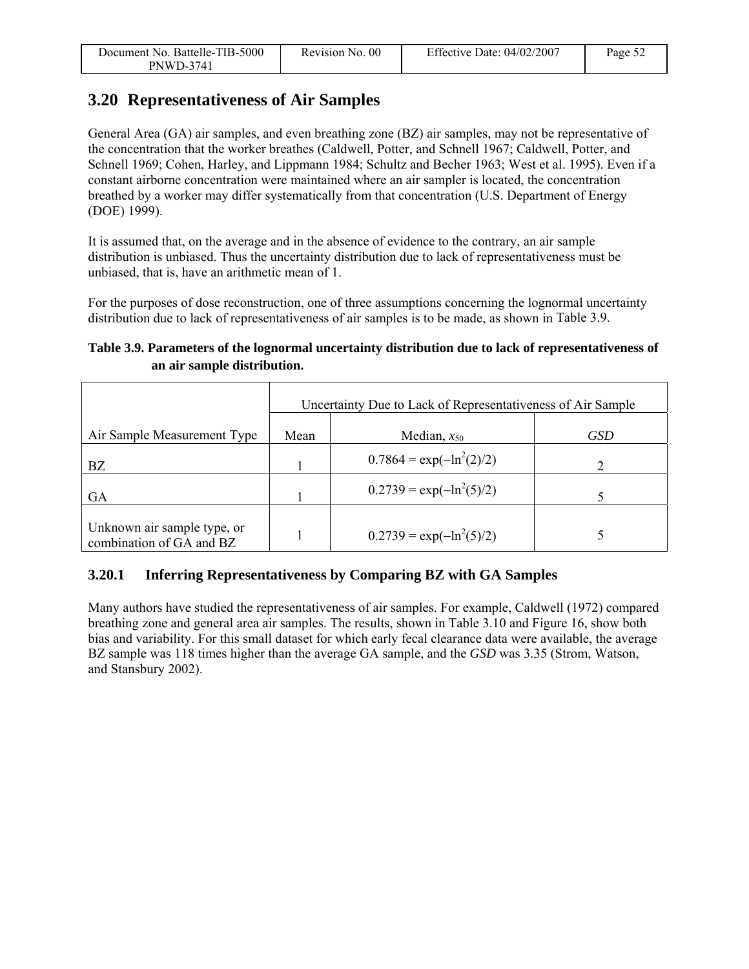| Document No. Battelle-TIB-5000 | Revision No. 00 | Effective Date: 04/02/2007 | Page 52 |
|--------------------------------|-----------------|----------------------------|---------|
| PNWD-3741                      |                 |                            |         |

### **3.20 Representativeness of Air Samples**

General Area (GA) air samples, and even breathing zone (BZ) air samples, may not be representative of the concentration that the worker breathes (Caldwell, Potter, and Schnell 1967; Caldwell, Potter, and Schnell 1969; Cohen, Harley, and Lippmann 1984; Schultz and Becher 1963; West et al. 1995). Even if a constant airborne concentration were maintained where an air sampler is located, the concentration breathed by a worker may differ systematically from that concentration (U.S. Department of Energy (DOE) 1999).

It is assumed that, on the average and in the absence of evidence to the contrary, an air sample distribution is unbiased. Thus the uncertainty distribution due to lack of representativeness must be unbiased, that is, have an arithmetic mean of 1.

For the purposes of dose reconstruction, one of three assumptions concerning the lognormal uncertainty distribution due to lack of representativeness of air samples is to be made, as shown in Table 3.9.

#### **Table 3.9. Parameters of the lognormal uncertainty distribution due to lack of representativeness of an air sample distribution.**

|                                                         | Uncertainty Due to Lack of Representativeness of Air Sample |                              |     |  |
|---------------------------------------------------------|-------------------------------------------------------------|------------------------------|-----|--|
| Air Sample Measurement Type                             | Mean                                                        | Median, $x_{50}$             | GSD |  |
| BZ                                                      |                                                             | $0.7864 = \exp(-\ln^2(2)/2)$ |     |  |
| GA                                                      |                                                             | $0.2739 = \exp(-\ln^2(5)/2)$ |     |  |
| Unknown air sample type, or<br>combination of GA and BZ |                                                             | $0.2739 = \exp(-\ln^2(5)/2)$ |     |  |

### **3.20.1 Inferring Representativeness by Comparing BZ with GA Samples**

Many authors have studied the representativeness of air samples. For example, Caldwell (1972) compared breathing zone and general area air samples. The results, shown in Table 3.10 and Figure 16, show both bias and variability. For this small dataset for which early fecal clearance data were available, the average BZ sample was 118 times higher than the average GA sample, and the *GSD* was 3.35 (Strom, Watson, and Stansbury 2002).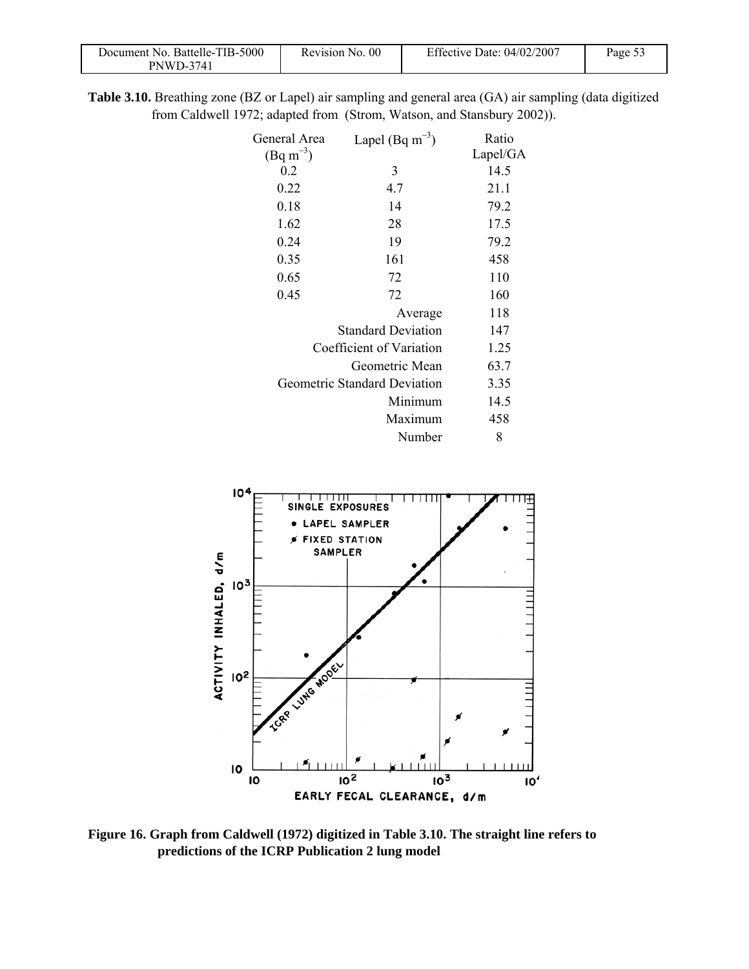| Document No. Battelle-TIB-5000 | Revision No. 00 | Effective Date: $04/02/2007$ | $_{\text{Page }5}$ |
|--------------------------------|-----------------|------------------------------|--------------------|
| PNWD-3741                      |                 |                              |                    |

**Table 3.10.** Breathing zone (BZ or Lapel) air sampling and general area (GA) air sampling (data digitized from Caldwell 1972; adapted from (Strom, Watson, and Stansbury 2002)).

|                              | Ratio                |
|------------------------------|----------------------|
|                              | Lapel/GA             |
| 3                            | 14.5                 |
| 4.7                          | 21.1                 |
| 14                           | 79.2                 |
| 28                           | 17.5                 |
| 19                           | 79.2                 |
| 161                          | 458                  |
| 72                           | 110                  |
| 72                           | 160                  |
| Average                      | 118                  |
| <b>Standard Deviation</b>    | 147                  |
| Coefficient of Variation     | 1.25                 |
| Geometric Mean               | 63.7                 |
| Geometric Standard Deviation | 3.35                 |
| Minimum                      | 14.5                 |
| Maximum                      | 458                  |
| Number                       | 8                    |
|                              | Lapel (Bq $m^{-3}$ ) |



**Figure 16. Graph from Caldwell (1972) digitized in Table 3.10. The straight line refers to predictions of the ICRP Publication 2 lung model**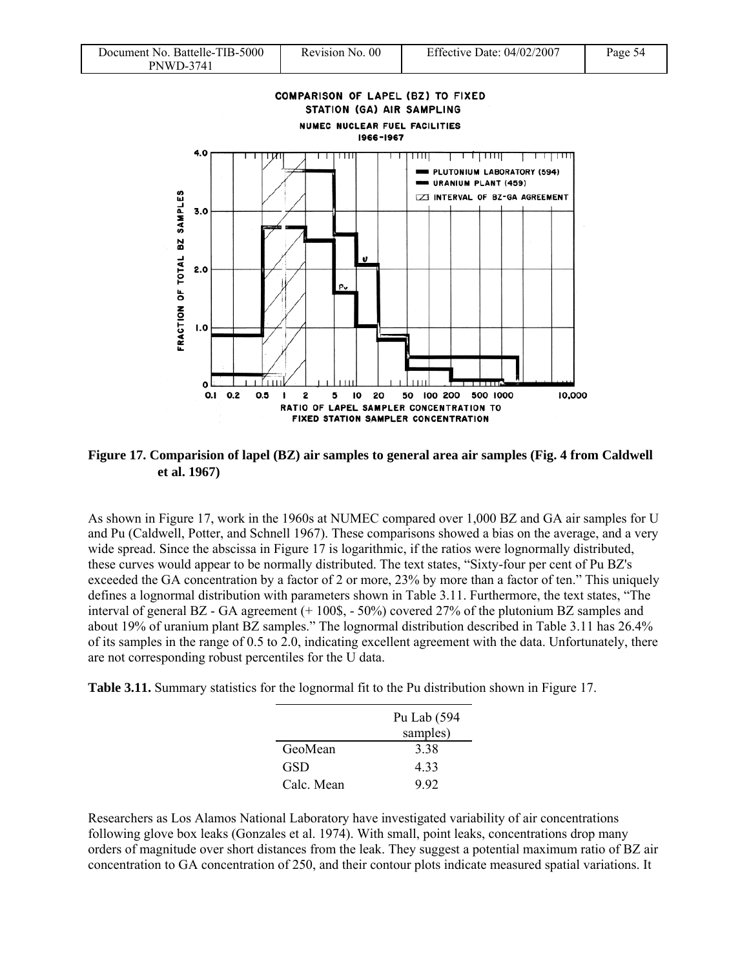



**Figure 17. Comparision of lapel (BZ) air samples to general area air samples (Fig. 4 from Caldwell et al. 1967)** 

As shown in Figure 17, work in the 1960s at NUMEC compared over 1,000 BZ and GA air samples for U and Pu (Caldwell, Potter, and Schnell 1967). These comparisons showed a bias on the average, and a very wide spread. Since the abscissa in Figure 17 is logarithmic, if the ratios were lognormally distributed, these curves would appear to be normally distributed. The text states, "Sixty-four per cent of Pu BZ's exceeded the GA concentration by a factor of 2 or more, 23% by more than a factor of ten." This uniquely defines a lognormal distribution with parameters shown in Table 3.11. Furthermore, the text states, "The interval of general BZ - GA agreement (+ 100\$, - 50%) covered 27% of the plutonium BZ samples and about 19% of uranium plant BZ samples." The lognormal distribution described in Table 3.11 has 26.4% of its samples in the range of  $0.5$  to  $2.0$ , indicating excellent agreement with the data. Unfortunately, there are not corresponding robust percentiles for the U data.

**Table 3.11.** Summary statistics for the lognormal fit to the Pu distribution shown in Figure 17.

|           | Pu Lab (594 |
|-----------|-------------|
|           | samples)    |
| GeoMean   | 338         |
| GSD       | 433         |
| Calc Mean | 992         |

Researchers as Los Alamos National Laboratory have investigated variability of air concentrations following glove box leaks (Gonzales et al. 1974). With small, point leaks, concentrations drop many orders of magnitude over short distances from the leak. They suggest a potential maximum ratio of BZ air concentration to GA concentration of 250, and their contour plots indicate measured spatial variations. It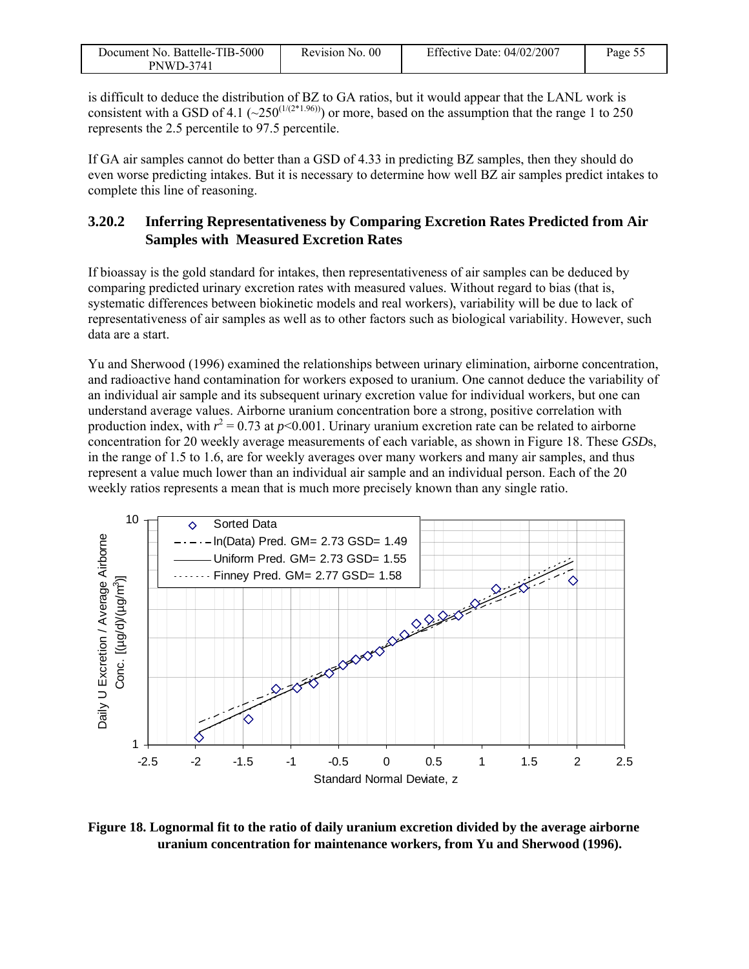| Document No. Battelle-TIB-5000 | Revision No. 00 | Effective Date: $04/02/2007$ | Page 55 |
|--------------------------------|-----------------|------------------------------|---------|
| <b>PNWD-3741</b>               |                 |                              |         |

is difficult to deduce the distribution of BZ to GA ratios, but it would appear that the LANL work is consistent with a GSD of 4.1 ( $\sim$ 250<sup>(1/(2\*1.96))</sup>) or more, based on the assumption that the range 1 to 250 represents the 2.5 percentile to 97.5 percentile.

If GA air samples cannot do better than a GSD of 4.33 in predicting BZ samples, then they should do even worse predicting intakes. But it is necessary to determine how well BZ air samples predict intakes to complete this line of reasoning.

### **3.20.2 Inferring Representativeness by Comparing Excretion Rates Predicted from Air Samples with Measured Excretion Rates**

If bioassay is the gold standard for intakes, then representativeness of air samples can be deduced by comparing predicted urinary excretion rates with measured values. Without regard to bias (that is, systematic differences between biokinetic models and real workers), variability will be due to lack of representativeness of air samples as well as to other factors such as biological variability. However, such data are a start.

Yu and Sherwood (1996) examined the relationships between urinary elimination, airborne concentration, and radioactive hand contamination for workers exposed to uranium. One cannot deduce the variability of an individual air sample and its subsequent urinary excretion value for individual workers, but one can understand average values. Airborne uranium concentration bore a strong, positive correlation with production index, with  $r^2 = 0.73$  at  $p \le 0.001$ . Urinary uranium excretion rate can be related to airborne concentration for 20 weekly average measurements of each variable, as shown in Figure 18. These *GSD*s, in the range of 1.5 to 1.6, are for weekly averages over many workers and many air samples, and thus represent a value much lower than an individual air sample and an individual person. Each of the 20 weekly ratios represents a mean that is much more precisely known than any single ratio.



**Figure 18. Lognormal fit to the ratio of daily uranium excretion divided by the average airborne uranium concentration for maintenance workers, from Yu and Sherwood (1996).**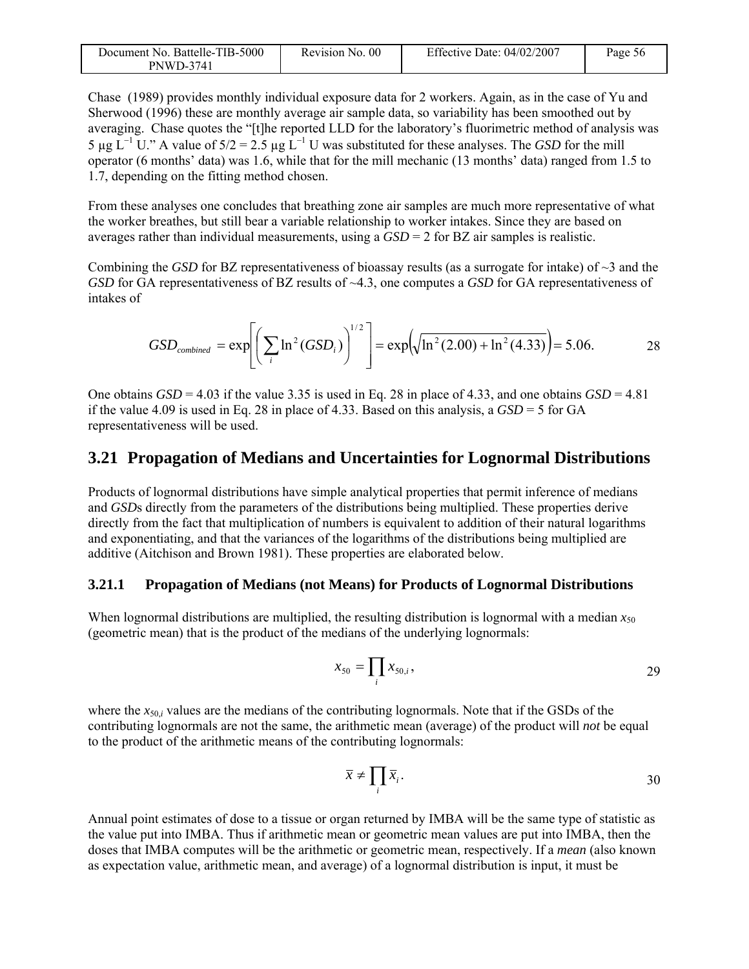| Document No. Battelle-TIB-5000 | Revision No. 00 | Effective Date: $04/02/2007$ | Page 56 |
|--------------------------------|-----------------|------------------------------|---------|
| <b>PNWD-3741</b>               |                 |                              |         |

Chase (1989) provides monthly individual exposure data for 2 workers. Again, as in the case of Yu and Sherwood (1996) these are monthly average air sample data, so variability has been smoothed out by averaging. Chase quotes the "[t]he reported LLD for the laboratory's fluorimetric method of analysis was 5 μg L<sup>-1</sup> U." A value of 5/2 = 2.5 μg L<sup>-1</sup> U was substituted for these analyses. The *GSD* for the mill operator (6 months' data) was 1.6, while that for the mill mechanic (13 months' data) ranged from 1.5 to 1.7, depending on the fitting method chosen.

From these analyses one concludes that breathing zone air samples are much more representative of what the worker breathes, but still bear a variable relationship to worker intakes. Since they are based on averages rather than individual measurements, using a *GSD* = 2 for BZ air samples is realistic.

Combining the *GSD* for BZ representativeness of bioassay results (as a surrogate for intake) of  $\sim$ 3 and the *GSD* for GA representativeness of BZ results of ~4.3, one computes a *GSD* for GA representativeness of intakes of

$$
GSD_{combined} = \exp\left[\left(\sum_{i} \ln^2(GSD_i)\right)^{1/2}\right] = \exp\left(\sqrt{\ln^2(2.00) + \ln^2(4.33)}\right) = 5.06. \tag{28}
$$

One obtains  $GSD = 4.03$  if the value 3.35 is used in Eq. 28 in place of 4.33, and one obtains  $GSD = 4.81$ if the value 4.09 is used in Eq. 28 in place of 4.33. Based on this analysis, a *GSD* = 5 for GA representativeness will be used.

### **3.21 Propagation of Medians and Uncertainties for Lognormal Distributions**

Products of lognormal distributions have simple analytical properties that permit inference of medians and *GSD*s directly from the parameters of the distributions being multiplied. These properties derive directly from the fact that multiplication of numbers is equivalent to addition of their natural logarithms and exponentiating, and that the variances of the logarithms of the distributions being multiplied are additive (Aitchison and Brown 1981). These properties are elaborated below.

#### **3.21.1 Propagation of Medians (not Means) for Products of Lognormal Distributions**

When lognormal distributions are multiplied, the resulting distribution is lognormal with a median  $x_{50}$ (geometric mean) that is the product of the medians of the underlying lognormals:

$$
x_{50} = \prod_i x_{50,i},
$$

where the  $x_{50,i}$  values are the medians of the contributing lognormals. Note that if the GSDs of the contributing lognormals are not the same, the arithmetic mean (average) of the product will *not* be equal to the product of the arithmetic means of the contributing lognormals:

$$
\overline{x} \neq \prod_i \overline{x}_i. \tag{30}
$$

Annual point estimates of dose to a tissue or organ returned by IMBA will be the same type of statistic as the value put into IMBA. Thus if arithmetic mean or geometric mean values are put into IMBA, then the doses that IMBA computes will be the arithmetic or geometric mean, respectively. If a *mean* (also known as expectation value, arithmetic mean, and average) of a lognormal distribution is input, it must be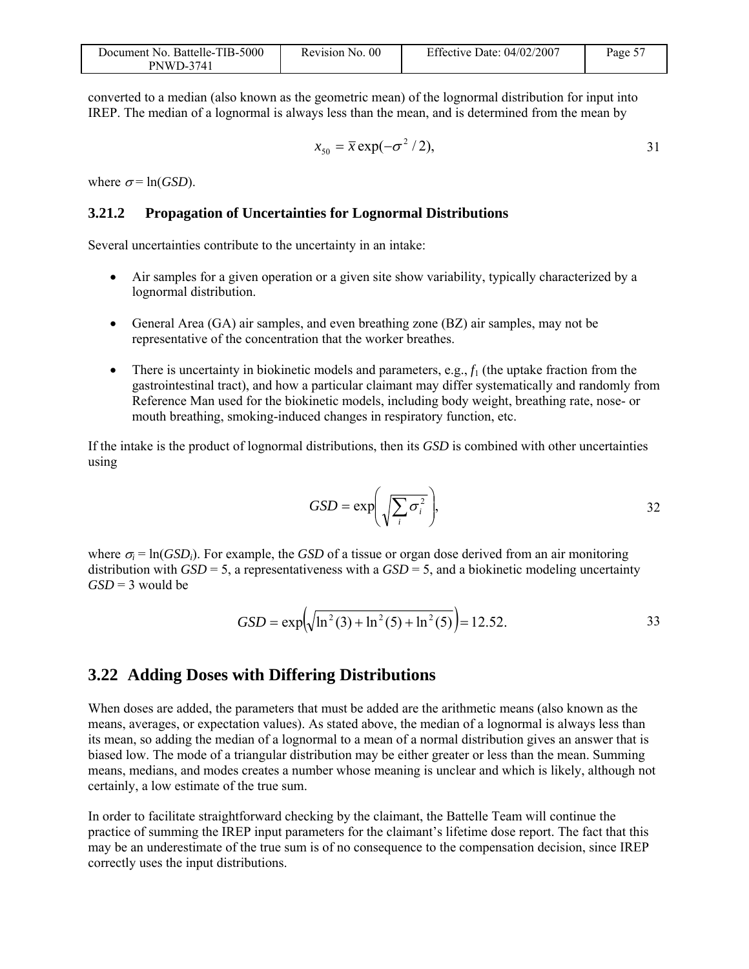| Document No. Battelle-TIB-5000 | Revision No. 00 | Effective Date: 04/02/2007 | Page 5. |
|--------------------------------|-----------------|----------------------------|---------|
| <b>PNWD-3741</b>               |                 |                            |         |

converted to a median (also known as the geometric mean) of the lognormal distribution for input into IREP. The median of a lognormal is always less than the mean, and is determined from the mean by

$$
x_{50} = \bar{x} \exp(-\sigma^2/2), \qquad \qquad 31
$$

where  $\sigma$ = ln(*GSD*).

#### **3.21.2 Propagation of Uncertainties for Lognormal Distributions**

Several uncertainties contribute to the uncertainty in an intake:

- Air samples for a given operation or a given site show variability, typically characterized by a lognormal distribution.
- General Area (GA) air samples, and even breathing zone (BZ) air samples, may not be representative of the concentration that the worker breathes.
- There is uncertainty in biokinetic models and parameters, e.g.,  $f_1$  (the uptake fraction from the gastrointestinal tract), and how a particular claimant may differ systematically and randomly from Reference Man used for the biokinetic models, including body weight, breathing rate, nose- or mouth breathing, smoking-induced changes in respiratory function, etc.

If the intake is the product of lognormal distributions, then its *GSD* is combined with other uncertainties using

$$
GSD = \exp\left(\sqrt{\sum_{i} \sigma_i^2}\right),\tag{32}
$$

where  $\sigma_i = \ln(GSD_i)$ . For example, the *GSD* of a tissue or organ dose derived from an air monitoring distribution with  $GSD = 5$ , a representativeness with a  $GSD = 5$ , and a biokinetic modeling uncertainty  $GSD = 3$  would be

$$
GSD = \exp\left(\sqrt{\ln^2(3) + \ln^2(5) + \ln^2(5)}\right) = 12.52.
$$

#### **3.22 Adding Doses with Differing Distributions**

When doses are added, the parameters that must be added are the arithmetic means (also known as the means, averages, or expectation values). As stated above, the median of a lognormal is always less than its mean, so adding the median of a lognormal to a mean of a normal distribution gives an answer that is biased low. The mode of a triangular distribution may be either greater or less than the mean. Summing means, medians, and modes creates a number whose meaning is unclear and which is likely, although not certainly, a low estimate of the true sum.

In order to facilitate straightforward checking by the claimant, the Battelle Team will continue the practice of summing the IREP input parameters for the claimant's lifetime dose report. The fact that this may be an underestimate of the true sum is of no consequence to the compensation decision, since IREP correctly uses the input distributions.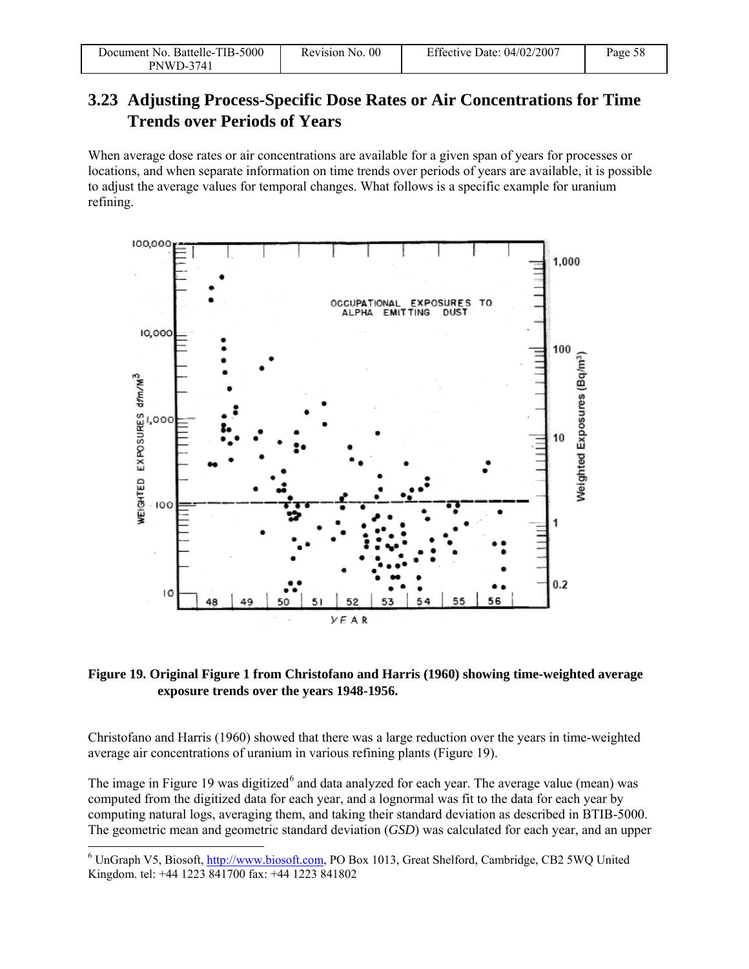| Document No. Battelle-TIB-5000 | Revision No. 00 | Effective Date: $04/02/2007$ | Page 58 |
|--------------------------------|-----------------|------------------------------|---------|
| <b>PNWD-3741</b>               |                 |                              |         |

### **3.23 Adjusting Process-Specific Dose Rates or Air Concentrations for Time Trends over Periods of Years**

When average dose rates or air concentrations are available for a given span of years for processes or locations, and when separate information on time trends over periods of years are available, it is possible to adjust the average values for temporal changes. What follows is a specific example for uranium refining.



#### **Figure 19. Original Figure 1 from Christofano and Harris (1960) showing time-weighted average exposure trends over the years 1948-1956.**

Christofano and Harris (1960) showed that there was a large reduction over the years in time-weighted average air concentrations of uranium in various refining plants (Figure 19).

The image in Figure 19 was digitized<sup>6</sup> and data analyzed for each year. The average value (mean) was computed from the digitized data for each year, and a lognormal was fit to the data for each year by computing natural logs, averaging them, and taking their standard deviation as described in BTIB-5000. The geometric mean and geometric standard deviation (*GSD*) was calculated for each year, and an upper

l

<sup>&</sup>lt;sup>6</sup> UnGraph V5, Biosoft, http://www.biosoft.com, PO Box 1013, Great Shelford, Cambridge, CB2 5WQ United Kingdom. tel: +44 1223 841700 fax: +44 1223 841802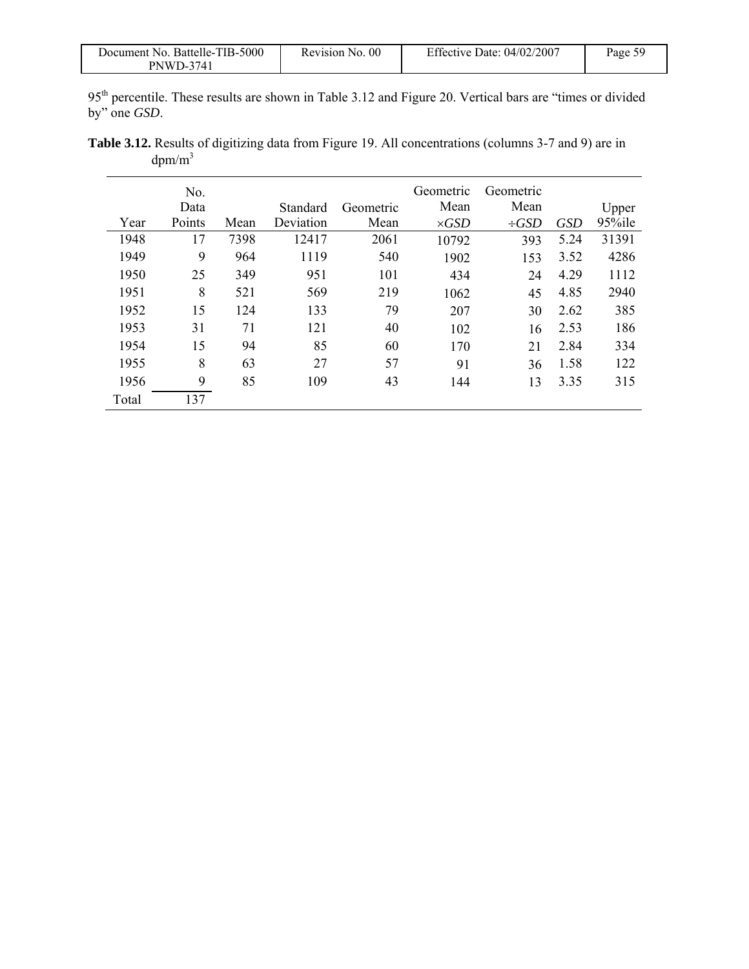| Document No. Battelle-TIB-5000 | Revision No. 00 | Effective Date: $04/02/2007$ | Page 59 |
|--------------------------------|-----------------|------------------------------|---------|
| PNWD-3741                      |                 |                              |         |

95<sup>th</sup> percentile. These results are shown in Table 3.12 and Figure 20. Vertical bars are "times or divided by" one *GSD*.

| <b>Table 3.12.</b> Results of digitizing data from Figure 19. All concentrations (columns 3-7 and 9) are in |  |  |  |
|-------------------------------------------------------------------------------------------------------------|--|--|--|
| $dpm/m^3$                                                                                                   |  |  |  |

|       | No.    |      |                 |           | Geometric    | Geometric  |            |        |
|-------|--------|------|-----------------|-----------|--------------|------------|------------|--------|
|       | Data   |      | <b>Standard</b> | Geometric | Mean         | Mean       |            | Upper  |
| Year  | Points | Mean | Deviation       | Mean      | $\times GSD$ | $\div GSD$ | <b>GSD</b> | 95%ile |
| 1948  | 17     | 7398 | 12417           | 2061      | 10792        | 393        | 5.24       | 31391  |
| 1949  | 9      | 964  | 1119            | 540       | 1902         | 153        | 3.52       | 4286   |
| 1950  | 25     | 349  | 951             | 101       | 434          | 24         | 4.29       | 1112   |
| 1951  | 8      | 521  | 569             | 219       | 1062         | 45         | 4.85       | 2940   |
| 1952  | 15     | 124  | 133             | 79        | 207          | 30         | 2.62       | 385    |
| 1953  | 31     | 71   | 121             | 40        | 102          | 16         | 2.53       | 186    |
| 1954  | 15     | 94   | 85              | 60        | 170          | 21         | 2.84       | 334    |
| 1955  | 8      | 63   | 27              | 57        | 91           | 36         | 1.58       | 122    |
| 1956  | 9      | 85   | 109             | 43        | 144          | 13         | 3.35       | 315    |
| Total | 137    |      |                 |           |              |            |            |        |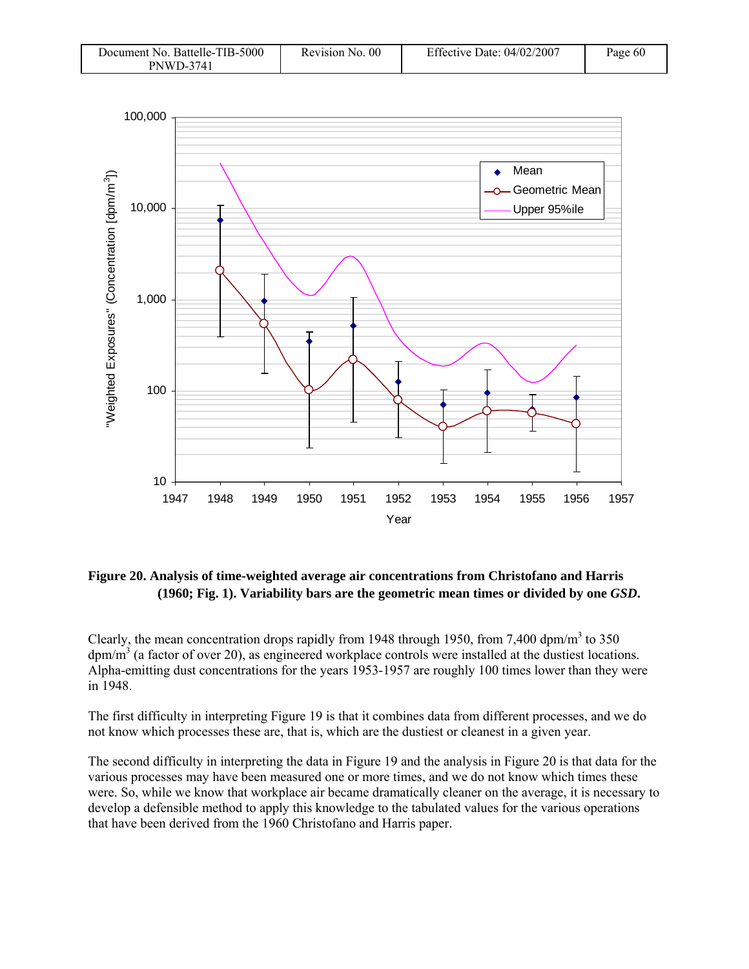| Document No. Battelle-TIB-5000 | Revision No. 00 | Effective Date: $04/02/2007$ | Page 60 |
|--------------------------------|-----------------|------------------------------|---------|
| <b>PNWD-3741</b>               |                 |                              |         |



#### **Figure 20. Analysis of time-weighted average air concentrations from Christofano and Harris (1960; Fig. 1). Variability bars are the geometric mean times or divided by one** *GSD***.**

Clearly, the mean concentration drops rapidly from 1948 through 1950, from 7,400 dpm/m<sup>3</sup> to 350  $dpm/m<sup>3</sup>$  (a factor of over 20), as engineered workplace controls were installed at the dustiest locations. Alpha-emitting dust concentrations for the years 1953-1957 are roughly 100 times lower than they were in 1948.

The first difficulty in interpreting Figure 19 is that it combines data from different processes, and we do not know which processes these are, that is, which are the dustiest or cleanest in a given year.

The second difficulty in interpreting the data in Figure 19 and the analysis in Figure 20 is that data for the various processes may have been measured one or more times, and we do not know which times these were. So, while we know that workplace air became dramatically cleaner on the average, it is necessary to develop a defensible method to apply this knowledge to the tabulated values for the various operations that have been derived from the 1960 Christofano and Harris paper.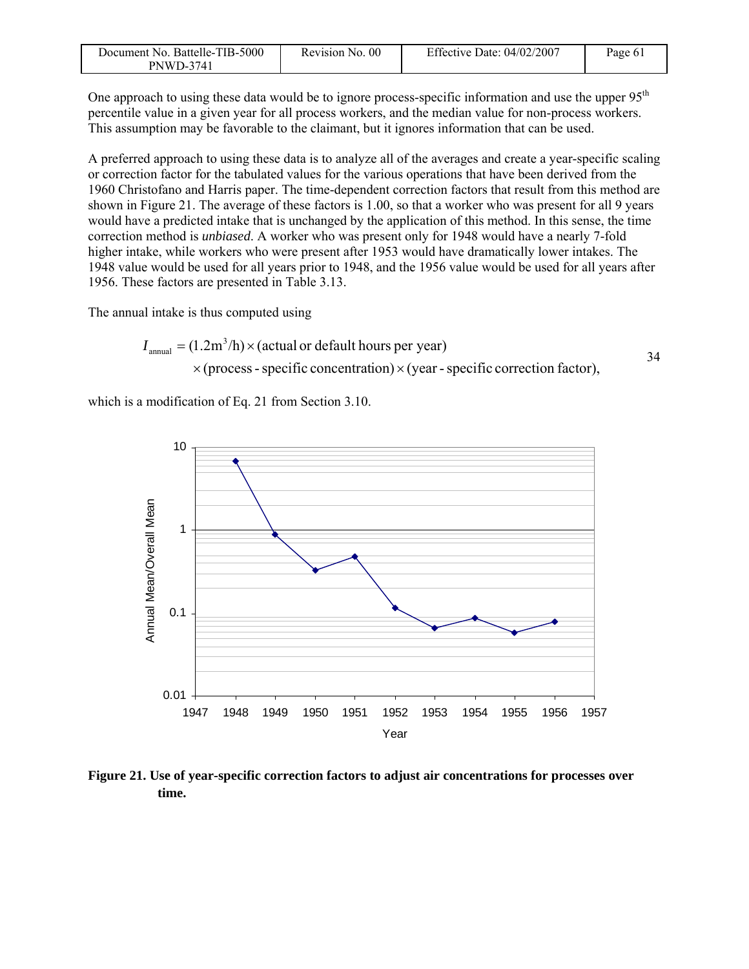| Document No. Battelle-TIB-5000 | Revision No. 00 | Effective Date: 04/02/2007 | Page 61 |
|--------------------------------|-----------------|----------------------------|---------|
| <b>PNWD-3741</b>               |                 |                            |         |

One approach to using these data would be to ignore process-specific information and use the upper 95<sup>th</sup> percentile value in a given year for all process workers, and the median value for non-process workers. This assumption may be favorable to the claimant, but it ignores information that can be used.

A preferred approach to using these data is to analyze all of the averages and create a year-specific scaling or correction factor for the tabulated values for the various operations that have been derived from the 1960 Christofano and Harris paper. The time-dependent correction factors that result from this method are shown in Figure 21. The average of these factors is 1.00, so that a worker who was present for all 9 years would have a predicted intake that is unchanged by the application of this method. In this sense, the time correction method is *unbiased*. A worker who was present only for 1948 would have a nearly 7-fold higher intake, while workers who were present after 1953 would have dramatically lower intakes. The 1948 value would be used for all years prior to 1948, and the 1956 value would be used for all years after 1956. These factors are presented in Table 3.13.

The annual intake is thus computed using

$$
I_{\text{annual}} = (1.2 \text{m}^3/\text{h}) \times (\text{actual or default hours per year})
$$
  
×(process - specific concentration) × (year - specific correction factor),

which is a modification of Eq. 21 from Section 3.10.



**Figure 21. Use of year-specific correction factors to adjust air concentrations for processes over time.**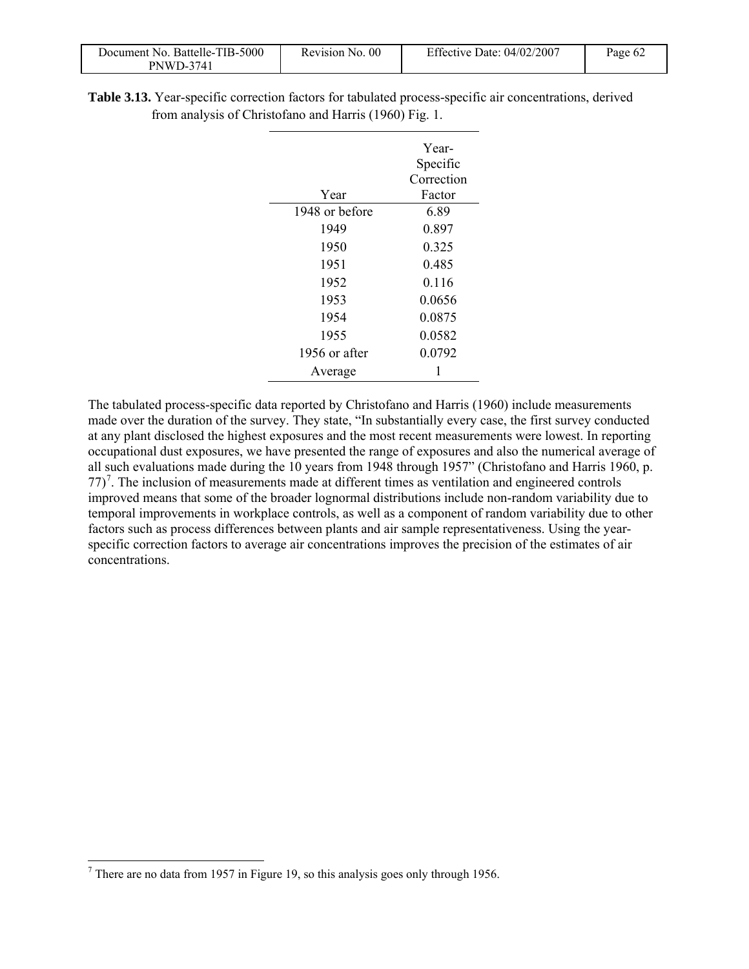| Document No. Battelle-TIB-5000 | Revision No. 00 | Effective Date: 04/02/2007 | Page $6\angle$ |
|--------------------------------|-----------------|----------------------------|----------------|
| <b>PNWD-3741</b>               |                 |                            |                |

| Table 3.13. Year-specific correction factors for tabulated process-specific air concentrations, derived |  |  |
|---------------------------------------------------------------------------------------------------------|--|--|
| from analysis of Christofano and Harris (1960) Fig. 1.                                                  |  |  |

|                | Year-      |
|----------------|------------|
|                | Specific   |
|                | Correction |
| Year           | Factor     |
| 1948 or before | 6.89       |
| 1949           | 0.897      |
| 1950           | 0.325      |
| 1951           | 0.485      |
| 1952           | 0.116      |
| 1953           | 0.0656     |
| 1954           | 0.0875     |
| 1955           | 0.0582     |
| 1956 or after  | 0.0792     |
| Average        | 1          |

The tabulated process-specific data reported by Christofano and Harris (1960) include measurements made over the duration of the survey. They state, "In substantially every case, the first survey conducted at any plant disclosed the highest exposures and the most recent measurements were lowest. In reporting occupational dust exposures, we have presented the range of exposures and also the numerical average of all such evaluations made during the 10 years from 1948 through 1957" (Christofano and Harris 1960, p.  $77$ <sup>7</sup>. The inclusion of measurements made at different times as ventilation and engineered controls improved means that some of the broader lognormal distributions include non-random variability due to temporal improvements in workplace controls, as well as a component of random variability due to other factors such as process differences between plants and air sample representativeness. Using the yearspecific correction factors to average air concentrations improves the precision of the estimates of air concentrations.

1

<sup>&</sup>lt;sup>7</sup> There are no data from 1957 in Figure 19, so this analysis goes only through 1956.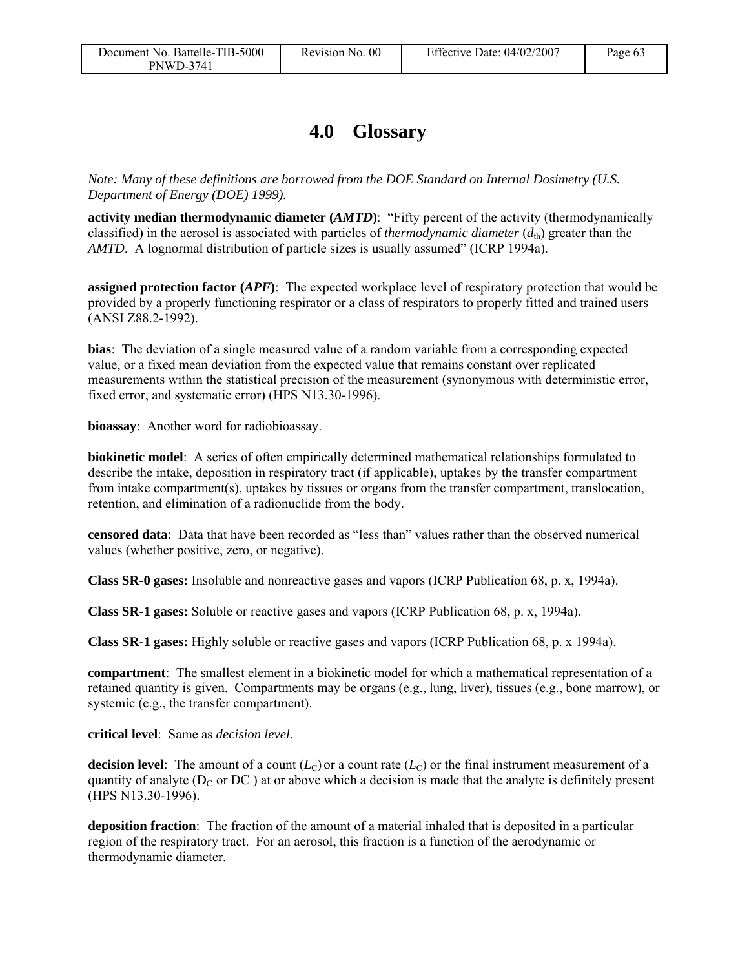### **4.0 Glossary**

*Note: Many of these definitions are borrowed from the DOE Standard on Internal Dosimetry (U.S. Department of Energy (DOE) 1999).* 

**activity median thermodynamic diameter (***AMTD***)**: "Fifty percent of the activity (thermodynamically classified) in the aerosol is associated with particles of *thermodynamic diameter*  $(d_{th})$  greater than the *AMTD*. A lognormal distribution of particle sizes is usually assumed" (ICRP 1994a).

**assigned protection factor (***APF***)**: The expected workplace level of respiratory protection that would be provided by a properly functioning respirator or a class of respirators to properly fitted and trained users (ANSI Z88.2-1992).

**bias**: The deviation of a single measured value of a random variable from a corresponding expected value, or a fixed mean deviation from the expected value that remains constant over replicated measurements within the statistical precision of the measurement (synonymous with deterministic error, fixed error, and systematic error) (HPS N13.30-1996).

**bioassay**: Another word for radiobioassay.

**biokinetic model**: A series of often empirically determined mathematical relationships formulated to describe the intake, deposition in respiratory tract (if applicable), uptakes by the transfer compartment from intake compartment(s), uptakes by tissues or organs from the transfer compartment, translocation, retention, and elimination of a radionuclide from the body.

**censored data**: Data that have been recorded as "less than" values rather than the observed numerical values (whether positive, zero, or negative).

**Class SR-0 gases:** Insoluble and nonreactive gases and vapors (ICRP Publication 68, p. x, 1994a).

**Class SR-1 gases:** Soluble or reactive gases and vapors (ICRP Publication 68, p. x, 1994a).

**Class SR-1 gases:** Highly soluble or reactive gases and vapors (ICRP Publication 68, p. x 1994a).

**compartment**: The smallest element in a biokinetic model for which a mathematical representation of a retained quantity is given. Compartments may be organs (e.g., lung, liver), tissues (e.g., bone marrow), or systemic (e.g., the transfer compartment).

**critical level**: Same as *decision level*.

**decision level**: The amount of a count  $(L<sub>C</sub>)$  or a count rate  $(L<sub>C</sub>)$  or the final instrument measurement of a quantity of analyte ( $D<sub>C</sub>$  or  $DC$ ) at or above which a decision is made that the analyte is definitely present (HPS N13.30-1996).

**deposition fraction**: The fraction of the amount of a material inhaled that is deposited in a particular region of the respiratory tract. For an aerosol, this fraction is a function of the aerodynamic or thermodynamic diameter.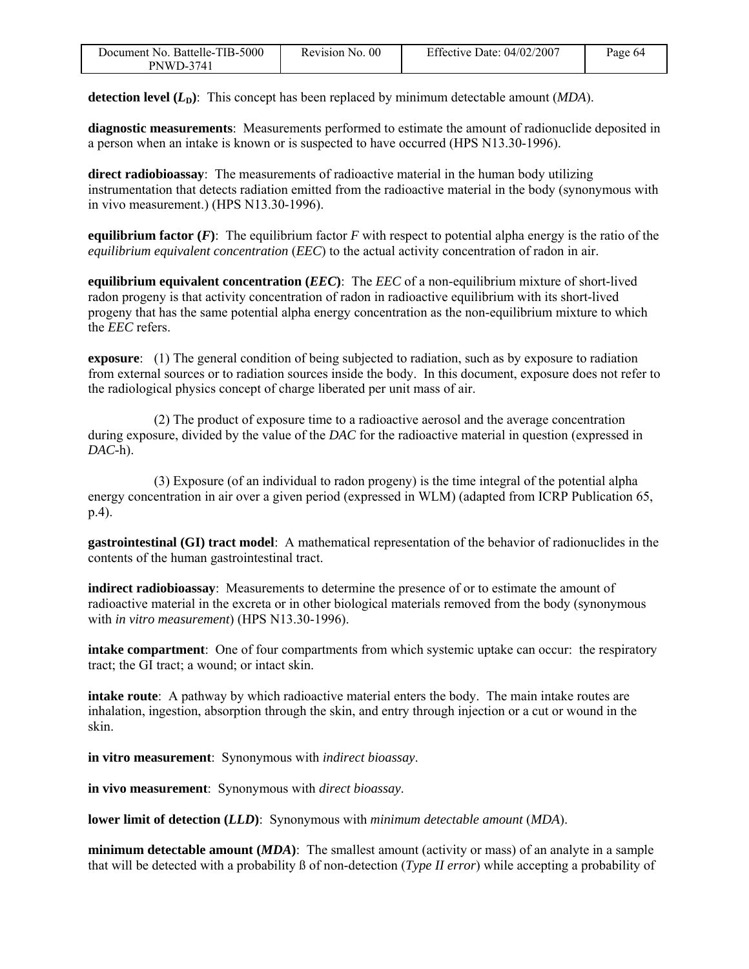| Document No. Battelle-TIB-5000 | Revision No. 00 | Effective Date: $04/02/2007$ | Page 64 |
|--------------------------------|-----------------|------------------------------|---------|
| <b>PNWD-3741</b>               |                 |                              |         |

**detection level**  $(L<sub>D</sub>)$ : This concept has been replaced by minimum detectable amount (*MDA*).

**diagnostic measurements**: Measurements performed to estimate the amount of radionuclide deposited in a person when an intake is known or is suspected to have occurred (HPS N13.30-1996).

**direct radiobioassay**: The measurements of radioactive material in the human body utilizing instrumentation that detects radiation emitted from the radioactive material in the body (synonymous with in vivo measurement.) (HPS N13.30-1996).

**equilibrium factor**  $(F)$ **:** The equilibrium factor  $F$  with respect to potential alpha energy is the ratio of the *equilibrium equivalent concentration* (*EEC*) to the actual activity concentration of radon in air.

**equilibrium equivalent concentration (***EEC***)**: The *EEC* of a non-equilibrium mixture of short-lived radon progeny is that activity concentration of radon in radioactive equilibrium with its short-lived progeny that has the same potential alpha energy concentration as the non-equilibrium mixture to which the *EEC* refers.

**exposure**: (1) The general condition of being subjected to radiation, such as by exposure to radiation from external sources or to radiation sources inside the body. In this document, exposure does not refer to the radiological physics concept of charge liberated per unit mass of air.

 (2) The product of exposure time to a radioactive aerosol and the average concentration during exposure, divided by the value of the *DAC* for the radioactive material in question (expressed in *DAC*-h).

 (3) Exposure (of an individual to radon progeny) is the time integral of the potential alpha energy concentration in air over a given period (expressed in WLM) (adapted from ICRP Publication 65, p.4).

**gastrointestinal (GI) tract model**: A mathematical representation of the behavior of radionuclides in the contents of the human gastrointestinal tract.

**indirect radiobioassay**: Measurements to determine the presence of or to estimate the amount of radioactive material in the excreta or in other biological materials removed from the body (synonymous with *in vitro measurement*) (HPS N13.30-1996).

**intake compartment**: One of four compartments from which systemic uptake can occur: the respiratory tract; the GI tract; a wound; or intact skin.

**intake route**: A pathway by which radioactive material enters the body. The main intake routes are inhalation, ingestion, absorption through the skin, and entry through injection or a cut or wound in the skin.

**in vitro measurement**: Synonymous with *indirect bioassay*.

**in vivo measurement**: Synonymous with *direct bioassay*.

**lower limit of detection (***LLD***)**: Synonymous with *minimum detectable amount* (*MDA*).

**minimum detectable amount (***MDA***)**: The smallest amount (activity or mass) of an analyte in a sample that will be detected with a probability ß of non-detection (*Type II error*) while accepting a probability of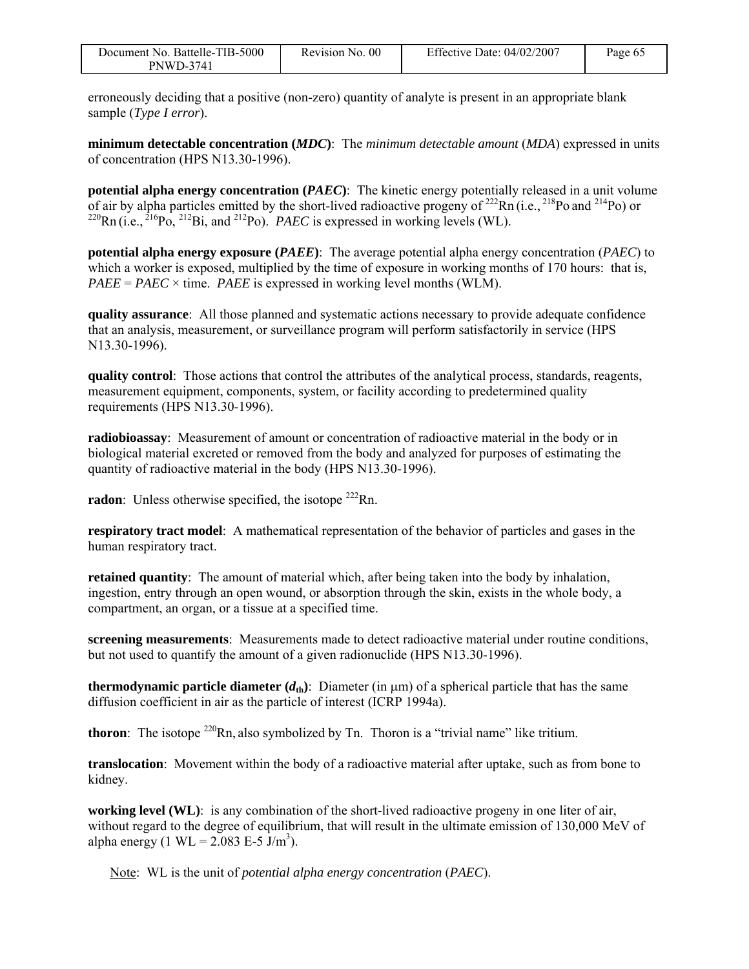| Document No. Battelle-TIB-5000 | Revision No. 00 | Effective Date: $04/02/2007$ | Page 65 |
|--------------------------------|-----------------|------------------------------|---------|
| PNWD-3741                      |                 |                              |         |

erroneously deciding that a positive (non-zero) quantity of analyte is present in an appropriate blank sample (*Type I error*).

**minimum detectable concentration (***MDC***)**: The *minimum detectable amount* (*MDA*) expressed in units of concentration (HPS N13.30-1996).

**potential alpha energy concentration (***PAEC***)**: The kinetic energy potentially released in a unit volume of air by alpha particles emitted by the short-lived radioactive progeny of  $^{222}$ Rn (i.e.,  $^{218}$ Po and  $^{214}$ Po) or  $^{220}$ Rn (i.e.,  $^{216}$ Po,  $^{212}$ Bi, and  $^{212}$ Po). *PAEC* is expressed in working levels (WL).

**potential alpha energy exposure (***PAEE***)**: The average potential alpha energy concentration (*PAEC*) to which a worker is exposed, multiplied by the time of exposure in working months of 170 hours: that is,  $PAEE = PAEC \times$  time. *PAEE* is expressed in working level months (WLM).

**quality assurance**: All those planned and systematic actions necessary to provide adequate confidence that an analysis, measurement, or surveillance program will perform satisfactorily in service (HPS N13.30-1996).

**quality control**: Those actions that control the attributes of the analytical process, standards, reagents, measurement equipment, components, system, or facility according to predetermined quality requirements (HPS N13.30-1996).

**radiobioassay**: Measurement of amount or concentration of radioactive material in the body or in biological material excreted or removed from the body and analyzed for purposes of estimating the quantity of radioactive material in the body (HPS N13.30-1996).

**radon**: Unless otherwise specified, the isotope <sup>222</sup>Rn.

**respiratory tract model**: A mathematical representation of the behavior of particles and gases in the human respiratory tract.

**retained quantity**: The amount of material which, after being taken into the body by inhalation, ingestion, entry through an open wound, or absorption through the skin, exists in the whole body, a compartment, an organ, or a tissue at a specified time.

**screening measurements**: Measurements made to detect radioactive material under routine conditions, but not used to quantify the amount of a given radionuclide (HPS N13.30-1996).

**thermodynamic particle diameter**  $(d_{th})$ : Diameter (in  $\mu$ m) of a spherical particle that has the same diffusion coefficient in air as the particle of interest (ICRP 1994a).

**thoron**: The isotope  $^{220}$ Rn, also symbolized by Tn. Thoron is a "trivial name" like tritium.

**translocation**: Movement within the body of a radioactive material after uptake, such as from bone to kidney.

**working level (WL)**: is any combination of the short-lived radioactive progeny in one liter of air, without regard to the degree of equilibrium, that will result in the ultimate emission of 130,000 MeV of alpha energy (1 WL =  $2.083$  E-5  $\text{J/m}^3$ ).

Note: WL is the unit of *potential alpha energy concentration* (*PAEC*).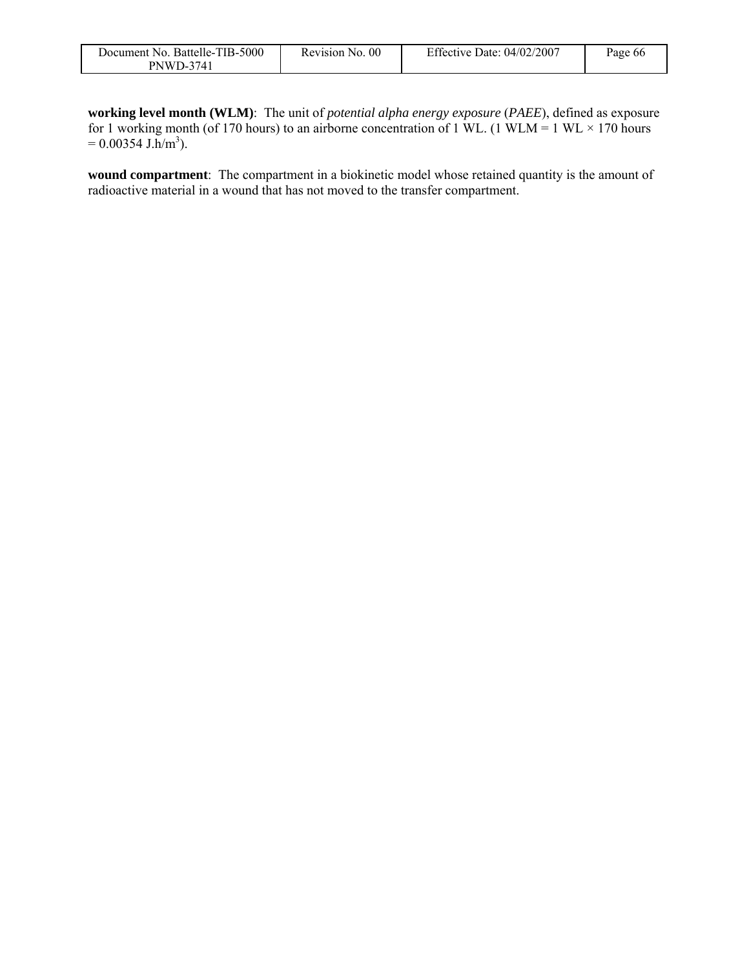| Document No. Battelle-TIB-5000 | Revision No. 00 | Effective Date: $04/02/2007$ | Page 66 |
|--------------------------------|-----------------|------------------------------|---------|
| <b>PNWD-3741</b>               |                 |                              |         |

**working level month (WLM)**: The unit of *potential alpha energy exposure* (*PAEE*), defined as exposure for 1 working month (of 170 hours) to an airborne concentration of 1 WL. (1 WLM = 1 WL  $\times$  170 hours  $= 0.00354$  J.h/m<sup>3</sup>).

**wound compartment**: The compartment in a biokinetic model whose retained quantity is the amount of radioactive material in a wound that has not moved to the transfer compartment.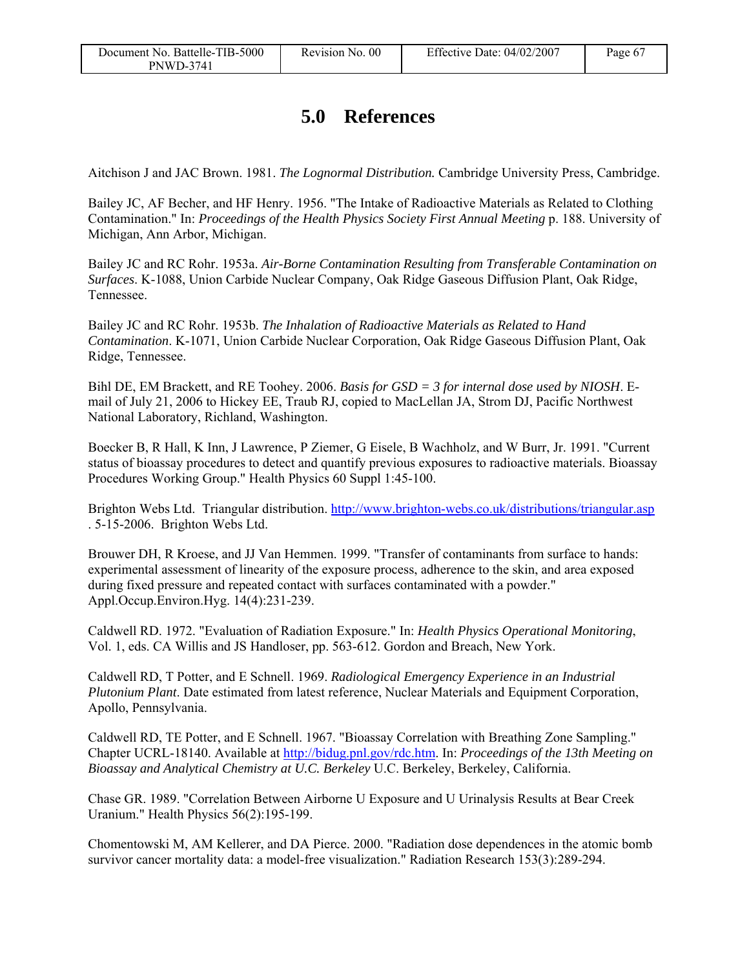# **5.0 References**

Aitchison J and JAC Brown. 1981. *The Lognormal Distribution.* Cambridge University Press, Cambridge.

Bailey JC, AF Becher, and HF Henry. 1956. "The Intake of Radioactive Materials as Related to Clothing Contamination." In: *Proceedings of the Health Physics Society First Annual Meeting* p. 188. University of Michigan, Ann Arbor, Michigan.

Bailey JC and RC Rohr. 1953a. *Air-Borne Contamination Resulting from Transferable Contamination on Surfaces*. K-1088, Union Carbide Nuclear Company, Oak Ridge Gaseous Diffusion Plant, Oak Ridge, Tennessee.

Bailey JC and RC Rohr. 1953b. *The Inhalation of Radioactive Materials as Related to Hand Contamination*. K-1071, Union Carbide Nuclear Corporation, Oak Ridge Gaseous Diffusion Plant, Oak Ridge, Tennessee.

Bihl DE, EM Brackett, and RE Toohey. 2006. *Basis for GSD = 3 for internal dose used by NIOSH*. Email of July 21, 2006 to Hickey EE, Traub RJ, copied to MacLellan JA, Strom DJ, Pacific Northwest National Laboratory, Richland, Washington.

Boecker B, R Hall, K Inn, J Lawrence, P Ziemer, G Eisele, B Wachholz, and W Burr, Jr. 1991. "Current status of bioassay procedures to detect and quantify previous exposures to radioactive materials. Bioassay Procedures Working Group." Health Physics 60 Suppl 1:45-100.

Brighton Webs Ltd. Triangular distribution. http://www.brighton-webs.co.uk/distributions/triangular.asp . 5-15-2006. Brighton Webs Ltd.

Brouwer DH, R Kroese, and JJ Van Hemmen. 1999. "Transfer of contaminants from surface to hands: experimental assessment of linearity of the exposure process, adherence to the skin, and area exposed during fixed pressure and repeated contact with surfaces contaminated with a powder." Appl.Occup.Environ.Hyg. 14(4):231-239.

Caldwell RD. 1972. "Evaluation of Radiation Exposure." In: *Health Physics Operational Monitoring*, Vol. 1, eds. CA Willis and JS Handloser, pp. 563-612. Gordon and Breach, New York.

Caldwell RD, T Potter, and E Schnell. 1969. *Radiological Emergency Experience in an Industrial Plutonium Plant*. Date estimated from latest reference, Nuclear Materials and Equipment Corporation, Apollo, Pennsylvania.

Caldwell RD, TE Potter, and E Schnell. 1967. "Bioassay Correlation with Breathing Zone Sampling." Chapter UCRL-18140. Available at http://bidug.pnl.gov/rdc.htm. In: *Proceedings of the 13th Meeting on Bioassay and Analytical Chemistry at U.C. Berkeley* U.C. Berkeley, Berkeley, California.

Chase GR. 1989. "Correlation Between Airborne U Exposure and U Urinalysis Results at Bear Creek Uranium." Health Physics 56(2):195-199.

Chomentowski M, AM Kellerer, and DA Pierce. 2000. "Radiation dose dependences in the atomic bomb survivor cancer mortality data: a model-free visualization." Radiation Research 153(3):289-294.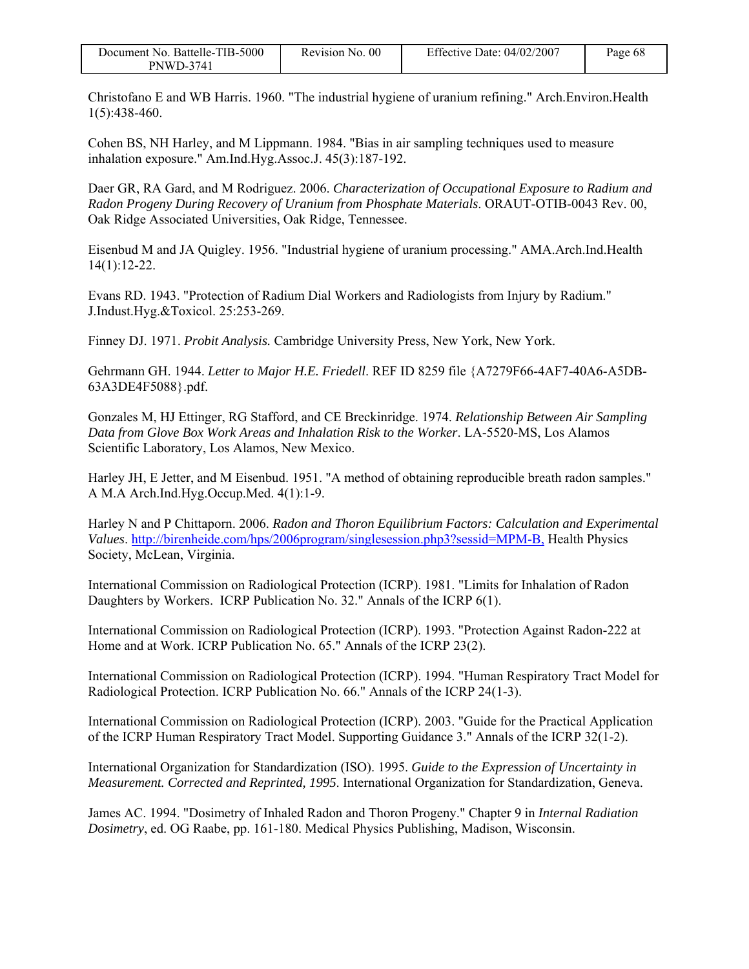| Document No. Battelle-TIB-5000 | Revision No. 00 | Effective Date: $04/02/2007$ | Page 68 |
|--------------------------------|-----------------|------------------------------|---------|
| PNWD-3741                      |                 |                              |         |

Christofano E and WB Harris. 1960. "The industrial hygiene of uranium refining." Arch.Environ.Health 1(5):438-460.

Cohen BS, NH Harley, and M Lippmann. 1984. "Bias in air sampling techniques used to measure inhalation exposure." Am.Ind.Hyg.Assoc.J. 45(3):187-192.

Daer GR, RA Gard, and M Rodriguez. 2006. *Characterization of Occupational Exposure to Radium and Radon Progeny During Recovery of Uranium from Phosphate Materials*. ORAUT-OTIB-0043 Rev. 00, Oak Ridge Associated Universities, Oak Ridge, Tennessee.

Eisenbud M and JA Quigley. 1956. "Industrial hygiene of uranium processing." AMA.Arch.Ind.Health 14(1):12-22.

Evans RD. 1943. "Protection of Radium Dial Workers and Radiologists from Injury by Radium." J.Indust.Hyg.&Toxicol. 25:253-269.

Finney DJ. 1971. *Probit Analysis.* Cambridge University Press, New York, New York.

Gehrmann GH. 1944. *Letter to Major H.E. Friedell*. REF ID 8259 file {A7279F66-4AF7-40A6-A5DB-63A3DE4F5088}.pdf.

Gonzales M, HJ Ettinger, RG Stafford, and CE Breckinridge. 1974. *Relationship Between Air Sampling Data from Glove Box Work Areas and Inhalation Risk to the Worker*. LA-5520-MS, Los Alamos Scientific Laboratory, Los Alamos, New Mexico.

Harley JH, E Jetter, and M Eisenbud. 1951. "A method of obtaining reproducible breath radon samples." A M.A Arch.Ind.Hyg.Occup.Med. 4(1):1-9.

Harley N and P Chittaporn. 2006. *Radon and Thoron Equilibrium Factors: Calculation and Experimental Values*. http://birenheide.com/hps/2006program/singlesession.php3?sessid=MPM-B, Health Physics Society, McLean, Virginia.

International Commission on Radiological Protection (ICRP). 1981. "Limits for Inhalation of Radon Daughters by Workers. ICRP Publication No. 32." Annals of the ICRP 6(1).

International Commission on Radiological Protection (ICRP). 1993. "Protection Against Radon-222 at Home and at Work. ICRP Publication No. 65." Annals of the ICRP 23(2).

International Commission on Radiological Protection (ICRP). 1994. "Human Respiratory Tract Model for Radiological Protection. ICRP Publication No. 66." Annals of the ICRP 24(1-3).

International Commission on Radiological Protection (ICRP). 2003. "Guide for the Practical Application of the ICRP Human Respiratory Tract Model. Supporting Guidance 3." Annals of the ICRP 32(1-2).

International Organization for Standardization (ISO). 1995. *Guide to the Expression of Uncertainty in Measurement. Corrected and Reprinted, 1995*. International Organization for Standardization, Geneva.

James AC. 1994. "Dosimetry of Inhaled Radon and Thoron Progeny." Chapter 9 in *Internal Radiation Dosimetry*, ed. OG Raabe, pp. 161-180. Medical Physics Publishing, Madison, Wisconsin.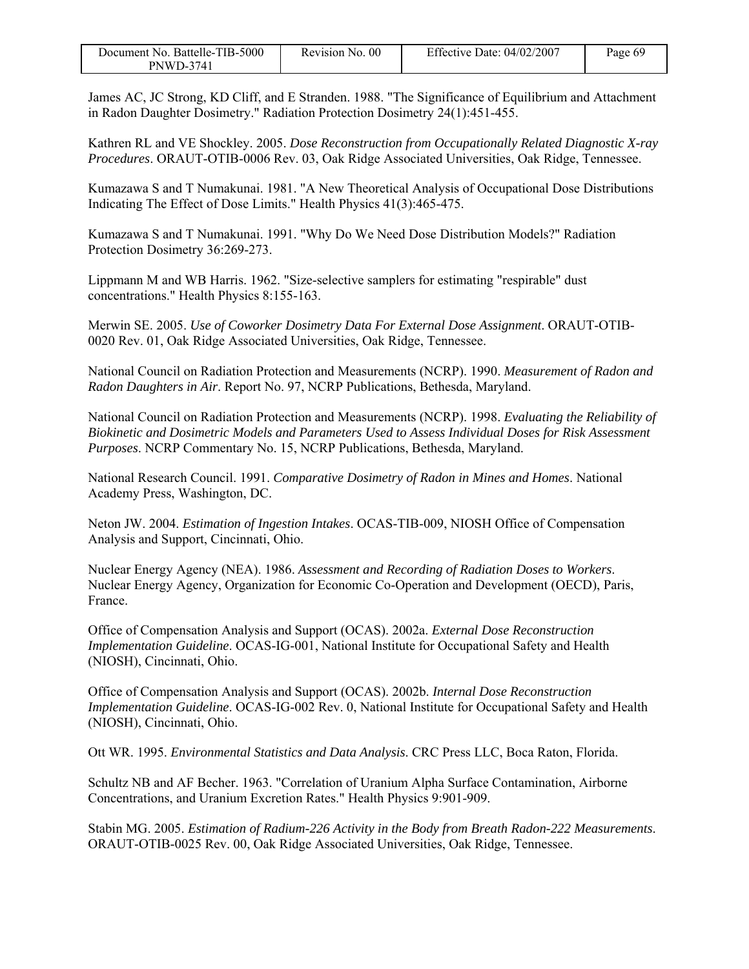| Document No. Battelle-TIB-5000 | Revision No. 00 | Effective Date: $04/02/2007$ | Page 69 |
|--------------------------------|-----------------|------------------------------|---------|
| <b>PNWD-3741</b>               |                 |                              |         |

James AC, JC Strong, KD Cliff, and E Stranden. 1988. "The Significance of Equilibrium and Attachment in Radon Daughter Dosimetry." Radiation Protection Dosimetry 24(1):451-455.

Kathren RL and VE Shockley. 2005. *Dose Reconstruction from Occupationally Related Diagnostic X-ray Procedures*. ORAUT-OTIB-0006 Rev. 03, Oak Ridge Associated Universities, Oak Ridge, Tennessee.

Kumazawa S and T Numakunai. 1981. "A New Theoretical Analysis of Occupational Dose Distributions Indicating The Effect of Dose Limits." Health Physics 41(3):465-475.

Kumazawa S and T Numakunai. 1991. "Why Do We Need Dose Distribution Models?" Radiation Protection Dosimetry 36:269-273.

Lippmann M and WB Harris. 1962. "Size-selective samplers for estimating "respirable" dust concentrations." Health Physics 8:155-163.

Merwin SE. 2005. *Use of Coworker Dosimetry Data For External Dose Assignment*. ORAUT-OTIB-0020 Rev. 01, Oak Ridge Associated Universities, Oak Ridge, Tennessee.

National Council on Radiation Protection and Measurements (NCRP). 1990. *Measurement of Radon and Radon Daughters in Air*. Report No. 97, NCRP Publications, Bethesda, Maryland.

National Council on Radiation Protection and Measurements (NCRP). 1998. *Evaluating the Reliability of Biokinetic and Dosimetric Models and Parameters Used to Assess Individual Doses for Risk Assessment Purposes*. NCRP Commentary No. 15, NCRP Publications, Bethesda, Maryland.

National Research Council. 1991. *Comparative Dosimetry of Radon in Mines and Homes*. National Academy Press, Washington, DC.

Neton JW. 2004. *Estimation of Ingestion Intakes*. OCAS-TIB-009, NIOSH Office of Compensation Analysis and Support, Cincinnati, Ohio.

Nuclear Energy Agency (NEA). 1986. *Assessment and Recording of Radiation Doses to Workers*. Nuclear Energy Agency, Organization for Economic Co-Operation and Development (OECD), Paris, France.

Office of Compensation Analysis and Support (OCAS). 2002a. *External Dose Reconstruction Implementation Guideline*. OCAS-IG-001, National Institute for Occupational Safety and Health (NIOSH), Cincinnati, Ohio.

Office of Compensation Analysis and Support (OCAS). 2002b. *Internal Dose Reconstruction Implementation Guideline*. OCAS-IG-002 Rev. 0, National Institute for Occupational Safety and Health (NIOSH), Cincinnati, Ohio.

Ott WR. 1995. *Environmental Statistics and Data Analysis*. CRC Press LLC, Boca Raton, Florida.

Schultz NB and AF Becher. 1963. "Correlation of Uranium Alpha Surface Contamination, Airborne Concentrations, and Uranium Excretion Rates." Health Physics 9:901-909.

Stabin MG. 2005. *Estimation of Radium-226 Activity in the Body from Breath Radon-222 Measurements*. ORAUT-OTIB-0025 Rev. 00, Oak Ridge Associated Universities, Oak Ridge, Tennessee.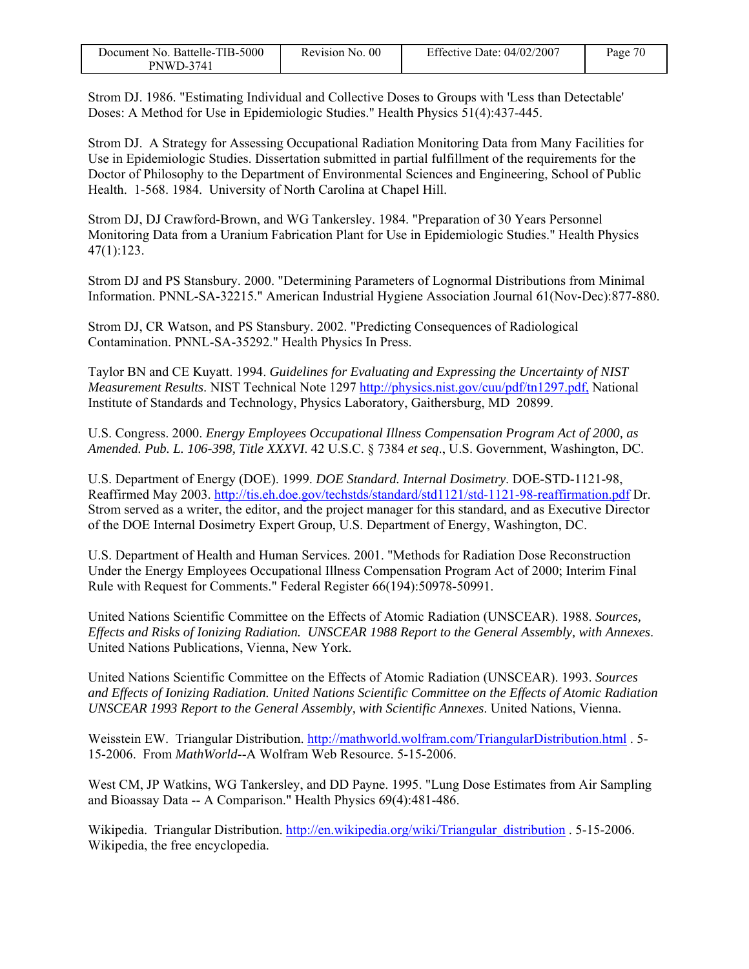| Document No. Battelle-TIB-5000 | Revision No. 00 | Effective Date: $04/02/2007$ | Page 70 |
|--------------------------------|-----------------|------------------------------|---------|
| PNWD-3741                      |                 |                              |         |

Strom DJ. 1986. "Estimating Individual and Collective Doses to Groups with 'Less than Detectable' Doses: A Method for Use in Epidemiologic Studies." Health Physics 51(4):437-445.

Strom DJ. A Strategy for Assessing Occupational Radiation Monitoring Data from Many Facilities for Use in Epidemiologic Studies. Dissertation submitted in partial fulfillment of the requirements for the Doctor of Philosophy to the Department of Environmental Sciences and Engineering, School of Public Health. 1-568. 1984. University of North Carolina at Chapel Hill.

Strom DJ, DJ Crawford-Brown, and WG Tankersley. 1984. "Preparation of 30 Years Personnel Monitoring Data from a Uranium Fabrication Plant for Use in Epidemiologic Studies." Health Physics 47(1):123.

Strom DJ and PS Stansbury. 2000. "Determining Parameters of Lognormal Distributions from Minimal Information. PNNL-SA-32215." American Industrial Hygiene Association Journal 61(Nov-Dec):877-880.

Strom DJ, CR Watson, and PS Stansbury. 2002. "Predicting Consequences of Radiological Contamination. PNNL-SA-35292." Health Physics In Press.

Taylor BN and CE Kuyatt. 1994. *Guidelines for Evaluating and Expressing the Uncertainty of NIST Measurement Results*. NIST Technical Note 1297 http://physics.nist.gov/cuu/pdf/tn1297.pdf, National Institute of Standards and Technology, Physics Laboratory, Gaithersburg, MD 20899.

U.S. Congress. 2000. *Energy Employees Occupational Illness Compensation Program Act of 2000, as Amended. Pub. L. 106-398, Title XXXVI*. 42 U.S.C. § 7384 *et seq*., U.S. Government, Washington, DC.

U.S. Department of Energy (DOE). 1999. *DOE Standard. Internal Dosimetry*. DOE-STD-1121-98, Reaffirmed May 2003. http://tis.eh.doe.gov/techstds/standard/std1121/std-1121-98-reaffirmation.pdf Dr. Strom served as a writer, the editor, and the project manager for this standard, and as Executive Director of the DOE Internal Dosimetry Expert Group, U.S. Department of Energy, Washington, DC.

U.S. Department of Health and Human Services. 2001. "Methods for Radiation Dose Reconstruction Under the Energy Employees Occupational Illness Compensation Program Act of 2000; Interim Final Rule with Request for Comments." Federal Register 66(194):50978-50991.

United Nations Scientific Committee on the Effects of Atomic Radiation (UNSCEAR). 1988. *Sources, Effects and Risks of Ionizing Radiation. UNSCEAR 1988 Report to the General Assembly, with Annexes*. United Nations Publications, Vienna, New York.

United Nations Scientific Committee on the Effects of Atomic Radiation (UNSCEAR). 1993. *Sources and Effects of Ionizing Radiation. United Nations Scientific Committee on the Effects of Atomic Radiation UNSCEAR 1993 Report to the General Assembly, with Scientific Annexes*. United Nations, Vienna.

Weisstein EW. Triangular Distribution. http://mathworld.wolfram.com/TriangularDistribution.html . 5- 15-2006. From *MathWorld*--A Wolfram Web Resource. 5-15-2006.

West CM, JP Watkins, WG Tankersley, and DD Payne. 1995. "Lung Dose Estimates from Air Sampling and Bioassay Data -- A Comparison." Health Physics 69(4):481-486.

Wikipedia. Triangular Distribution. http://en.wikipedia.org/wiki/Triangular\_distribution . 5-15-2006. Wikipedia, the free encyclopedia.